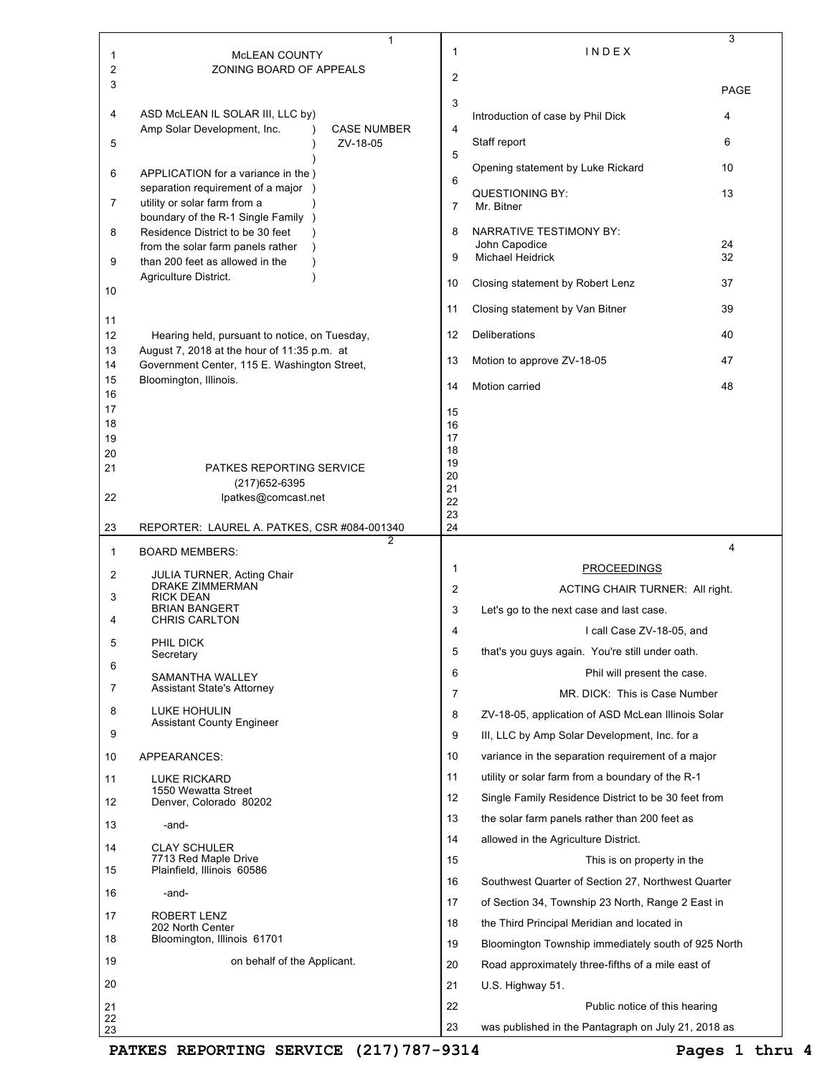| 1<br>2   | 1<br><b>MCLEAN COUNTY</b><br>ZONING BOARD OF APPEALS                                        | 1        | INDEX                                                                       | 3           |
|----------|---------------------------------------------------------------------------------------------|----------|-----------------------------------------------------------------------------|-------------|
| 3        |                                                                                             | 2        |                                                                             | <b>PAGE</b> |
| 4        | ASD McLEAN IL SOLAR III, LLC by)                                                            | 3        | Introduction of case by Phil Dick                                           | 4           |
| 5        | Amp Solar Development, Inc.<br><b>CASE NUMBER</b><br>$\lambda$<br>ZV-18-05                  | 4        | Staff report                                                                | 6           |
| 6        | APPLICATION for a variance in the )                                                         | 5        | Opening statement by Luke Rickard                                           | 10          |
| 7        | separation requirement of a major )<br>utility or solar farm from a                         | 6<br>7   | <b>QUESTIONING BY:</b><br>Mr. Bitner                                        | 13          |
| 8        | boundary of the R-1 Single Family )<br>Residence District to be 30 feet                     | 8        | NARRATIVE TESTIMONY BY:                                                     |             |
|          | from the solar farm panels rather                                                           | 9        | John Capodice<br><b>Michael Heidrick</b>                                    | 24<br>32    |
| 9        | than 200 feet as allowed in the<br>Agriculture District.                                    | 10       | Closing statement by Robert Lenz                                            | 37          |
| 10       |                                                                                             | 11       | Closing statement by Van Bitner                                             | 39          |
| 11<br>12 | Hearing held, pursuant to notice, on Tuesday,                                               | 12       | Deliberations                                                               | 40          |
| 13<br>14 | August 7, 2018 at the hour of 11:35 p.m. at<br>Government Center, 115 E. Washington Street, | 13       | Motion to approve ZV-18-05                                                  | 47          |
| 15<br>16 | Bloomington, Illinois.                                                                      | 14       | Motion carried                                                              | 48          |
| 17       |                                                                                             | 15       |                                                                             |             |
| 18<br>19 |                                                                                             | 16<br>17 |                                                                             |             |
| 20<br>21 | PATKES REPORTING SERVICE                                                                    | 18<br>19 |                                                                             |             |
|          | (217) 652-6395                                                                              | 20<br>21 |                                                                             |             |
| 22       | lpatkes@comcast.net                                                                         | 22<br>23 |                                                                             |             |
| 23       | REPORTER: LAUREL A. PATKES, CSR #084-001340<br>$\overline{2}$                               | 24       |                                                                             |             |
|          | <b>BOARD MEMBERS:</b>                                                                       |          |                                                                             | 4           |
| 1        |                                                                                             |          |                                                                             |             |
| 2        | JULIA TURNER, Acting Chair<br>DRAKE ZIMMERMAN                                               | 1        | <b>PROCEEDINGS</b>                                                          |             |
| 3        | <b>RICK DEAN</b><br><b>BRIAN BANGERT</b>                                                    | 2<br>3   | ACTING CHAIR TURNER: All right.<br>Let's go to the next case and last case. |             |
| 4        | <b>CHRIS CARLTON</b>                                                                        | 4        | I call Case ZV-18-05, and                                                   |             |
| 5        | PHIL DICK<br>Secretary                                                                      | 5        | that's you guys again. You're still under oath.                             |             |
| 6        | SAMANTHA WALLEY                                                                             | 6        | Phil will present the case.                                                 |             |
| 7        | Assistant State's Attorney                                                                  | 7        | MR. DICK: This is Case Number                                               |             |
| 8        | <b>LUKE HOHULIN</b>                                                                         | 8        | ZV-18-05, application of ASD McLean Illinois Solar                          |             |
| 9        | Assistant County Engineer                                                                   | 9        | III, LLC by Amp Solar Development, Inc. for a                               |             |
| 10       | APPEARANCES:                                                                                | 10       | variance in the separation requirement of a major                           |             |
| 11       | <b>LUKE RICKARD</b>                                                                         | 11       | utility or solar farm from a boundary of the R-1                            |             |
| 12       | 1550 Wewatta Street<br>Denver, Colorado 80202                                               | 12       | Single Family Residence District to be 30 feet from                         |             |
|          |                                                                                             | 13       | the solar farm panels rather than 200 feet as                               |             |
| 13       | -and-                                                                                       | 14       | allowed in the Agriculture District.                                        |             |
| 14       | <b>CLAY SCHULER</b><br>7713 Red Maple Drive                                                 | 15       | This is on property in the                                                  |             |
| 15       | Plainfield, Illinois 60586                                                                  | 16       | Southwest Quarter of Section 27, Northwest Quarter                          |             |
| 16       | -and-                                                                                       | 17       | of Section 34, Township 23 North, Range 2 East in                           |             |
| 17       | ROBERT LENZ<br>202 North Center                                                             | 18       | the Third Principal Meridian and located in                                 |             |
| 18       | Bloomington, Illinois 61701                                                                 | 19       | Bloomington Township immediately south of 925 North                         |             |
| 19       | on behalf of the Applicant.                                                                 | 20       | Road approximately three-fifths of a mile east of                           |             |
| 20       |                                                                                             | 21       | U.S. Highway 51.                                                            |             |
| 21<br>22 |                                                                                             | 22       | Public notice of this hearing                                               |             |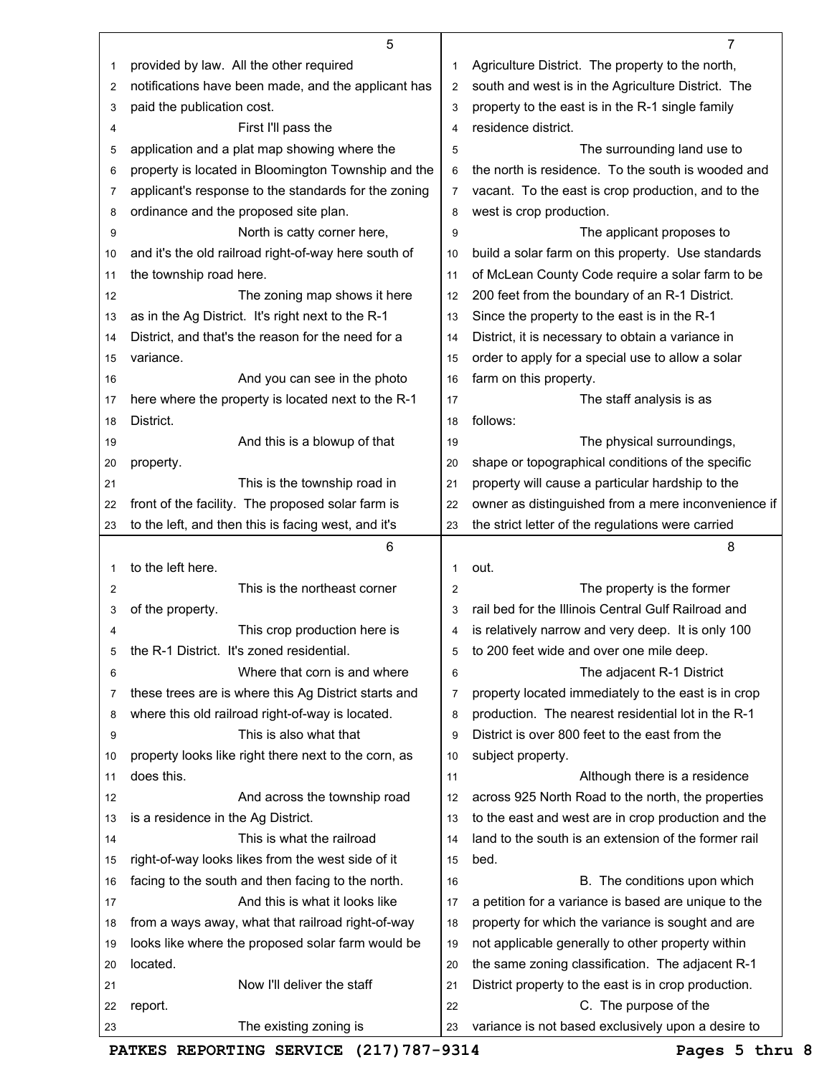|                | 5                                                    |                | 7                                                                           |
|----------------|------------------------------------------------------|----------------|-----------------------------------------------------------------------------|
| 1              | provided by law. All the other required              | 1              | Agriculture District. The property to the north,                            |
| $\overline{2}$ | notifications have been made, and the applicant has  | 2              | south and west is in the Agriculture District. The                          |
| 3              | paid the publication cost.                           | 3              | property to the east is in the R-1 single family                            |
| 4              | First I'll pass the                                  | 4              | residence district.                                                         |
| 5              | application and a plat map showing where the         | 5              | The surrounding land use to                                                 |
| 6              | property is located in Bloomington Township and the  | 6              | the north is residence. To the south is wooded and                          |
| 7              | applicant's response to the standards for the zoning | $\overline{7}$ | vacant. To the east is crop production, and to the                          |
| 8              | ordinance and the proposed site plan.                | 8              | west is crop production.                                                    |
| 9              | North is catty corner here,                          | 9              | The applicant proposes to                                                   |
| 10             | and it's the old railroad right-of-way here south of | 10             | build a solar farm on this property. Use standards                          |
| 11             | the township road here.                              | 11             | of McLean County Code require a solar farm to be                            |
| 12             | The zoning map shows it here                         | 12             | 200 feet from the boundary of an R-1 District.                              |
| 13             | as in the Ag District. It's right next to the R-1    | 13             | Since the property to the east is in the R-1                                |
| 14             | District, and that's the reason for the need for a   | 14             | District, it is necessary to obtain a variance in                           |
| 15             | variance.                                            | 15             | order to apply for a special use to allow a solar                           |
| 16             | And you can see in the photo                         | 16             | farm on this property.                                                      |
| 17             | here where the property is located next to the R-1   | 17             | The staff analysis is as                                                    |
| 18             | District.                                            | 18             | follows:                                                                    |
| 19             | And this is a blowup of that                         | 19             | The physical surroundings,                                                  |
| 20             | property.                                            | 20             | shape or topographical conditions of the specific                           |
| 21             | This is the township road in                         | 21             | property will cause a particular hardship to the                            |
| 22             | front of the facility. The proposed solar farm is    | 22             | owner as distinguished from a mere inconvenience if                         |
| 23             | to the left, and then this is facing west, and it's  | 23             | the strict letter of the regulations were carried                           |
|                | 6                                                    |                | 8                                                                           |
| 1              | to the left here.                                    | 1              | out.                                                                        |
| 2              | This is the northeast corner                         | 2              | The property is the former                                                  |
| 3              | of the property.                                     | 3              | rail bed for the Illinois Central Gulf Railroad and                         |
| 4              | This crop production here is                         |                |                                                                             |
|                |                                                      | 4              | is relatively narrow and very deep. It is only 100                          |
| 5              | the R-1 District. It's zoned residential.            | 5              | to 200 feet wide and over one mile deep.                                    |
| 6              | Where that corn is and where                         | 6              | The adjacent R-1 District                                                   |
| 7              | these trees are is where this Ag District starts and | 7              | property located immediately to the east is in crop                         |
| 8              | where this old railroad right-of-way is located.     | 8              | production. The nearest residential lot in the R-1                          |
| 9              | This is also what that                               | 9              | District is over 800 feet to the east from the                              |
| 10             | property looks like right there next to the corn, as | 10             | subject property.                                                           |
| 11             | does this.                                           | 11             | Although there is a residence                                               |
| 12             | And across the township road                         | 12             | across 925 North Road to the north, the properties                          |
| 13             | is a residence in the Ag District.                   | 13             | to the east and west are in crop production and the                         |
| 14             | This is what the railroad                            | 14             | land to the south is an extension of the former rail                        |
| 15             | right-of-way looks likes from the west side of it    | 15             | bed.                                                                        |
| 16             | facing to the south and then facing to the north.    | 16             | B. The conditions upon which                                                |
| 17             | And this is what it looks like                       | 17             | a petition for a variance is based are unique to the                        |
| 18             | from a ways away, what that railroad right-of-way    | 18             | property for which the variance is sought and are                           |
| 19             | looks like where the proposed solar farm would be    | 19             | not applicable generally to other property within                           |
| 20             | located.                                             | 20             | the same zoning classification. The adjacent R-1                            |
| 21             | Now I'll deliver the staff                           | 21             | District property to the east is in crop production.                        |
| 22<br>23       | report.<br>The existing zoning is                    | 22<br>23       | C. The purpose of the<br>variance is not based exclusively upon a desire to |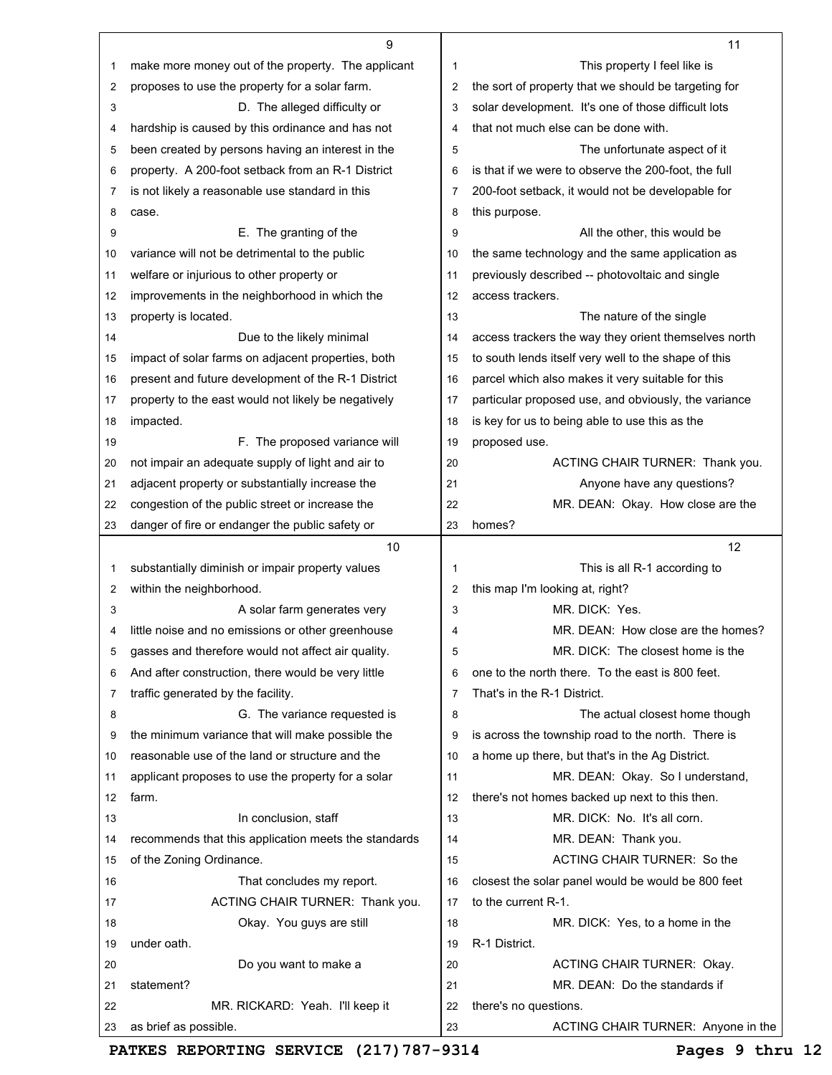|          | 9                                                                               |    | 11                                                          |
|----------|---------------------------------------------------------------------------------|----|-------------------------------------------------------------|
| 1        | make more money out of the property. The applicant                              | 1  | This property I feel like is                                |
| 2        | proposes to use the property for a solar farm.                                  | 2  | the sort of property that we should be targeting for        |
| 3        | D. The alleged difficulty or                                                    | 3  | solar development. It's one of those difficult lots         |
| 4        | hardship is caused by this ordinance and has not                                | 4  | that not much else can be done with.                        |
| 5        | been created by persons having an interest in the                               | 5  | The unfortunate aspect of it                                |
| 6        | property. A 200-foot setback from an R-1 District                               | 6  | is that if we were to observe the 200-foot, the full        |
| 7        | is not likely a reasonable use standard in this                                 | 7  | 200-foot setback, it would not be developable for           |
| 8        | case.                                                                           | 8  | this purpose.                                               |
| 9        | E. The granting of the                                                          | 9  | All the other, this would be                                |
| 10       | variance will not be detrimental to the public                                  | 10 | the same technology and the same application as             |
| 11       | welfare or injurious to other property or                                       | 11 | previously described -- photovoltaic and single             |
| 12       | improvements in the neighborhood in which the                                   | 12 | access trackers.                                            |
| 13       | property is located.                                                            | 13 | The nature of the single                                    |
| 14       |                                                                                 | 14 |                                                             |
|          | Due to the likely minimal<br>impact of solar farms on adjacent properties, both |    | access trackers the way they orient themselves north        |
| 15       |                                                                                 | 15 | to south lends itself very well to the shape of this        |
| 16       | present and future development of the R-1 District                              | 16 | parcel which also makes it very suitable for this           |
| 17       | property to the east would not likely be negatively                             | 17 | particular proposed use, and obviously, the variance        |
| 18       | impacted.                                                                       | 18 | is key for us to being able to use this as the              |
| 19       | F. The proposed variance will                                                   | 19 | proposed use.                                               |
| 20       | not impair an adequate supply of light and air to                               | 20 | ACTING CHAIR TURNER: Thank you.                             |
| 21       | adjacent property or substantially increase the                                 | 21 | Anyone have any questions?                                  |
| 22       | congestion of the public street or increase the                                 | 22 | MR. DEAN: Okay. How close are the                           |
| 23       | danger of fire or endanger the public safety or                                 | 23 | homes?                                                      |
|          | 10                                                                              |    | 12                                                          |
|          |                                                                                 |    |                                                             |
| 1        | substantially diminish or impair property values                                | 1  | This is all R-1 according to                                |
| 2        | within the neighborhood.                                                        | 2  | this map I'm looking at, right?                             |
| 3        | A solar farm generates very                                                     | 3  | MR. DICK: Yes.                                              |
| 4        | little noise and no emissions or other greenhouse                               | 4  | MR. DEAN: How close are the homes?                          |
| 5        | gasses and therefore would not affect air quality.                              | 5  | MR. DICK: The closest home is the                           |
| 6        | And after construction, there would be very little                              | 6  | one to the north there. To the east is 800 feet.            |
| 7        | traffic generated by the facility.                                              | 7  | That's in the R-1 District.                                 |
| 8        | G. The variance requested is                                                    | 8  | The actual closest home though                              |
| 9        | the minimum variance that will make possible the                                | 9  | is across the township road to the north. There is          |
| 10       | reasonable use of the land or structure and the                                 | 10 | a home up there, but that's in the Ag District.             |
| 11       | applicant proposes to use the property for a solar                              | 11 | MR. DEAN: Okay. So I understand,                            |
| 12       | farm.                                                                           | 12 | there's not homes backed up next to this then.              |
| 13       | In conclusion, staff                                                            | 13 | MR. DICK: No. It's all corn.                                |
| 14       | recommends that this application meets the standards                            | 14 | MR. DEAN: Thank you.                                        |
| 15       | of the Zoning Ordinance.                                                        | 15 | ACTING CHAIR TURNER: So the                                 |
| 16       | That concludes my report.                                                       | 16 | closest the solar panel would be would be 800 feet          |
| 17       |                                                                                 | 17 | to the current R-1.                                         |
| 18       | ACTING CHAIR TURNER: Thank you.<br>Okay. You guys are still                     | 18 | MR. DICK: Yes, to a home in the                             |
| 19       | under oath.                                                                     | 19 | R-1 District.                                               |
| 20       |                                                                                 | 20 |                                                             |
|          | Do you want to make a<br>statement?                                             | 21 | ACTING CHAIR TURNER: Okay.<br>MR. DEAN: Do the standards if |
| 21<br>22 | MR. RICKARD: Yeah. I'll keep it                                                 | 22 | there's no questions.                                       |

**PATKES REPORTING SERVICE (217)787-9314 Pages 9 thru 12**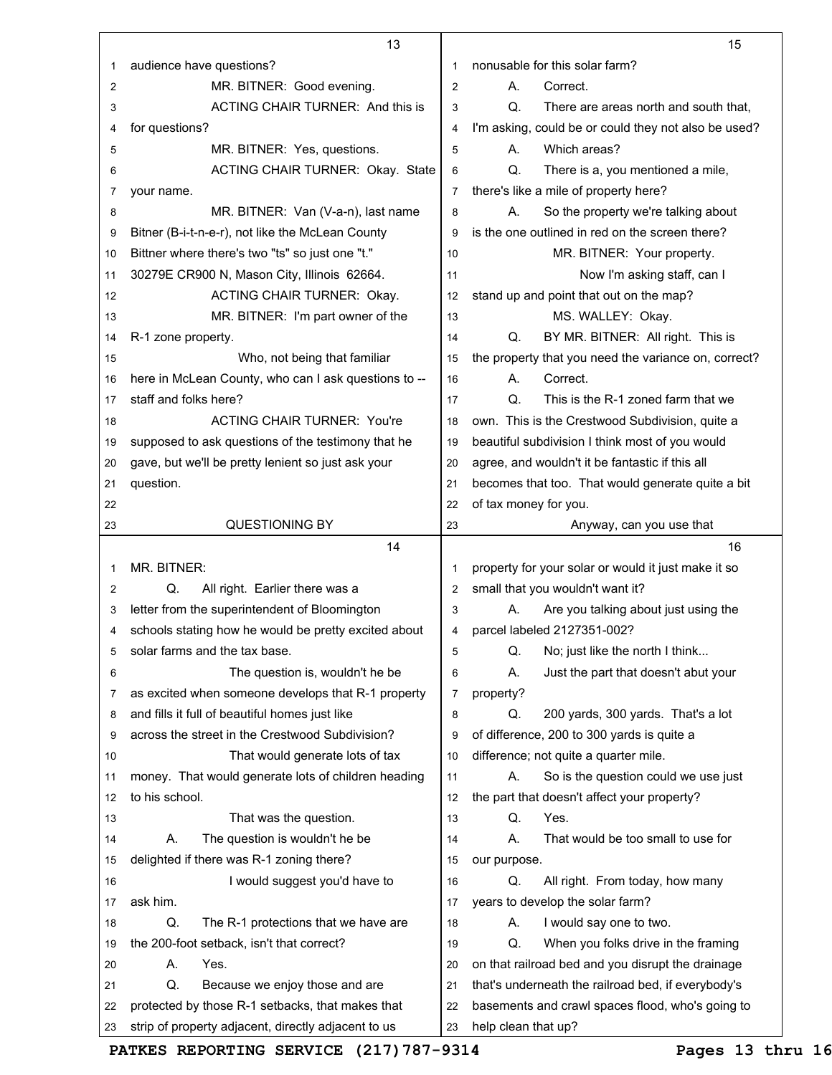|    | 13                                                   |                | 15                                                   |
|----|------------------------------------------------------|----------------|------------------------------------------------------|
| 1  | audience have questions?                             | 1              | nonusable for this solar farm?                       |
| 2  | MR. BITNER: Good evening.                            | $\overline{2}$ | А.<br>Correct.                                       |
| 3  | <b>ACTING CHAIR TURNER: And this is</b>              | 3              | Q.<br>There are areas north and south that,          |
| 4  | for questions?                                       | 4              | I'm asking, could be or could they not also be used? |
| 5  | MR. BITNER: Yes, questions.                          | 5              | Which areas?<br>Α.                                   |
| 6  | ACTING CHAIR TURNER: Okay. State                     | 6              | Q.<br>There is a, you mentioned a mile,              |
| 7  | your name.                                           | 7              | there's like a mile of property here?                |
| 8  | MR. BITNER: Van (V-a-n), last name                   | 8              | So the property we're talking about<br>А.            |
| 9  | Bitner (B-i-t-n-e-r), not like the McLean County     | 9              | is the one outlined in red on the screen there?      |
| 10 | Bittner where there's two "ts" so just one "t."      | 10             | MR. BITNER: Your property.                           |
| 11 | 30279E CR900 N, Mason City, Illinois 62664.          | 11             | Now I'm asking staff, can I                          |
| 12 | <b>ACTING CHAIR TURNER: Okay.</b>                    | 12             | stand up and point that out on the map?              |
| 13 | MR. BITNER: I'm part owner of the                    | 13             | MS. WALLEY: Okay.                                    |
| 14 | R-1 zone property.                                   | 14             | Q.<br>BY MR. BITNER: All right. This is              |
| 15 | Who, not being that familiar                         | 15             | the property that you need the variance on, correct? |
| 16 | here in McLean County, who can I ask questions to -- | 16             | Correct.<br>А.                                       |
| 17 | staff and folks here?                                | 17             | Q.<br>This is the R-1 zoned farm that we             |
| 18 | <b>ACTING CHAIR TURNER: You're</b>                   | 18             | own. This is the Crestwood Subdivision, quite a      |
| 19 | supposed to ask questions of the testimony that he   | 19             | beautiful subdivision I think most of you would      |
| 20 | gave, but we'll be pretty lenient so just ask your   | 20             | agree, and wouldn't it be fantastic if this all      |
| 21 | question.                                            | 21             | becomes that too. That would generate quite a bit    |
| 22 |                                                      | 22             | of tax money for you.                                |
| 23 | <b>QUESTIONING BY</b>                                | 23             | Anyway, can you use that                             |
|    | 14                                                   |                | 16                                                   |
| 1  | MR. BITNER:                                          | 1              | property for your solar or would it just make it so  |
| 2  | All right. Earlier there was a<br>Q.                 | $\overline{2}$ | small that you wouldn't want it?                     |
| 3  | letter from the superintendent of Bloomington        | 3              | Are you talking about just using the<br>А.           |
| 4  | schools stating how he would be pretty excited about | 4              | parcel labeled 2127351-002?                          |
| 5  | solar farms and the tax base.                        | 5              | Q.<br>No; just like the north I think                |
| 6  | The question is, wouldn't he be                      | 6              | Just the part that doesn't abut your<br>А.           |
| 7  | as excited when someone develops that R-1 property   | 7              | property?                                            |
| 8  | and fills it full of beautiful homes just like       | 8              | 200 yards, 300 yards. That's a lot<br>Q.             |
| 9  | across the street in the Crestwood Subdivision?      | 9              | of difference, 200 to 300 yards is quite a           |
| 10 | That would generate lots of tax                      | 10             | difference; not quite a quarter mile.                |
| 11 | money. That would generate lots of children heading  | 11             | So is the question could we use just<br>Α.           |
| 12 |                                                      |                | the part that doesn't affect your property?          |
|    | to his school.                                       | 12             |                                                      |
| 13 | That was the question.                               | 13             | Q.<br>Yes.                                           |
| 14 | The question is wouldn't he be<br>А.                 | 14             | That would be too small to use for<br>Α.             |
| 15 | delighted if there was R-1 zoning there?             | 15             | our purpose.                                         |
| 16 | I would suggest you'd have to                        | 16             | All right. From today, how many<br>Q.                |
| 17 | ask him.                                             | 17             | years to develop the solar farm?                     |
| 18 | Q.<br>The R-1 protections that we have are           | 18             | I would say one to two.<br>Α.                        |
| 19 | the 200-foot setback, isn't that correct?            | 19             | When you folks drive in the framing<br>Q.            |
| 20 | А.<br>Yes.                                           | 20             | on that railroad bed and you disrupt the drainage    |
| 21 | Q.<br>Because we enjoy those and are                 | 21             | that's underneath the railroad bed, if everybody's   |
| 22 | protected by those R-1 setbacks, that makes that     | 22             | basements and crawl spaces flood, who's going to     |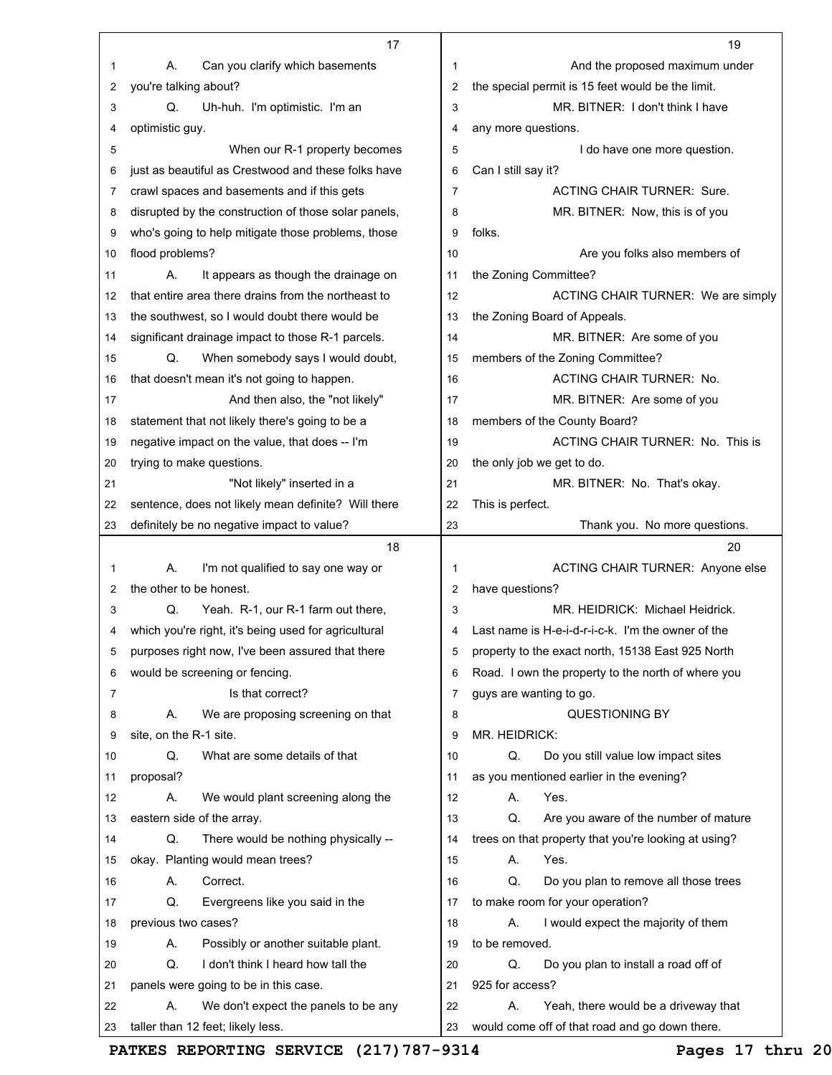|        | 17                                                             |    | 19                                                                 |
|--------|----------------------------------------------------------------|----|--------------------------------------------------------------------|
| 1      | А.<br>Can you clarify which basements                          | 1  | And the proposed maximum under                                     |
| 2      | you're talking about?                                          | 2  | the special permit is 15 feet would be the limit.                  |
| 3      | Q.<br>Uh-huh. I'm optimistic. I'm an                           | 3  | MR. BITNER: I don't think I have                                   |
| 4      | optimistic guy.                                                | 4  | any more questions.                                                |
| 5      | When our R-1 property becomes                                  | 5  | I do have one more question.                                       |
| 6      | just as beautiful as Crestwood and these folks have            | 6  | Can I still say it?                                                |
| 7      | crawl spaces and basements and if this gets                    | 7  | <b>ACTING CHAIR TURNER: Sure.</b>                                  |
| 8      | disrupted by the construction of those solar panels,           | 8  | MR. BITNER: Now, this is of you                                    |
| 9      | who's going to help mitigate those problems, those             | 9  | folks.                                                             |
| 10     | flood problems?                                                | 10 | Are you folks also members of                                      |
| 11     | А.<br>It appears as though the drainage on                     | 11 | the Zoning Committee?                                              |
| 12     | that entire area there drains from the northeast to            | 12 | ACTING CHAIR TURNER: We are simply                                 |
| 13     | the southwest, so I would doubt there would be                 | 13 | the Zoning Board of Appeals.                                       |
| 14     | significant drainage impact to those R-1 parcels.              | 14 | MR. BITNER: Are some of you                                        |
| 15     | Q.<br>When somebody says I would doubt,                        | 15 | members of the Zoning Committee?                                   |
| 16     | that doesn't mean it's not going to happen.                    | 16 | <b>ACTING CHAIR TURNER: No.</b>                                    |
| 17     | And then also, the "not likely"                                | 17 | MR. BITNER: Are some of you                                        |
| 18     | statement that not likely there's going to be a                | 18 | members of the County Board?                                       |
| 19     | negative impact on the value, that does -- I'm                 | 19 | ACTING CHAIR TURNER: No. This is                                   |
| 20     | trying to make questions.                                      | 20 | the only job we get to do.                                         |
| 21     | "Not likely" inserted in a                                     | 21 | MR. BITNER: No. That's okay.                                       |
| 22     | sentence, does not likely mean definite? Will there            | 22 | This is perfect.                                                   |
| 23     | definitely be no negative impact to value?                     | 23 | Thank you. No more questions.                                      |
|        |                                                                |    |                                                                    |
|        | 18                                                             |    | 20                                                                 |
| 1      | А.                                                             | 1  |                                                                    |
| 2      | I'm not qualified to say one way or<br>the other to be honest. | 2  | ACTING CHAIR TURNER: Anyone else                                   |
| 3      | Q.                                                             | 3  | have questions?<br>MR. HEIDRICK: Michael Heidrick.                 |
| 4      | Yeah. R-1, our R-1 farm out there,                             | 4  | Last name is H-e-i-d-r-i-c-k. I'm the owner of the                 |
|        | which you're right, it's being used for agricultural           | 5  |                                                                    |
| 5      | purposes right now, I've been assured that there               | 6  | property to the exact north, 15138 East 925 North                  |
| 6<br>7 | would be screening or fencing.<br>Is that correct?             | 7  | Road. I own the property to the north of where you                 |
| 8      | Α.                                                             | 8  | guys are wanting to go.                                            |
| 9      | We are proposing screening on that<br>site, on the R-1 site.   | 9  | <b>QUESTIONING BY</b><br>MR. HEIDRICK:                             |
| 10     | Q.<br>What are some details of that                            | 10 | Q.                                                                 |
| 11     |                                                                | 11 | Do you still value low impact sites                                |
| 12     | proposal?<br>Α.                                                | 12 | as you mentioned earlier in the evening?<br>Yes.<br>Α.             |
| 13     | We would plant screening along the                             | 13 | Q.                                                                 |
| 14     | eastern side of the array.<br>Q.                               | 14 | Are you aware of the number of mature                              |
| 15     | There would be nothing physically --                           | 15 | trees on that property that you're looking at using?<br>Yes.<br>А. |
| 16     | okay. Planting would mean trees?<br>Α.<br>Correct.             | 16 | Do you plan to remove all those trees<br>Q.                        |
| 17     | Q.<br>Evergreens like you said in the                          | 17 | to make room for your operation?                                   |
| 18     | previous two cases?                                            | 18 | Α.<br>I would expect the majority of them                          |
| 19     | Α.<br>Possibly or another suitable plant.                      | 19 | to be removed.                                                     |
| 20     | Q.<br>I don't think I heard how tall the                       | 20 | Q.<br>Do you plan to install a road off of                         |
| 21     | panels were going to be in this case.                          | 21 | 925 for access?                                                    |
| 22     | We don't expect the panels to be any<br>А.                     | 22 | Yeah, there would be a driveway that<br>А.                         |

**PATKES REPORTING SERVICE (217)787-9314 Pages 17 thru 20**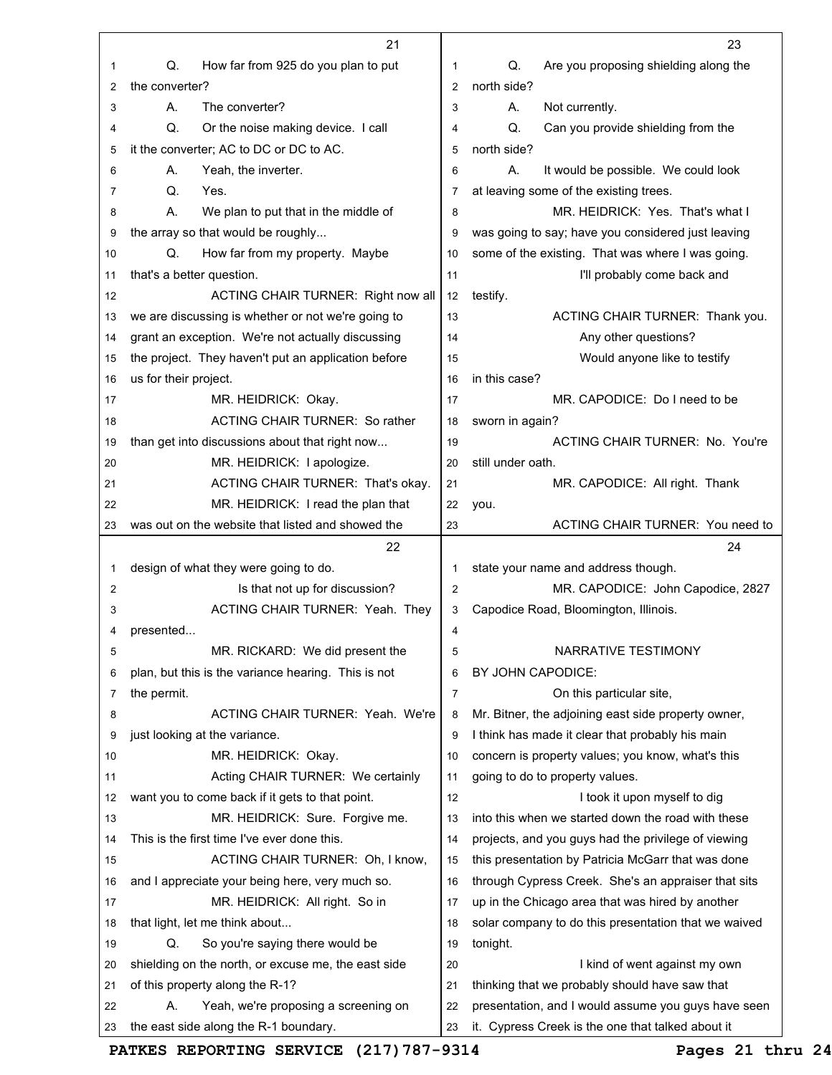|          | 21                                                                                  |                | 23                                                                                                       |
|----------|-------------------------------------------------------------------------------------|----------------|----------------------------------------------------------------------------------------------------------|
| 1        | Q.<br>How far from 925 do you plan to put                                           | 1              | Q.<br>Are you proposing shielding along the                                                              |
| 2        | the converter?                                                                      | $\overline{2}$ | north side?                                                                                              |
| 3        | The converter?<br>А.                                                                | 3              | А.<br>Not currently.                                                                                     |
| 4        | Q.<br>Or the noise making device. I call                                            | 4              | Q.<br>Can you provide shielding from the                                                                 |
| 5        | it the converter; AC to DC or DC to AC.                                             | 5              | north side?                                                                                              |
| 6        | Yeah, the inverter.<br>А.                                                           | 6              | А.<br>It would be possible. We could look                                                                |
| 7        | Q.<br>Yes.                                                                          | 7              | at leaving some of the existing trees.                                                                   |
| 8        | А.<br>We plan to put that in the middle of                                          | 8              | MR. HEIDRICK: Yes. That's what I                                                                         |
| 9        | the array so that would be roughly                                                  | 9              | was going to say; have you considered just leaving                                                       |
| 10       | Q.<br>How far from my property. Maybe                                               | 10             | some of the existing. That was where I was going.                                                        |
| 11       | that's a better question.                                                           | 11             | I'll probably come back and                                                                              |
| 12       | ACTING CHAIR TURNER: Right now all                                                  | 12             | testify.                                                                                                 |
| 13       | we are discussing is whether or not we're going to                                  | 13             | ACTING CHAIR TURNER: Thank you.                                                                          |
| 14       | grant an exception. We're not actually discussing                                   | 14             | Any other questions?                                                                                     |
| 15       | the project. They haven't put an application before                                 | 15             | Would anyone like to testify                                                                             |
| 16       | us for their project.                                                               | 16             | in this case?                                                                                            |
| 17       | MR. HEIDRICK: Okay.                                                                 | 17             | MR. CAPODICE: Do I need to be                                                                            |
| 18       | <b>ACTING CHAIR TURNER: So rather</b>                                               | 18             | sworn in again?                                                                                          |
| 19       | than get into discussions about that right now                                      | 19             | ACTING CHAIR TURNER: No. You're                                                                          |
| 20       | MR. HEIDRICK: I apologize.                                                          | 20             | still under oath.                                                                                        |
| 21       | ACTING CHAIR TURNER: That's okay.                                                   | 21             | MR. CAPODICE: All right. Thank                                                                           |
| 22       | MR. HEIDRICK: I read the plan that                                                  | 22             | you.                                                                                                     |
| 23       | was out on the website that listed and showed the                                   | 23             | ACTING CHAIR TURNER: You need to                                                                         |
|          |                                                                                     |                |                                                                                                          |
|          | 22                                                                                  |                | 24                                                                                                       |
| 1        | design of what they were going to do.                                               | 1              | state your name and address though.                                                                      |
| 2        | Is that not up for discussion?                                                      | 2              | MR. CAPODICE: John Capodice, 2827                                                                        |
| 3        | ACTING CHAIR TURNER: Yeah. They                                                     | 3              | Capodice Road, Bloomington, Illinois.                                                                    |
| 4        | presented                                                                           | 4              |                                                                                                          |
| 5        | MR. RICKARD: We did present the                                                     | 5              | NARRATIVE TESTIMONY                                                                                      |
| 6        | plan, but this is the variance hearing. This is not                                 | 6              | BY JOHN CAPODICE:                                                                                        |
| 7        | the permit.                                                                         | 7              | On this particular site,                                                                                 |
| 8        | ACTING CHAIR TURNER: Yeah. We're                                                    | 8              | Mr. Bitner, the adjoining east side property owner,                                                      |
| 9        | just looking at the variance.                                                       | 9              | I think has made it clear that probably his main                                                         |
| 10       | MR. HEIDRICK: Okay.                                                                 | 10             | concern is property values; you know, what's this                                                        |
| 11       | Acting CHAIR TURNER: We certainly                                                   | 11             | going to do to property values.                                                                          |
| 12       | want you to come back if it gets to that point.                                     | 12             | I took it upon myself to dig                                                                             |
| 13       | MR. HEIDRICK: Sure. Forgive me.                                                     | 13             | into this when we started down the road with these                                                       |
| 14       | This is the first time I've ever done this.                                         | 14             | projects, and you guys had the privilege of viewing                                                      |
| 15       | ACTING CHAIR TURNER: Oh, I know,                                                    | 15             | this presentation by Patricia McGarr that was done                                                       |
| 16       | and I appreciate your being here, very much so.                                     | 16             | through Cypress Creek. She's an appraiser that sits                                                      |
| 17       | MR. HEIDRICK: All right. So in                                                      | 17             | up in the Chicago area that was hired by another                                                         |
| 18       | that light, let me think about                                                      | 18             | solar company to do this presentation that we waived                                                     |
| 19       | So you're saying there would be<br>Q.                                               | 19             | tonight.                                                                                                 |
| 20       | shielding on the north, or excuse me, the east side                                 | 20             | I kind of went against my own                                                                            |
| 21       | of this property along the R-1?                                                     | 21             | thinking that we probably should have saw that                                                           |
| 22<br>23 | Yeah, we're proposing a screening on<br>А.<br>the east side along the R-1 boundary. | 22<br>23       | presentation, and I would assume you guys have seen<br>it. Cypress Creek is the one that talked about it |

**PATKES REPORTING SERVICE (217)787-9314 Pages 21 thru 24**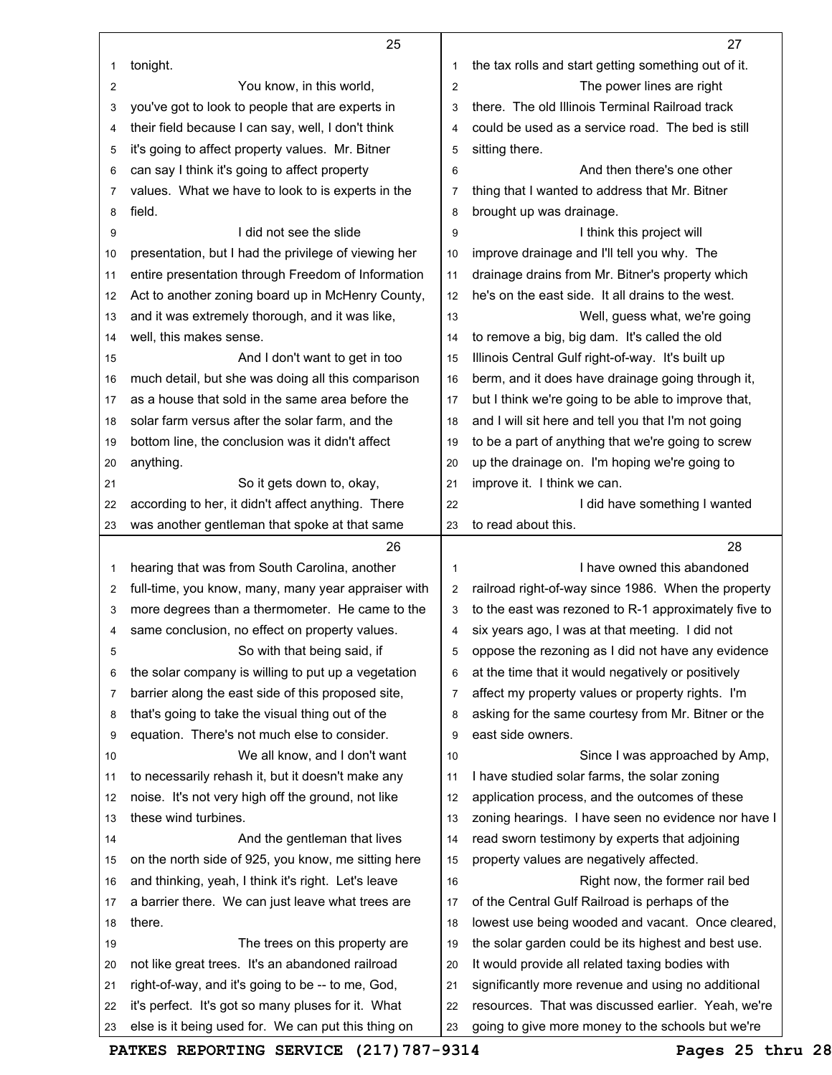|    | 25                                                   |                | 27                                                   |
|----|------------------------------------------------------|----------------|------------------------------------------------------|
| 1  | tonight.                                             | 1              | the tax rolls and start getting something out of it. |
| 2  | You know, in this world,                             | $\overline{2}$ | The power lines are right                            |
| 3  | you've got to look to people that are experts in     | 3              | there. The old Illinois Terminal Railroad track      |
| 4  | their field because I can say, well, I don't think   | 4              | could be used as a service road. The bed is still    |
| 5  | it's going to affect property values. Mr. Bitner     | 5              | sitting there.                                       |
| 6  | can say I think it's going to affect property        | 6              | And then there's one other                           |
| 7  | values. What we have to look to is experts in the    | $\overline{7}$ | thing that I wanted to address that Mr. Bitner       |
| 8  | field.                                               | 8              | brought up was drainage.                             |
| 9  | I did not see the slide                              | 9              | I think this project will                            |
| 10 | presentation, but I had the privilege of viewing her | 10             | improve drainage and I'll tell you why. The          |
| 11 | entire presentation through Freedom of Information   | 11             | drainage drains from Mr. Bitner's property which     |
| 12 | Act to another zoning board up in McHenry County,    | 12             | he's on the east side. It all drains to the west.    |
| 13 | and it was extremely thorough, and it was like,      | 13             | Well, guess what, we're going                        |
| 14 | well, this makes sense.                              | 14             | to remove a big, big dam. It's called the old        |
| 15 | And I don't want to get in too                       | 15             | Illinois Central Gulf right-of-way. It's built up    |
| 16 | much detail, but she was doing all this comparison   | 16             | berm, and it does have drainage going through it,    |
| 17 | as a house that sold in the same area before the     | 17             | but I think we're going to be able to improve that,  |
| 18 | solar farm versus after the solar farm, and the      | 18             | and I will sit here and tell you that I'm not going  |
| 19 | bottom line, the conclusion was it didn't affect     | 19             | to be a part of anything that we're going to screw   |
| 20 | anything.                                            | 20             | up the drainage on. I'm hoping we're going to        |
| 21 | So it gets down to, okay,                            | 21             | improve it. I think we can.                          |
| 22 | according to her, it didn't affect anything. There   | 22             | I did have something I wanted                        |
| 23 | was another gentleman that spoke at that same        | 23             | to read about this.                                  |
|    | 26                                                   |                | 28                                                   |
| 1  | hearing that was from South Carolina, another        | 1              | I have owned this abandoned                          |
| 2  | full-time, you know, many, many year appraiser with  | $\overline{2}$ | railroad right-of-way since 1986. When the property  |
| 3  | more degrees than a thermometer. He came to the      | 3              | to the east was rezoned to R-1 approximately five to |
| 4  | same conclusion, no effect on property values.       | 4              | six years ago, I was at that meeting. I did not      |
| 5  | So with that being said, if                          | 5              | oppose the rezoning as I did not have any evidence   |
| 6  | the solar company is willing to put up a vegetation  | 6              | at the time that it would negatively or positively   |
| 7  | barrier along the east side of this proposed site,   | 7              | affect my property values or property rights. I'm    |
| 8  | that's going to take the visual thing out of the     | 8              | asking for the same courtesy from Mr. Bitner or the  |
| 9  | equation. There's not much else to consider.         | 9              | east side owners.                                    |
| 10 | We all know, and I don't want                        | 10             | Since I was approached by Amp,                       |
| 11 | to necessarily rehash it, but it doesn't make any    | 11             | I have studied solar farms, the solar zoning         |
| 12 | noise. It's not very high off the ground, not like   | 12             | application process, and the outcomes of these       |
| 13 | these wind turbines.                                 | 13             | zoning hearings. I have seen no evidence nor have I  |
| 14 | And the gentleman that lives                         | 14             | read sworn testimony by experts that adjoining       |
| 15 |                                                      |                | property values are negatively affected.             |
|    | on the north side of 925, you know, me sitting here  | 15             |                                                      |
| 16 | and thinking, yeah, I think it's right. Let's leave  | 16             | Right now, the former rail bed                       |
| 17 | a barrier there. We can just leave what trees are    | 17             | of the Central Gulf Railroad is perhaps of the       |
| 18 | there.                                               | 18             | lowest use being wooded and vacant. Once cleared,    |
| 19 | The trees on this property are                       | 19             | the solar garden could be its highest and best use.  |
| 20 | not like great trees. It's an abandoned railroad     | 20             | It would provide all related taxing bodies with      |
| 21 | right-of-way, and it's going to be -- to me, God,    | 21             | significantly more revenue and using no additional   |
| 22 | it's perfect. It's got so many pluses for it. What   | 22             | resources. That was discussed earlier. Yeah, we're   |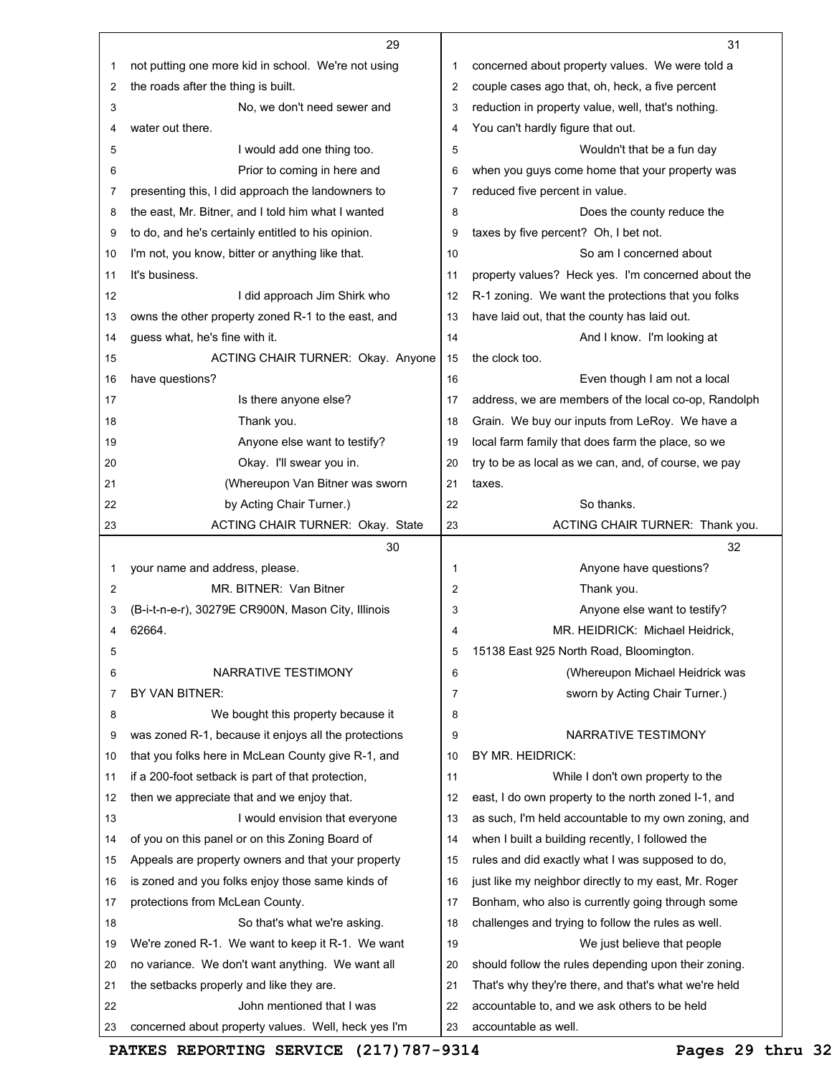|    | 29                                                   |                | 31                                                                         |
|----|------------------------------------------------------|----------------|----------------------------------------------------------------------------|
| 1  | not putting one more kid in school. We're not using  | 1              | concerned about property values. We were told a                            |
| 2  | the roads after the thing is built.                  | 2              | couple cases ago that, oh, heck, a five percent                            |
| 3  | No, we don't need sewer and                          | 3              | reduction in property value, well, that's nothing.                         |
| 4  | water out there.                                     | 4              | You can't hardly figure that out.                                          |
| 5  | I would add one thing too.                           | 5              | Wouldn't that be a fun day                                                 |
| 6  | Prior to coming in here and                          | 6              | when you guys come home that your property was                             |
| 7  | presenting this, I did approach the landowners to    | 7              | reduced five percent in value.                                             |
| 8  | the east, Mr. Bitner, and I told him what I wanted   | 8              | Does the county reduce the                                                 |
| 9  | to do, and he's certainly entitled to his opinion.   | 9              | taxes by five percent? Oh, I bet not.                                      |
| 10 | I'm not, you know, bitter or anything like that.     | 10             | So am I concerned about                                                    |
| 11 | It's business.                                       | 11             | property values? Heck yes. I'm concerned about the                         |
| 12 | I did approach Jim Shirk who                         | 12             | R-1 zoning. We want the protections that you folks                         |
| 13 | owns the other property zoned R-1 to the east, and   | 13             | have laid out, that the county has laid out.                               |
| 14 | guess what, he's fine with it.                       | 14             | And I know. I'm looking at                                                 |
| 15 | ACTING CHAIR TURNER: Okay. Anyone                    | 15             | the clock too.                                                             |
| 16 | have questions?                                      | 16             | Even though I am not a local                                               |
| 17 | Is there anyone else?                                | 17             | address, we are members of the local co-op, Randolph                       |
| 18 | Thank you.                                           | 18             | Grain. We buy our inputs from LeRoy. We have a                             |
| 19 | Anyone else want to testify?                         | 19             | local farm family that does farm the place, so we                          |
| 20 | Okay. I'll swear you in.                             | 20             | try to be as local as we can, and, of course, we pay                       |
| 21 | (Whereupon Van Bitner was sworn                      | 21             | taxes.                                                                     |
| 22 | by Acting Chair Turner.)                             | 22             | So thanks.                                                                 |
| 23 | <b>ACTING CHAIR TURNER: Okay. State</b>              | 23             | ACTING CHAIR TURNER: Thank you.                                            |
|    |                                                      |                |                                                                            |
|    | 30                                                   |                | 32                                                                         |
| 1  | your name and address, please.                       | 1              | Anyone have questions?                                                     |
| 2  | MR. BITNER: Van Bitner                               | 2              | Thank you.                                                                 |
| 3  | (B-i-t-n-e-r), 30279E CR900N, Mason City, Illinois   | 3              | Anyone else want to testify?                                               |
| 4  | 62664.                                               | 4              | MR. HEIDRICK: Michael Heidrick,                                            |
| 5  |                                                      | 5              |                                                                            |
| 6  | NARRATIVE TESTIMONY                                  | 6              | 15138 East 925 North Road, Bloomington.<br>(Whereupon Michael Heidrick was |
| 7  | BY VAN BITNER:                                       | $\overline{7}$ | sworn by Acting Chair Turner.)                                             |
| 8  | We bought this property because it                   | 8              |                                                                            |
| 9  | was zoned R-1, because it enjoys all the protections | 9              | NARRATIVE TESTIMONY                                                        |
| 10 | that you folks here in McLean County give R-1, and   | 10             | BY MR. HEIDRICK:                                                           |
| 11 | if a 200-foot setback is part of that protection,    | 11             | While I don't own property to the                                          |
| 12 | then we appreciate that and we enjoy that.           | 12             | east, I do own property to the north zoned I-1, and                        |
| 13 | I would envision that everyone                       | 13             | as such, I'm held accountable to my own zoning, and                        |
| 14 | of you on this panel or on this Zoning Board of      | 14             | when I built a building recently, I followed the                           |
| 15 | Appeals are property owners and that your property   | 15             | rules and did exactly what I was supposed to do,                           |
| 16 | is zoned and you folks enjoy those same kinds of     | 16             | just like my neighbor directly to my east, Mr. Roger                       |
| 17 | protections from McLean County.                      | 17             | Bonham, who also is currently going through some                           |
| 18 | So that's what we're asking.                         | 18             | challenges and trying to follow the rules as well.                         |
| 19 | We're zoned R-1. We want to keep it R-1. We want     | 19             | We just believe that people                                                |
| 20 | no variance. We don't want anything. We want all     | 20             | should follow the rules depending upon their zoning.                       |
| 21 | the setbacks properly and like they are.             | 21             | That's why they're there, and that's what we're held                       |
| 22 | John mentioned that I was                            | 22             | accountable to, and we ask others to be held                               |

**PATKES REPORTING SERVICE (217)787-9314 Pages 29 thru 32**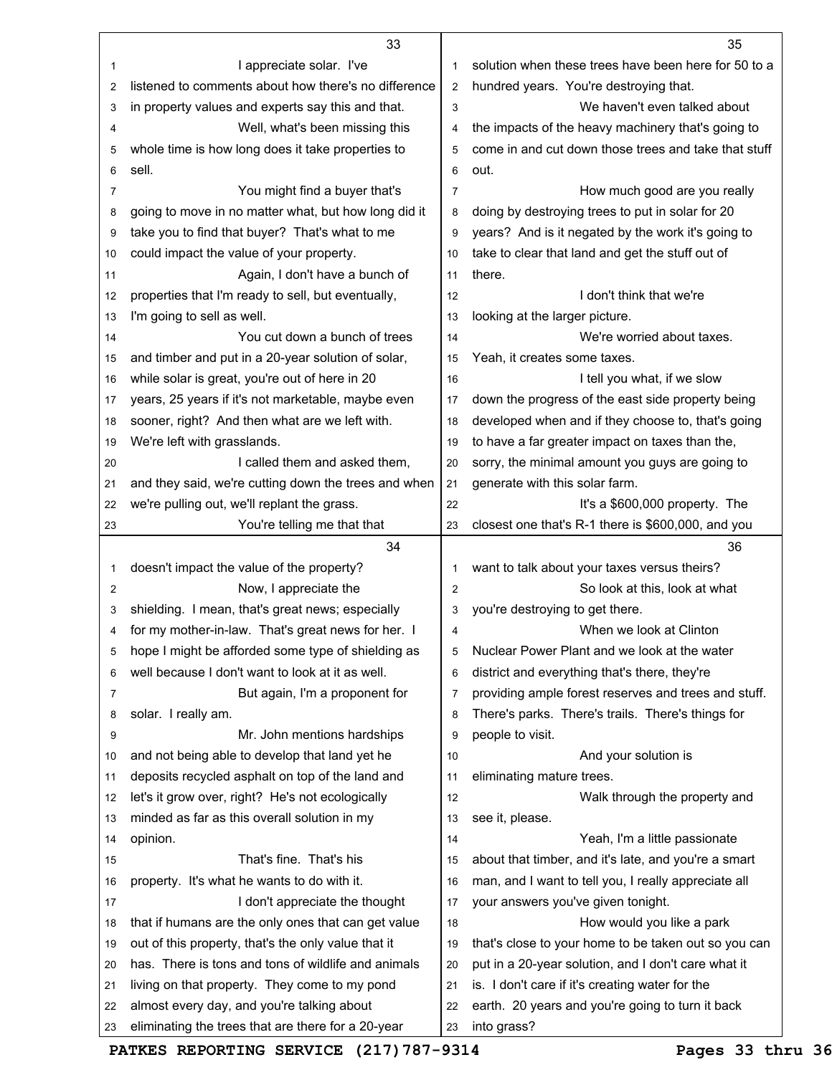|    | 33                                                   |                | 35                                                   |
|----|------------------------------------------------------|----------------|------------------------------------------------------|
| 1  | I appreciate solar. I've                             | 1              | solution when these trees have been here for 50 to a |
| 2  | listened to comments about how there's no difference | $\overline{2}$ | hundred years. You're destroying that.               |
| 3  | in property values and experts say this and that.    | 3              | We haven't even talked about                         |
| 4  | Well, what's been missing this                       | $\overline{4}$ | the impacts of the heavy machinery that's going to   |
| 5  | whole time is how long does it take properties to    | 5              | come in and cut down those trees and take that stuff |
| 6  | sell.                                                | 6              | out.                                                 |
| 7  | You might find a buyer that's                        | $\overline{7}$ | How much good are you really                         |
| 8  | going to move in no matter what, but how long did it | 8              | doing by destroying trees to put in solar for 20     |
| 9  | take you to find that buyer? That's what to me       | 9              | years? And is it negated by the work it's going to   |
| 10 | could impact the value of your property.             | 10             | take to clear that land and get the stuff out of     |
| 11 | Again, I don't have a bunch of                       | 11             | there.                                               |
| 12 | properties that I'm ready to sell, but eventually,   | 12             | I don't think that we're                             |
| 13 | I'm going to sell as well.                           | 13             | looking at the larger picture.                       |
| 14 | You cut down a bunch of trees                        | 14             | We're worried about taxes.                           |
| 15 | and timber and put in a 20-year solution of solar,   | 15             | Yeah, it creates some taxes.                         |
| 16 | while solar is great, you're out of here in 20       | 16             | I tell you what, if we slow                          |
| 17 | years, 25 years if it's not marketable, maybe even   | 17             | down the progress of the east side property being    |
| 18 | sooner, right? And then what are we left with.       | 18             | developed when and if they choose to, that's going   |
| 19 | We're left with grasslands.                          | 19             | to have a far greater impact on taxes than the,      |
| 20 | I called them and asked them,                        | 20             | sorry, the minimal amount you guys are going to      |
| 21 | and they said, we're cutting down the trees and when | 21             | generate with this solar farm.                       |
| 22 | we're pulling out, we'll replant the grass.          | 22             | It's a \$600,000 property. The                       |
| 23 | You're telling me that that                          | 23             | closest one that's R-1 there is \$600,000, and you   |
|    | 34                                                   |                | 36                                                   |
|    |                                                      |                |                                                      |
| 1  | doesn't impact the value of the property?            | 1              | want to talk about your taxes versus theirs?         |
| 2  | Now, I appreciate the                                | $\overline{2}$ | So look at this, look at what                        |
| 3  | shielding. I mean, that's great news; especially     | 3              | you're destroying to get there.                      |
| 4  | for my mother-in-law. That's great news for her. I   | 4              | When we look at Clinton                              |
| 5  | hope I might be afforded some type of shielding as   | 5              | Nuclear Power Plant and we look at the water         |
| 6  | well because I don't want to look at it as well.     | 6              | district and everything that's there, they're        |
| 7  | But again, I'm a proponent for                       | 7              | providing ample forest reserves and trees and stuff. |
| 8  | solar. I really am.                                  | 8              | There's parks. There's trails. There's things for    |
| 9  | Mr. John mentions hardships                          | 9              | people to visit.                                     |
| 10 | and not being able to develop that land yet he       | 10             | And your solution is                                 |
| 11 | deposits recycled asphalt on top of the land and     | 11             | eliminating mature trees.                            |
| 12 | let's it grow over, right? He's not ecologically     | 12             | Walk through the property and                        |
| 13 | minded as far as this overall solution in my         | 13             | see it, please.                                      |
| 14 | opinion.                                             | 14             | Yeah, I'm a little passionate                        |
| 15 | That's fine. That's his                              | 15             | about that timber, and it's late, and you're a smart |
| 16 | property. It's what he wants to do with it.          | 16             | man, and I want to tell you, I really appreciate all |
| 17 | I don't appreciate the thought                       | 17             | your answers you've given tonight.                   |
| 18 | that if humans are the only ones that can get value  | 18             | How would you like a park                            |
| 19 | out of this property, that's the only value that it  | 19             | that's close to your home to be taken out so you can |
| 20 | has. There is tons and tons of wildlife and animals  | 20             | put in a 20-year solution, and I don't care what it  |
| 21 | living on that property. They come to my pond        | 21             | is. I don't care if it's creating water for the      |
| 22 | almost every day, and you're talking about           | 22             | earth. 20 years and you're going to turn it back     |

**PATKES REPORTING SERVICE (217)787-9314 Pages 33 thru 36**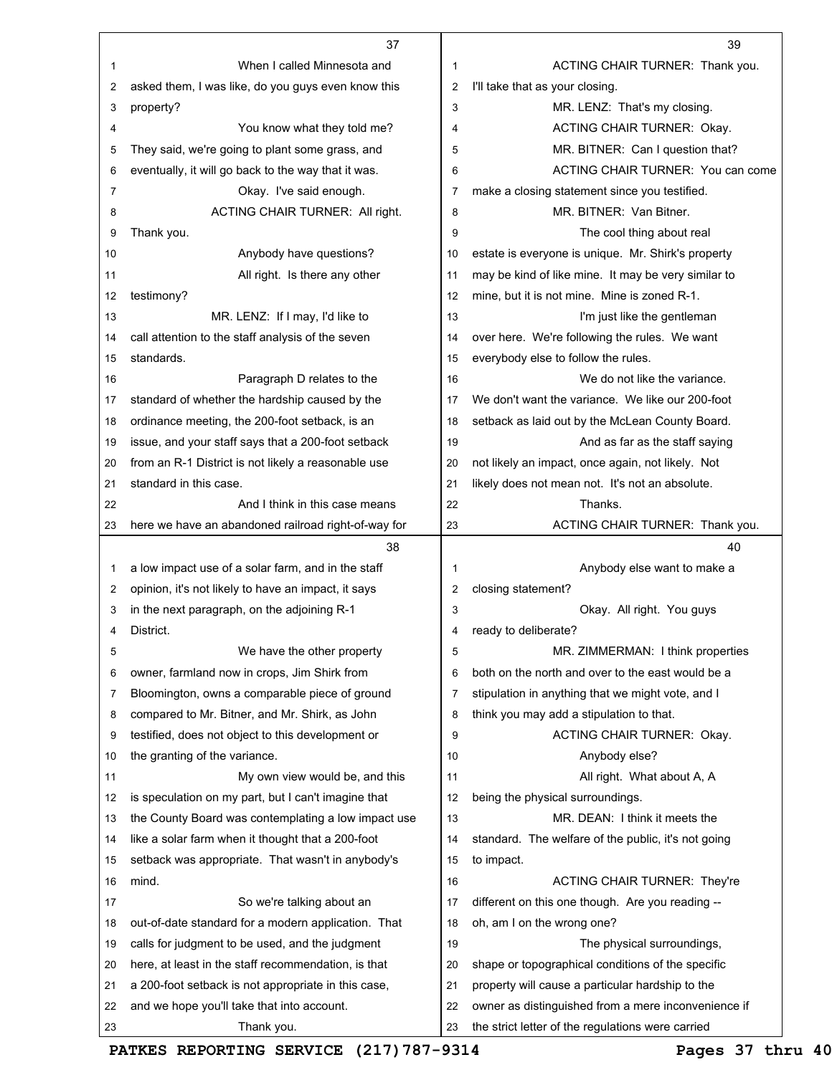|    | 37                                                  |                | 39                                                  |
|----|-----------------------------------------------------|----------------|-----------------------------------------------------|
| 1  | When I called Minnesota and                         | 1              | ACTING CHAIR TURNER: Thank you.                     |
| 2  | asked them, I was like, do you guys even know this  | $\overline{2}$ | I'll take that as your closing.                     |
| 3  | property?                                           | 3              | MR. LENZ: That's my closing.                        |
| 4  | You know what they told me?                         | 4              | ACTING CHAIR TURNER: Okay.                          |
| 5  | They said, we're going to plant some grass, and     | 5              | MR. BITNER: Can I question that?                    |
| 6  | eventually, it will go back to the way that it was. | 6              | ACTING CHAIR TURNER: You can come                   |
| 7  | Okay. I've said enough.                             | 7              | make a closing statement since you testified.       |
| 8  | ACTING CHAIR TURNER: All right.                     | 8              | MR. BITNER: Van Bitner.                             |
| 9  | Thank you.                                          | 9              | The cool thing about real                           |
| 10 | Anybody have questions?                             | 10             | estate is everyone is unique. Mr. Shirk's property  |
| 11 | All right. Is there any other                       | 11             | may be kind of like mine. It may be very similar to |
| 12 | testimony?                                          | 12             | mine, but it is not mine. Mine is zoned R-1.        |
| 13 | MR. LENZ: If I may, I'd like to                     | 13             | I'm just like the gentleman                         |
| 14 | call attention to the staff analysis of the seven   | 14             | over here. We're following the rules. We want       |
| 15 | standards.                                          | 15             | everybody else to follow the rules.                 |
| 16 | Paragraph D relates to the                          | 16             | We do not like the variance.                        |
| 17 | standard of whether the hardship caused by the      | 17             | We don't want the variance. We like our 200-foot    |
| 18 | ordinance meeting, the 200-foot setback, is an      | 18             | setback as laid out by the McLean County Board.     |
| 19 | issue, and your staff says that a 200-foot setback  | 19             | And as far as the staff saying                      |
| 20 | from an R-1 District is not likely a reasonable use | 20             | not likely an impact, once again, not likely. Not   |
| 21 | standard in this case.                              | 21             | likely does not mean not. It's not an absolute.     |
| 22 | And I think in this case means                      | 22             | Thanks.                                             |
| 23 | here we have an abandoned railroad right-of-way for | 23             | ACTING CHAIR TURNER: Thank you.                     |
|    |                                                     |                |                                                     |
|    | 38                                                  |                | 40                                                  |
| 1  | a low impact use of a solar farm, and in the staff  | 1              | Anybody else want to make a                         |
| 2  | opinion, it's not likely to have an impact, it says | 2              | closing statement?                                  |
| 3  | in the next paragraph, on the adjoining R-1         | 3              | Okay. All right. You guys                           |
| 4  | District.                                           | 4              | ready to deliberate?                                |
| 5  | We have the other property                          | 5              | MR. ZIMMERMAN: I think properties                   |
| 6  | owner, farmland now in crops, Jim Shirk from        | 6              | both on the north and over to the east would be a   |
| 7  | Bloomington, owns a comparable piece of ground      | 7              | stipulation in anything that we might vote, and I   |
| 8  | compared to Mr. Bitner, and Mr. Shirk, as John      | 8              | think you may add a stipulation to that.            |
| 9  | testified, does not object to this development or   | 9              | ACTING CHAIR TURNER: Okay.                          |
| 10 | the granting of the variance.                       | 10             | Anybody else?                                       |
| 11 | My own view would be, and this                      | 11             | All right. What about A, A                          |
| 12 | is speculation on my part, but I can't imagine that | 12             | being the physical surroundings.                    |
| 13 | the County Board was contemplating a low impact use | 13             | MR. DEAN: I think it meets the                      |
| 14 | like a solar farm when it thought that a 200-foot   | 14             | standard. The welfare of the public, it's not going |
| 15 | setback was appropriate. That wasn't in anybody's   | 15             | to impact.                                          |
| 16 | mind.                                               | 16             | <b>ACTING CHAIR TURNER: They're</b>                 |
| 17 | So we're talking about an                           | 17             | different on this one though. Are you reading --    |
| 18 | out-of-date standard for a modern application. That | 18             | oh, am I on the wrong one?                          |
| 19 | calls for judgment to be used, and the judgment     | 19             | The physical surroundings,                          |
| 20 | here, at least in the staff recommendation, is that | 20             | shape or topographical conditions of the specific   |
| 21 | a 200-foot setback is not appropriate in this case, | 21             | property will cause a particular hardship to the    |
| 22 | and we hope you'll take that into account.          | 22             | owner as distinguished from a mere inconvenience if |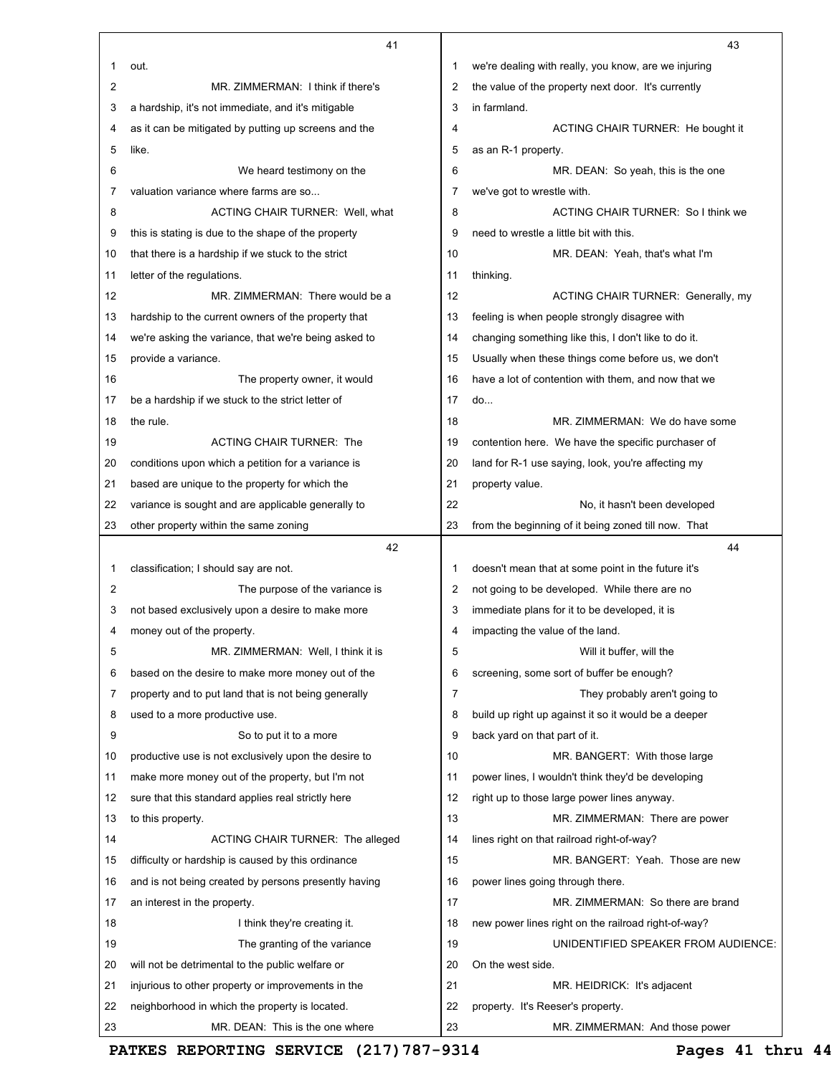|                | 41                                                   |                | 43                                                   |
|----------------|------------------------------------------------------|----------------|------------------------------------------------------|
| 1              | out.                                                 | 1              | we're dealing with really, you know, are we injuring |
| $\overline{2}$ | MR. ZIMMERMAN: I think if there's                    | 2              | the value of the property next door. It's currently  |
| 3              | a hardship, it's not immediate, and it's mitigable   | 3              | in farmland.                                         |
| 4              | as it can be mitigated by putting up screens and the | 4              | ACTING CHAIR TURNER: He bought it                    |
| 5              | like.                                                | 5              | as an R-1 property.                                  |
| 6              | We heard testimony on the                            | 6              | MR. DEAN: So yeah, this is the one                   |
| 7              | valuation variance where farms are so                | 7              | we've got to wrestle with.                           |
| 8              | <b>ACTING CHAIR TURNER: Well, what</b>               | 8              | ACTING CHAIR TURNER: So I think we                   |
| 9              | this is stating is due to the shape of the property  | 9              | need to wrestle a little bit with this.              |
| 10             | that there is a hardship if we stuck to the strict   | 10             | MR. DEAN: Yeah, that's what I'm                      |
| 11             | letter of the regulations.                           | 11             | thinking.                                            |
| 12             | MR. ZIMMERMAN: There would be a                      | 12             | ACTING CHAIR TURNER: Generally, my                   |
| 13             | hardship to the current owners of the property that  | 13             | feeling is when people strongly disagree with        |
| 14             | we're asking the variance, that we're being asked to | 14             | changing something like this, I don't like to do it. |
| 15             | provide a variance.                                  | 15             | Usually when these things come before us, we don't   |
| 16             | The property owner, it would                         | 16             | have a lot of contention with them, and now that we  |
| 17             | be a hardship if we stuck to the strict letter of    | 17             | do                                                   |
| 18             | the rule.                                            | 18             | MR. ZIMMERMAN: We do have some                       |
| 19             | <b>ACTING CHAIR TURNER: The</b>                      | 19             | contention here. We have the specific purchaser of   |
| 20             | conditions upon which a petition for a variance is   | 20             | land for R-1 use saying, look, you're affecting my   |
| 21             | based are unique to the property for which the       | 21             | property value.                                      |
| 22             | variance is sought and are applicable generally to   | 22             | No, it hasn't been developed                         |
| 23             | other property within the same zoning                | 23             | from the beginning of it being zoned till now. That  |
|                | 42                                                   |                | 44                                                   |
| 1              | classification; I should say are not.                | 1              | doesn't mean that at some point in the future it's   |
| 2              | The purpose of the variance is                       | 2              | not going to be developed. While there are no        |
| 3              | not based exclusively upon a desire to make more     | 3              | immediate plans for it to be developed, it is        |
| 4              | money out of the property.                           | 4              | impacting the value of the land.                     |
| 5              | MR. ZIMMERMAN: Well, I think it is                   | 5              | Will it buffer, will the                             |
| 6              | based on the desire to make more money out of the    | 6              | screening, some sort of buffer be enough?            |
| 7              | property and to put land that is not being generally | $\overline{7}$ | They probably aren't going to                        |
| 8              | used to a more productive use.                       | 8              | build up right up against it so it would be a deeper |
| 9              | So to put it to a more                               | 9              | back yard on that part of it.                        |
| 10             | productive use is not exclusively upon the desire to | 10             | MR. BANGERT: With those large                        |
| 11             | make more money out of the property, but I'm not     | 11             | power lines, I wouldn't think they'd be developing   |
| 12             | sure that this standard applies real strictly here   | 12             | right up to those large power lines anyway.          |
| 13             | to this property.                                    | 13             | MR. ZIMMERMAN: There are power                       |
| 14             | ACTING CHAIR TURNER: The alleged                     | 14             | lines right on that railroad right-of-way?           |
| 15             | difficulty or hardship is caused by this ordinance   | 15             | MR. BANGERT: Yeah. Those are new                     |
| 16             | and is not being created by persons presently having | 16             | power lines going through there.                     |
| 17             | an interest in the property.                         | 17             | MR. ZIMMERMAN: So there are brand                    |
| 18             | I think they're creating it.                         | 18             | new power lines right on the railroad right-of-way?  |
| 19             | The granting of the variance                         | 19             | UNIDENTIFIED SPEAKER FROM AUDIENCE:                  |
| 20             | will not be detrimental to the public welfare or     | 20             | On the west side.                                    |
| 21             | injurious to other property or improvements in the   | 21             | MR. HEIDRICK: It's adjacent                          |
| 22             | neighborhood in which the property is located.       | 22             | property. It's Reeser's property.                    |
| 23             | MR. DEAN: This is the one where                      | 23             | MR. ZIMMERMAN: And those power                       |

**PATKES REPORTING SERVICE (217)787-9314 Pages 41 thru 44**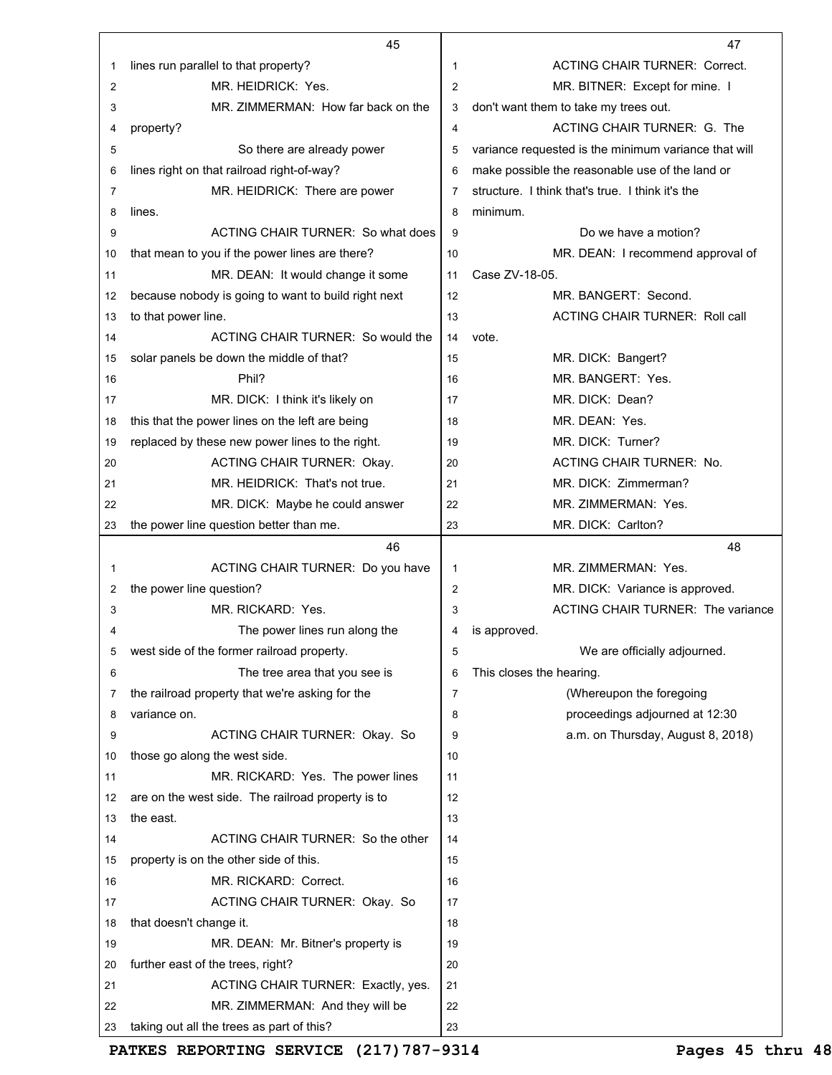|    | 45                                                  |    | 47                                                   |
|----|-----------------------------------------------------|----|------------------------------------------------------|
| 1  | lines run parallel to that property?                | 1  | <b>ACTING CHAIR TURNER: Correct.</b>                 |
| 2  | MR. HEIDRICK: Yes.                                  | 2  | MR. BITNER: Except for mine. I                       |
| 3  | MR. ZIMMERMAN: How far back on the                  | 3  | don't want them to take my trees out.                |
| 4  | property?                                           | 4  | ACTING CHAIR TURNER: G. The                          |
| 5  | So there are already power                          | 5  | variance requested is the minimum variance that will |
| 6  | lines right on that railroad right-of-way?          | 6  | make possible the reasonable use of the land or      |
| 7  | MR. HEIDRICK: There are power                       | 7  | structure. I think that's true. I think it's the     |
| 8  | lines.                                              | 8  | minimum.                                             |
| 9  | ACTING CHAIR TURNER: So what does                   | 9  | Do we have a motion?                                 |
| 10 | that mean to you if the power lines are there?      | 10 | MR. DEAN: I recommend approval of                    |
| 11 | MR. DEAN: It would change it some                   | 11 | Case ZV-18-05.                                       |
| 12 | because nobody is going to want to build right next | 12 | MR. BANGERT: Second.                                 |
| 13 | to that power line.                                 | 13 | <b>ACTING CHAIR TURNER: Roll call</b>                |
| 14 | ACTING CHAIR TURNER: So would the                   | 14 | vote.                                                |
| 15 | solar panels be down the middle of that?            | 15 | MR. DICK: Bangert?                                   |
| 16 | Phil?                                               | 16 | MR. BANGERT: Yes.                                    |
| 17 | MR. DICK: I think it's likely on                    | 17 | MR. DICK: Dean?                                      |
| 18 | this that the power lines on the left are being     | 18 | MR. DEAN: Yes.                                       |
| 19 | replaced by these new power lines to the right.     | 19 | MR. DICK: Turner?                                    |
| 20 | <b>ACTING CHAIR TURNER: Okay.</b>                   | 20 | ACTING CHAIR TURNER: No.                             |
| 21 | MR. HEIDRICK: That's not true.                      | 21 | MR. DICK: Zimmerman?                                 |
| 22 | MR. DICK: Maybe he could answer                     | 22 | MR. ZIMMERMAN: Yes.                                  |
| 23 | the power line question better than me.             | 23 | MR. DICK: Carlton?                                   |
|    |                                                     |    |                                                      |
|    | 46                                                  |    | 48                                                   |
| 1  | ACTING CHAIR TURNER: Do you have                    | 1  | MR. ZIMMERMAN: Yes.                                  |
| 2  | the power line question?                            | 2  | MR. DICK: Variance is approved.                      |
| 3  | MR. RICKARD: Yes.                                   | 3  | <b>ACTING CHAIR TURNER: The variance</b>             |
| 4  | The power lines run along the                       | 4  | is approved.                                         |
| 5  | west side of the former railroad property.          | 5  | We are officially adjourned.                         |
| 6  | The tree area that you see is                       | 6  | This closes the hearing.                             |
| 7  | the railroad property that we're asking for the     | 7  | (Whereupon the foregoing                             |
| 8  | variance on.                                        | 8  | proceedings adjourned at 12:30                       |
| 9  | ACTING CHAIR TURNER: Okay. So                       | 9  | a.m. on Thursday, August 8, 2018)                    |
| 10 | those go along the west side.                       | 10 |                                                      |
| 11 | MR. RICKARD: Yes. The power lines                   | 11 |                                                      |
| 12 | are on the west side. The railroad property is to   | 12 |                                                      |
| 13 | the east.                                           | 13 |                                                      |
| 14 | ACTING CHAIR TURNER: So the other                   | 14 |                                                      |
| 15 | property is on the other side of this.              | 15 |                                                      |
| 16 | MR. RICKARD: Correct.                               | 16 |                                                      |
| 17 | ACTING CHAIR TURNER: Okay. So                       | 17 |                                                      |
| 18 | that doesn't change it.                             | 18 |                                                      |
| 19 | MR. DEAN: Mr. Bitner's property is                  | 19 |                                                      |
| 20 | further east of the trees, right?                   | 20 |                                                      |
| 21 | ACTING CHAIR TURNER: Exactly, yes.                  | 21 |                                                      |
| 22 | MR. ZIMMERMAN: And they will be                     | 22 |                                                      |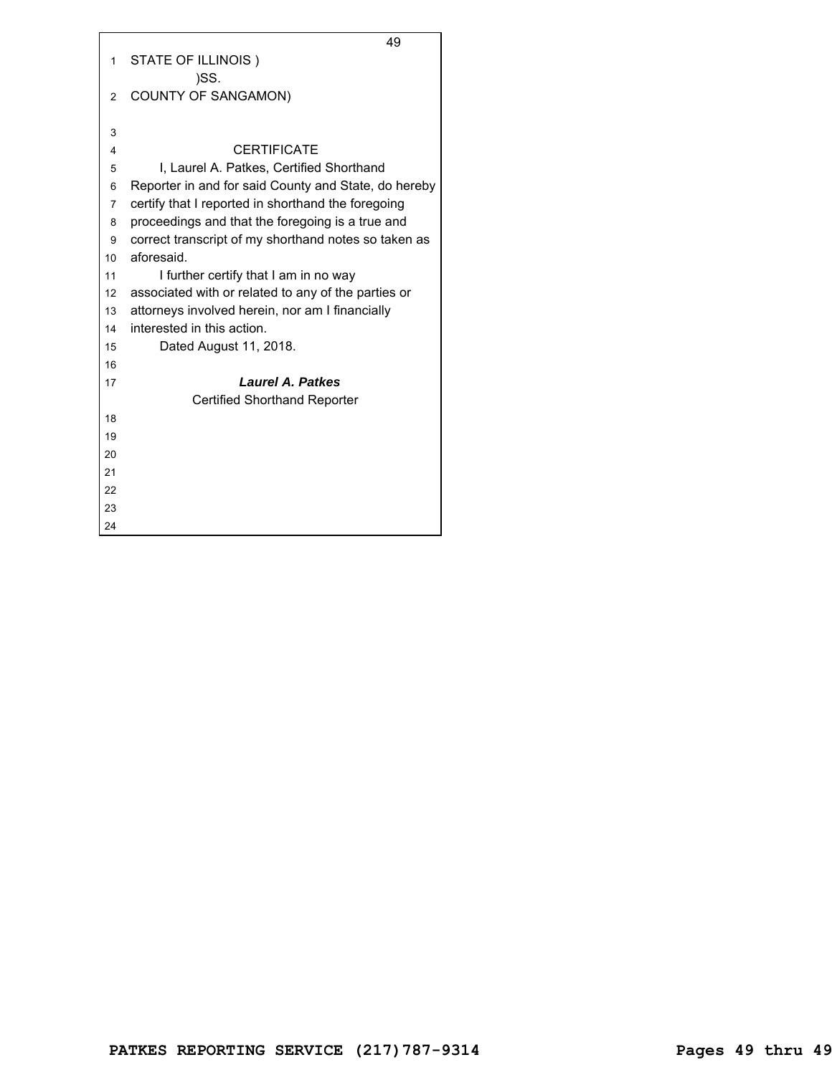|                | 49                                                   |
|----------------|------------------------------------------------------|
| 1              | STATE OF ILLINOIS)                                   |
|                | )SS.                                                 |
| $\overline{2}$ | <b>COUNTY OF SANGAMON)</b>                           |
|                |                                                      |
| 3              |                                                      |
| 4              | <b>CERTIFICATE</b>                                   |
| 5              | I, Laurel A. Patkes, Certified Shorthand             |
| 6              | Reporter in and for said County and State, do hereby |
| $\overline{7}$ | certify that I reported in shorthand the foregoing   |
| 8              | proceedings and that the foregoing is a true and     |
| 9              | correct transcript of my shorthand notes so taken as |
| 10             | aforesaid.                                           |
| 11             | I further certify that I am in no way                |
| 12             | associated with or related to any of the parties or  |
| 13             | attorneys involved herein, nor am I financially      |
| 14             | interested in this action.                           |
| 15             | Dated August 11, 2018.                               |
| 16             |                                                      |
| 17             | <b>Laurel A. Patkes</b>                              |
|                | <b>Certified Shorthand Reporter</b>                  |
| 18             |                                                      |
| 19             |                                                      |
| 20             |                                                      |
| 21             |                                                      |
| 22             |                                                      |
| 23             |                                                      |
| 24             |                                                      |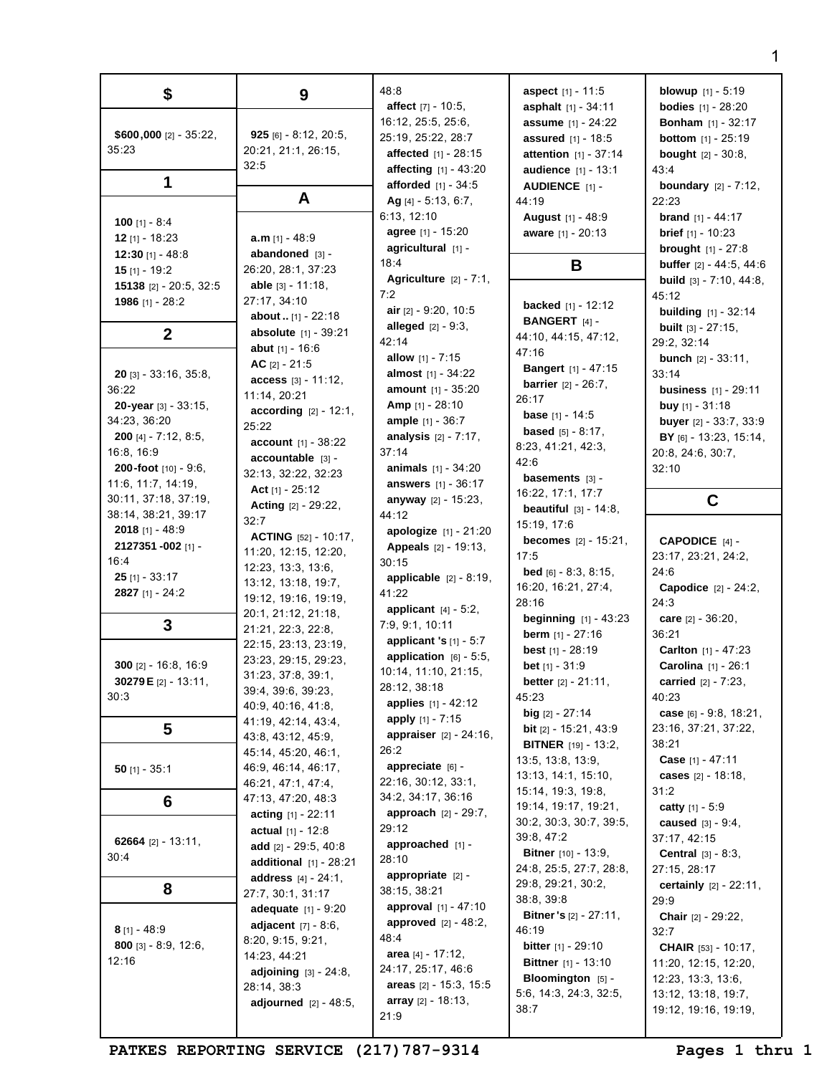| \$                                 | 9                                          | 48:8                                               | <b>aspect</b> [1] - 11:5                                   | <b>blowup</b> $[1] - 5:19$                                 |
|------------------------------------|--------------------------------------------|----------------------------------------------------|------------------------------------------------------------|------------------------------------------------------------|
|                                    |                                            | <b>affect</b> $[7] - 10:5$ ,<br>16:12, 25:5, 25:6, | <b>asphalt</b> $[1] - 34:11$                               | <b>bodies</b> $[1] - 28:20$                                |
| \$600,000 $[2] - 35:22$ ,          | 925 [6] - 8:12, 20:5,                      | 25:19, 25:22, 28:7                                 | <b>assume</b> $[1] - 24:22$<br><b>assured</b> $[1] - 18:5$ | <b>Bonham</b> $[1] - 32:17$<br><b>bottom</b> $[1] - 25:19$ |
| 35:23                              | 20:21, 21:1, 26:15,                        | <b>affected</b> $[1] - 28:15$                      | attention [1] - 37:14                                      | <b>bought</b> $[2] - 30:8$ ,                               |
|                                    | 32:5                                       | affecting [1] - 43:20                              | audience [1] - 13:1                                        | 43:4                                                       |
| 1                                  |                                            | afforded [1] - 34:5                                | AUDIENCE [1] -                                             | <b>boundary</b> $[2] - 7:12$ ,                             |
|                                    | A                                          | Ag [4] - 5:13, 6:7,                                | 44:19                                                      | 22:23                                                      |
|                                    |                                            | 6:13, 12:10                                        | August [1] - 48:9                                          | <b>brand</b> $[1] - 44:17$                                 |
| 100 [1] - 8:4                      |                                            | agree [1] - 15:20                                  | aware [1] - 20:13                                          | <b>brief</b> $[1] - 10:23$                                 |
| $12$ [1] - 18:23                   | $a.m$ [1] - 48:9                           | agricultural [1] -                                 |                                                            | <b>brought</b> $[1] - 27:8$                                |
| 12:30 [1] - 48:8                   | abandoned $[3]$ -                          | 18:4                                               | B                                                          | <b>buffer</b> $[2] - 44:5, 44:6$                           |
| $15$ [1] - 19:2                    | 26:20, 28:1, 37:23<br>able $[3] - 11:18$ , | Agriculture $[2] - 7:1$ ,                          |                                                            | <b>build</b> $[3] - 7:10, 44:8,$                           |
| 15138 [2] - 20:5, 32:5             | 27:17, 34:10                               | 7:2                                                |                                                            | 45:12                                                      |
| 1986 [1] - 28:2                    | <b>about</b> $[1]$ - 22:18                 | air $[2] - 9:20, 10:5$                             | <b>backed</b> $[1] - 12:12$                                | <b>building</b> $[1] - 32:14$                              |
|                                    | absolute [1] - 39:21                       | <b>alleged</b> $[2] - 9:3$ ,                       | <b>BANGERT</b> [4] -                                       | <b>built</b> $[3] - 27:15$ ,                               |
| $\mathbf{2}$                       | <b>abut</b> $[1] - 16:6$                   | 42:14                                              | 44:10, 44:15, 47:12,                                       | 29:2, 32:14                                                |
|                                    | AC $[2] - 21:5$                            | <b>allow</b> $[1] - 7:15$                          | 47:16                                                      | <b>bunch</b> $[2] - 33:11$ ,                               |
| <b>20</b> [3] - $33:16$ , $35:8$ , | access [3] - 11:12,                        | <b>almost</b> $[1] - 34:22$                        | <b>Bangert</b> [1] - 47:15                                 | 33:14                                                      |
| 36:22                              | 11:14, 20:21                               | amount [1] - 35:20                                 | <b>barrier</b> $[2] - 26:7$ ,                              | <b>business</b> $[1] - 29:11$                              |
| 20-year [3] - 33:15,               | <b>according</b> $[2] - 12:1$ ,            | <b>Amp</b> $[1] - 28:10$                           | 26:17                                                      | buy $[1] - 31:18$                                          |
| 34:23, 36:20                       | 25:22                                      | <b>ample</b> $[1] - 36:7$                          | <b>base</b> $[1] - 14:5$                                   | <b>buyer</b> $[2] - 33:7, 33:9$                            |
| <b>200</b> [4] - $7:12$ , $8:5$ ,  | account [1] - 38:22                        | analysis $[2] - 7:17$ ,                            | <b>based</b> $[5] - 8:17$ .                                | <b>BY</b> [6] - 13:23, 15:14,                              |
| 16:8, 16:9                         | accountable [3] -                          | 37:14                                              | 8:23, 41:21, 42:3,<br>42:6                                 | 20:8, 24:6, 30:7,                                          |
| 200-foot $[10] - 9:6$ ,            | 32:13, 32:22, 32:23                        | <b>animals</b> $[1] - 34:20$                       | basements [3] -                                            | 32:10                                                      |
| 11:6, 11:7, 14:19,                 | Act $[1] - 25:12$                          | <b>answers</b> [1] - 36:17                         | 16:22, 17:1, 17:7                                          |                                                            |
| 30:11, 37:18, 37:19,               | <b>Acting</b> $[2] - 29:22$ ,              | anyway [2] - 15:23,                                | <b>beautiful</b> $[3] - 14:8$ ,                            | C                                                          |
| 38:14, 38:21, 39:17                | 32:7                                       | 44:12                                              | 15:19, 17:6                                                |                                                            |
| <b>2018</b> [1] - 48:9             | <b>ACTING</b> $[52] - 10:17$ ,             | apologize [1] - 21:20                              | <b>becomes</b> $[2] - 15:21$ ,                             | CAPODICE $[4]$ -                                           |
| 2127351 -002 [1] -                 | 11:20, 12:15, 12:20,                       | Appeals [2] - 19:13,                               | 17:5                                                       | 23:17, 23:21, 24:2,                                        |
| 16:4                               | 12:23, 13:3, 13:6,                         | 30:15                                              | <b>bed</b> [6] - $8:3, 8:15$ ,                             | 24:6                                                       |
| $25$ [1] - 33:17                   | 13:12, 13:18, 19:7,                        | applicable $[2] - 8:19$ ,                          | 16:20, 16:21, 27:4,                                        | Capodice [2] - 24:2,                                       |
| 2827 [1] - 24:2                    | 19:12, 19:16, 19:19,                       | 41:22<br>applicant $[4] - 5:2$ ,                   | 28:16                                                      | 24:3                                                       |
| 3                                  | 20:1, 21:12, 21:18,                        | 7:9, 9:1, 10:11                                    | <b>beginning</b> $[1] - 43:23$                             | care $[2] - 36:20$ ,                                       |
|                                    | 21:21, 22:3, 22:8,                         | applicant 's $[1] - 5:7$                           | <b>berm</b> $[1] - 27:16$                                  | 36:21                                                      |
|                                    | 22:15, 23:13, 23:19,                       | application $[6] - 5:5$ ,                          | <b>best</b> $[1] - 28:19$                                  | Carlton [1] - 47:23                                        |
| 300 $[2] - 16:8, 16:9$             | 23:23, 29:15, 29:23,                       | 10:14, 11:10, 21:15,                               | <b>bet</b> $[1] - 31:9$                                    | Carolina [1] - 26:1                                        |
| 30279 E [2] - 13:11,               | 31:23, 37:8, 39:1,                         | 28:12, 38:18                                       | better [2] - 21:11,                                        | carried [2] - 7:23,                                        |
| 30:3                               | 39:4, 39:6, 39:23,<br>40:9, 40:16, 41:8,   | applies $[1] - 42:12$                              | 45:23                                                      | 40:23                                                      |
|                                    | 41:19, 42:14, 43:4,                        | apply $[1] - 7:15$                                 | $big$ [2] - 27:14                                          | case $[6] - 9:8, 18:21,$                                   |
| 5                                  | 43:8, 43:12, 45:9,                         | <b>appraiser</b> $[2] - 24:16$ ,                   | <b>bit</b> $[2] - 15:21, 43:9$                             | 23:16, 37:21, 37:22,                                       |
|                                    | 45:14, 45:20, 46:1,                        | 26:2                                               | <b>BITNER</b> [19] - 13:2,                                 | 38:21                                                      |
| $50$ [1] - 35:1                    | 46:9, 46:14, 46:17,                        | appreciate [6] -                                   | 13:5, 13:8, 13:9,                                          | <b>Case</b> $[1] - 47:11$                                  |
|                                    | 46:21, 47:1, 47:4,                         | 22:16, 30:12, 33:1,                                | 13:13, 14:1, 15:10,                                        | cases $[2] - 18:18$ ,                                      |
| 6                                  | 47:13, 47:20, 48:3                         | 34:2, 34:17, 36:16                                 | 15:14, 19:3, 19:8,                                         | 31:2                                                       |
|                                    | acting $[1] - 22:11$                       | <b>approach</b> $[2] - 29:7$ ,                     | 19:14, 19:17, 19:21,                                       | catty $[1] - 5:9$                                          |
|                                    | <b>actual</b> $[1] - 12:8$                 | 29:12                                              | 30:2, 30:3, 30:7, 39:5,<br>39:8, 47:2                      | <b>caused</b> $[3] - 9:4$ ,                                |
| 62664 $[2] - 13:11$ ,              | add $[2] - 29:5, 40:8$                     | approached [1] -                                   | <b>Bitner</b> $[10] - 13:9$ ,                              | 37:17, 42:15<br><b>Central</b> $[3] - 8:3$ ,               |
| 30:4                               | <b>additional</b> $[1] - 28:21$            | 28:10                                              | 24:8, 25:5, 27:7, 28:8,                                    | 27:15, 28:17                                               |
|                                    | <b>address</b> $[4] - 24:1$ ,              | appropriate $[2]$ -                                | 29:8, 29:21, 30:2,                                         | certainly [2] - 22:11,                                     |
| 8                                  | 27:7, 30:1, 31:17                          | 38:15, 38:21                                       | 38:8, 39:8                                                 | 29:9                                                       |
|                                    | <b>adequate</b> $[1] - 9:20$               | approval [1] - 47:10                               | <b>Bitner's</b> $[2] - 27:11$ ,                            | <b>Chair</b> $[2] - 29:22$ ,                               |
| $8$ [1] - 48:9                     | <b>adjacent</b> $[7] - 8:6$ ,              | <b>approved</b> $[2] - 48:2$ ,                     | 46:19                                                      | 32:7                                                       |
| <b>800</b> [3] $- 8:9, 12:6,$      | 8:20, 9:15, 9:21,                          | 48:4                                               | <b>bitter</b> $[1] - 29:10$                                | <b>CHAIR</b> $[53] - 10:17$ ,                              |
| 12:16                              | 14:23, 44:21                               | area $[4] - 17:12$ ,                               | <b>Bittner</b> $[1] - 13:10$                               | 11:20, 12:15, 12:20,                                       |
|                                    | <b>adjoining</b> $[3] - 24:8$ ,            | 24:17, 25:17, 46:6                                 | Bloomington [5] -                                          | 12:23, 13:3, 13:6,                                         |
|                                    | 28:14, 38:3                                | areas $[2] - 15:3, 15:5$                           | 5:6, 14:3, 24:3, 32:5,                                     | 13:12, 13:18, 19:7,                                        |
|                                    | <b>adjourned</b> $[2] - 48:5$ ,            | <b>array</b> $[2] - 18:13$ ,                       | 38:7                                                       | 19:12, 19:16, 19:19,                                       |
|                                    |                                            | 21:9                                               |                                                            |                                                            |

PATKES REPORTING SERVICE (217) 787-9314 Pages 1 thru 1

1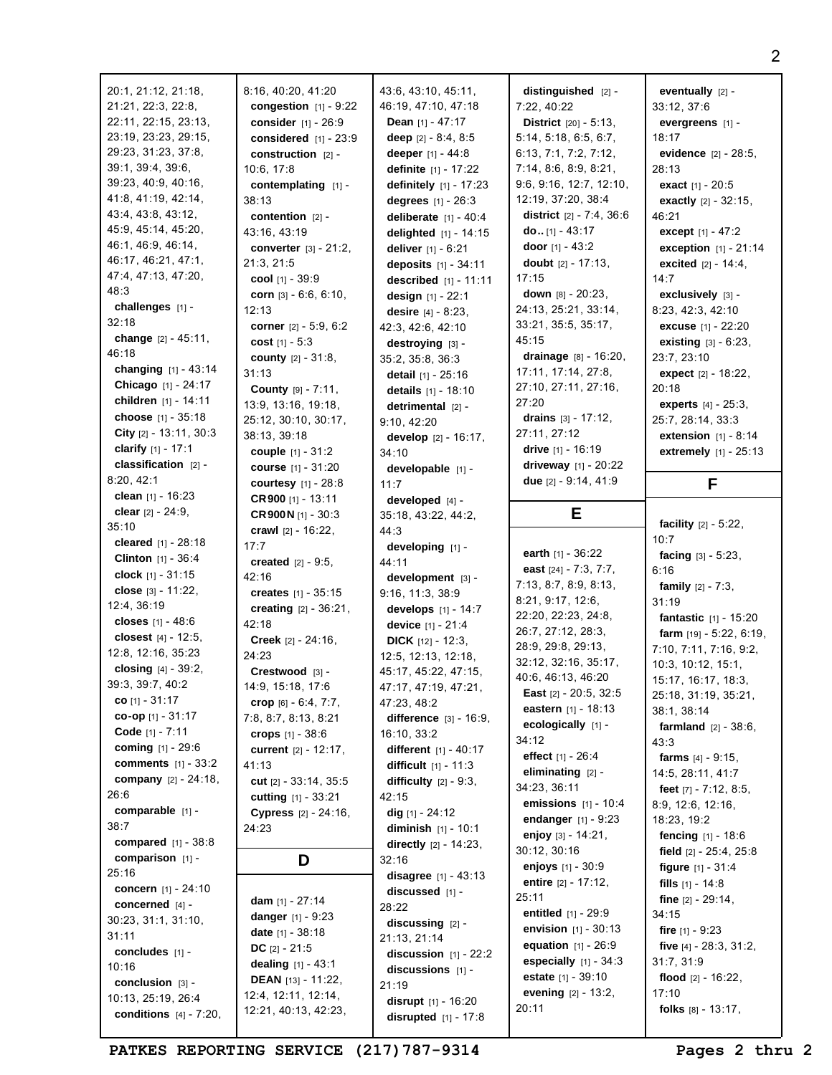| 20:1, 21:12, 21:18,                             | 8:16, 40:20, 41:20                          | 43:6, 43:10, 45:11,                 | distinguished [2] -             | eventually $[2]$ -             |
|-------------------------------------------------|---------------------------------------------|-------------------------------------|---------------------------------|--------------------------------|
| 21:21, 22:3, 22:8,                              | congestion $[1] - 9:22$                     | 46:19, 47:10, 47:18                 | 7:22, 40:22                     | 33:12, 37:6                    |
| 22:11, 22:15, 23:13,                            | consider [1] - 26:9                         | <b>Dean</b> $[1] - 47:17$           | <b>District</b> $[20] - 5:13$ , | evergreens [1] -               |
| 23:19, 23:23, 29:15,                            | considered $[1] - 23:9$                     | deep $[2] - 8:4, 8:5$               | 5:14, 5:18, 6:5, 6:7,           | 18:17                          |
| 29:23, 31:23, 37:8,                             | construction [2] -                          | deeper $[1] - 44:8$                 | 6:13, 7:1, 7:2, 7:12,           | evidence [2] - 28:5,           |
| 39:1, 39:4, 39:6,                               | 10:6, 17:8                                  | <b>definite</b> $[1] - 17:22$       | 7:14, 8:6, 8:9, 8:21,           | 28:13                          |
| 39:23, 40:9, 40:16,                             | contemplating [1] -                         | <b>definitely</b> $[1] - 17:23$     | 9:6, 9:16, 12:7, 12:10,         | <b>exact</b> $[1] - 20:5$      |
| 41:8, 41:19, 42:14,                             | 38:13                                       | degrees $[1] - 26:3$                | 12:19, 37:20, 38:4              | exactly [2] - 32:15,           |
| 43:4, 43:8, 43:12,                              | contention $[2]$ -                          | deliberate $[1] - 40:4$             | district $[2] - 7:4, 36:6$      | 46:21                          |
| 45:9, 45:14, 45:20,                             | 43:16, 43:19                                | delighted [1] - 14:15               | do $[1] - 43:17$                | except [1] - 47:2              |
| 46:1, 46:9, 46:14,                              | <b>converter</b> $[3] - 21:2$ ,             | deliver [1] - 6:21                  | <b>door</b> $[1] - 43:2$        | <b>exception</b> $[1] - 21:14$ |
| 46:17, 46:21, 47:1,                             | 21:3, 21:5                                  | deposits [1] - 34:11                | doubt $[2] - 17:13$ ,           | <b>excited</b> $[2] - 14:4$ ,  |
| 47:4, 47:13, 47:20,                             | cool [1] - 39:9                             | <b>described</b> $[1] - 11:11$      | 17:15                           | 14:7                           |
| 48:3                                            | <b>corn</b> $[3] - 6:6, 6:10,$              | design $[1] - 22:1$                 | down [8] - 20:23,               | exclusively [3] -              |
| challenges [1] -                                | 12:13                                       | desire $[4] - 8:23$ ,               | 24:13, 25:21, 33:14,            | 8:23, 42:3, 42:10              |
| 32:18                                           | corner $[2] - 5:9, 6:2$                     | 42:3, 42:6, 42:10                   | 33:21, 35:5, 35:17,             | <b>excuse</b> [1] - 22:20      |
| change $[2] - 45:11$ ,                          | cost $[1] - 5:3$                            | destroying [3] -                    | 45:15                           | <b>existing</b> $[3] - 6:23$ , |
| 46:18                                           | <b>county</b> $[2] - 31:8$ ,                | 35:2, 35:8, 36:3                    | drainage $[8] - 16:20$ ,        | 23:7, 23:10                    |
| changing [1] - 43:14                            | 31:13                                       | <b>detail</b> $[1] - 25:16$         | 17:11, 17:14, 27:8,             | expect $[2] - 18:22$ ,         |
| Chicago [1] - 24:17                             | County [9] - 7:11,                          | details [1] - 18:10                 | 27:10, 27:11, 27:16,            | 20:18                          |
| children [1] - 14:11                            | 13:9, 13:16, 19:18,                         | detrimental $[2]$ -                 | 27:20                           | <b>experts</b> $[4] - 25:3$ ,  |
| choose [1] - 35:18                              | 25:12, 30:10, 30:17,                        | 9:10, 42:20                         | drains $[3] - 17:12$ ,          | 25:7, 28:14, 33:3              |
| City $[2] - 13:11, 30:3$                        | 38:13, 39:18                                | develop $[2] - 16:17$ ,             | 27:11, 27:12                    | <b>extension</b> $[1] - 8:14$  |
| clarify [1] - 17:1                              | couple $[1] - 31:2$                         | 34:10                               | drive $[1] - 16:19$             | extremely [1] - 25:13          |
| classification [2] -                            | course [1] - 31:20                          | developable [1] -                   | driveway [1] - 20:22            |                                |
| 8:20, 42:1                                      | <b>courtesy</b> $[1] - 28:8$                | 11:7                                | due [2] - 9:14, 41:9            | F                              |
| clean $[1]$ - 16:23                             | $CR$ 900 [1] - 13:11                        | developed [4] -                     |                                 |                                |
| clear [2] - 24:9,                               | CR900N $[1] - 30:3$                         | 35:18, 43:22, 44:2,                 | Е                               |                                |
| 35:10                                           | crawl $[2] - 16:22$ ,                       | 44:3                                |                                 | facility $[2] - 5:22$ ,        |
| cleared $[1] - 28:18$                           | 17:7                                        |                                     |                                 | 10:7                           |
|                                                 |                                             |                                     |                                 |                                |
| Clinton [1] - 36:4                              |                                             | developing [1] -                    | earth $[1] - 36:22$             | facing $[3] - 5:23$ ,          |
| clock $[1] - 31:15$                             | <b>created</b> $[2] - 9:5$ ,<br>42:16       | 44:11                               | east $[24] - 7:3, 7:7,$         | 6:16                           |
| close $[3] - 11:22$ ,                           |                                             | development [3] -                   | 7:13, 8:7, 8:9, 8:13,           | <b>family</b> $[2] - 7:3$ ,    |
| 12:4, 36:19                                     | creates $[1] - 35:15$                       | 9:16, 11:3, 38:9                    | 8:21, 9:17, 12:6,               | 31:19                          |
| closes $[1] - 48:6$                             | creating [2] - 36:21,<br>42:18              | develops $[1] - 14:7$               | 22:20, 22:23, 24:8,             | <b>fantastic</b> $[1] - 15:20$ |
| closest [4] - 12:5,                             |                                             | device [1] - 21:4                   | 26:7, 27:12, 28:3,              | farm $[19] - 5:22, 6:19,$      |
| 12:8, 12:16, 35:23                              | <b>Creek</b> $[2] - 24:16$ ,<br>24:23       | <b>DICK</b> [12] - 12:3,            | 28:9, 29:8, 29:13,              | 7:10, 7:11, 7:16, 9:2,         |
| closing $[4] - 39:2$ ,                          |                                             | 12:5, 12:13, 12:18,                 | 32:12, 32:16, 35:17,            | 10:3, 10:12, 15:1,             |
| 39:3, 39:7, 40:2                                | Crestwood [3] -                             | 45:17, 45:22, 47:15,                | 40:6, 46:13, 46:20              | 15:17, 16:17, 18:3,            |
| $co$ [1] - 31:17                                | 14:9, 15:18, 17:6<br>crop [6] - 6:4, 7:7,   | 47:17, 47:19, 47:21,<br>47:23, 48:2 | <b>East</b> $[2] - 20:5$ , 32:5 | 25:18, 31:19, 35:21,           |
| co-op $[1]$ - 31:17                             | 7:8, 8:7, 8:13, 8:21                        | difference $[3] - 16:9$ ,           | eastern $[1] - 18:13$           | 38:1, 38:14                    |
| Code [1] - 7:11                                 | crops $[1] - 38:6$                          | 16:10, 33:2                         | ecologically [1] -              | <b>farmland</b> $[2] - 38:6$ , |
| <b>coming</b> $[1] - 29:6$                      | current [2] - 12:17,                        | different [1] - 40:17               | 34:12                           | 43:3                           |
| <b>comments</b> $[1] - 33:2$                    | 41:13                                       | <b>difficult</b> $[1] - 11:3$       | effect $[1] - 26:4$             | farms $[4] - 9:15$ ,           |
| company [2] - 24:18,                            | cut $[2] - 33:14, 35:5$                     | difficulty $[2] - 9:3$ ,            | eliminating $[2]$ -             | 14:5, 28:11, 41:7              |
| 26:6                                            | <b>cutting</b> $[1] - 33:21$                | 42:15                               | 34:23, 36:11                    | feet $[7] - 7:12, 8:5,$        |
| comparable $[1]$ -                              | <b>Cypress</b> $[2] - 24:16$ ,              | dig $[1] - 24:12$                   | emissions $[1] - 10:4$          | 8:9, 12:6, 12:16,              |
| 38:7                                            | 24:23                                       | diminish $[1] - 10:1$               | endanger $[1] - 9:23$           | 18:23, 19:2                    |
| <b>compared</b> $[1] - 38:8$                    |                                             | <b>directly</b> $[2] - 14:23$ ,     | enjoy $[3] - 14:21$ ,           | fencing $[1] - 18.6$           |
| comparison [1] -                                | D                                           | 32:16                               | 30:12, 30:16                    | field $[2] - 25:4, 25:8$       |
| 25:16                                           |                                             | disagree $[1] - 43:13$              | enjoys [1] - 30:9               | <b>figure</b> $[1] - 31:4$     |
| concern $[1] - 24:10$                           |                                             | discussed $[1]$ -                   | entire [2] - 17:12,             | <b>fills</b> $[1] - 14:8$      |
| concerned [4] -                                 | dam [1] - 27:14                             | 28:22                               | 25:11                           | fine $[2] - 29:14$ ,           |
| 30:23, 31:1, 31:10,                             | danger $[1] - 9:23$                         | discussing $[2]$ -                  | entitled [1] - 29:9             | 34:15                          |
| 31:11                                           | date $[1] - 38:18$                          | 21:13, 21:14                        | <b>envision</b> $[1] - 30:13$   | fire $[1] - 9:23$              |
| concludes [1] -                                 | DC $[2] - 21:5$                             | discussion $[1]$ - 22:2             | <b>equation</b> $[1] - 26:9$    | five $[4] - 28:3, 31:2,$       |
| 10:16                                           | <b>dealing</b> $[1] - 43:1$                 | discussions $[1]$ -                 | especially $[1] - 34:3$         | 31:7, 31:9                     |
| conclusion $[3]$ -                              | <b>DEAN</b> $[13] - 11:22$ ,                | 21:19                               | <b>estate</b> $[1] - 39:10$     | flood $[2] - 16:22$ ,          |
| 10:13, 25:19, 26:4<br>conditions $[4] - 7:20$ , | 12:4, 12:11, 12:14,<br>12:21, 40:13, 42:23, | <b>disrupt</b> $[1] - 16:20$        | evening $[2] - 13:2$ ,<br>20:11 | 17:10<br>folks $[8] - 13:17$ , |

**PATKES REPORTING SERVICE (217)787-9314 Pages 2 thru 2** 

2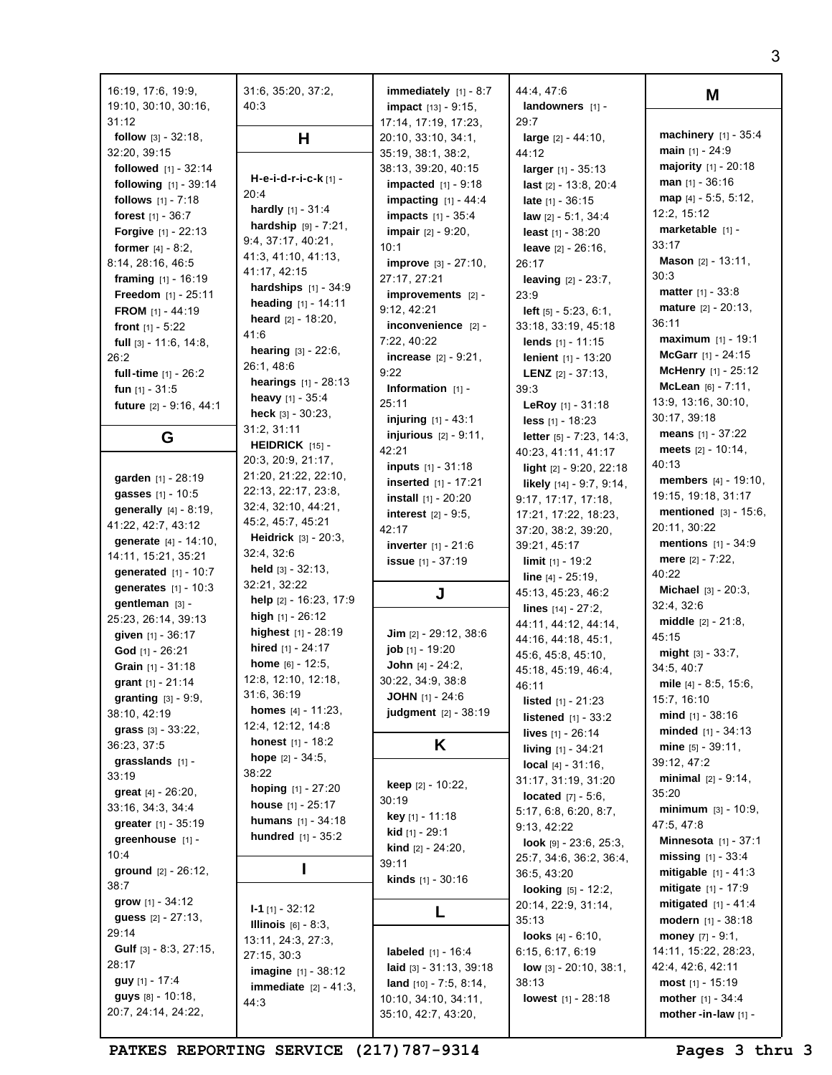| 31:12<br>29:7<br>17:14, 17:19, 17:23,<br><b>machinery</b> $[1] - 35:4$<br>н<br><b>follow</b> $[3] - 32:18$ ,<br>20:10, 33:10, 34:1,<br><b>large</b> $[2] - 44:10$ ,<br>main $[1] - 24:9$<br>32:20, 39:15<br>35:19, 38:1, 38:2,<br>44:12<br>majority $[1] - 20:18$<br><b>followed</b> $[1] - 32:14$<br>38:13, 39:20, 40:15<br><b>larger</b> $[1] - 35:13$<br>H-e-i-d-r-i-c-k $[1]$ -<br><b>man</b> $[1] - 36:16$<br><b>following</b> $[1] - 39:14$<br><b>impacted</b> $[1] - 9:18$<br>last $[2] - 13:8, 20:4$<br>20:4<br>map $[4] - 5:5, 5:12,$<br>follows $[1] - 7:18$<br><b>impacting</b> $[1] - 44:4$<br><b>late</b> $[1] - 36:15$<br><b>hardly</b> $[1] - 31:4$<br>12:2, 15:12<br><b>forest</b> $[1] - 36:7$<br><b>impacts</b> $[1] - 35:4$<br>law [2] - 5:1, 34:4<br><b>hardship</b> $[9] - 7:21$ ,<br>marketable [1] -<br>impair [2] - 9:20,<br><b>Forgive</b> $[1] - 22:13$<br>least $[1] - 38:20$<br>9:4, 37:17, 40:21,<br>33:17<br>10:1<br>former $[4] - 8:2$ ,<br><b>leave</b> $[2] - 26:16$ ,<br>41:3, 41:10, 41:13,<br><b>Mason</b> $[2] - 13:11$ ,<br>8:14, 28:16, 46:5<br><b>improve</b> $[3] - 27:10$ ,<br>26:17<br>41:17, 42:15<br>30:3<br>27:17, 27:21<br>framing $[1] - 16:19$<br><b>leaving</b> $[2] - 23:7$ ,<br><b>hardships</b> $[1] - 34:9$<br><b>matter</b> $[1] - 33:8$<br>Freedom [1] - 25:11<br>improvements [2] -<br>23:9<br>heading [1] - 14:11<br>mature [2] - 20:13,<br>9:12, 42:21<br>left $[5] - 5:23, 6:1,$<br><b>FROM</b> $[1] - 44:19$<br><b>heard</b> $[2] - 18:20$ ,<br>36:11<br>inconvenience [2] -<br>33:18, 33:19, 45:18<br><b>front</b> $[1] - 5:22$<br>41:6<br><b>maximum</b> $[1] - 19:1$<br>7:22, 40:22<br>lends $[1] - 11:15$<br>full $[3] - 11:6, 14:8,$<br><b>hearing</b> $[3] - 22:6$ ,<br>McGarr $[1] - 24:15$<br><b>increase</b> $[2] - 9:21$ ,<br>26:2<br><b>lenient</b> $[1] - 13:20$<br>26:1, 48:6<br><b>McHenry</b> $[1] - 25:12$<br>9:22<br>full-time [1] - 26:2<br><b>LENZ</b> $[2] - 37:13$ ,<br><b>hearings</b> $[1] - 28:13$<br>McLean $[6] - 7:11$ ,<br>Information $[1]$ -<br>39:3<br>fun $[1] - 31:5$<br>heavy $[1] - 35:4$<br>13:9, 13:16, 30:10,<br>25:11<br>LeRoy [1] - 31:18<br>future [2] - 9:16, 44:1<br>heck $[3] - 30:23$ ,<br>30:17, 39:18<br><b>injuring</b> $[1] - 43:1$<br>less [1] - 18:23<br>31:2, 31:11<br><b>means</b> $[1] - 37:22$<br><b>injurious</b> $[2] - 9:11$ ,<br>G<br><b>letter</b> $[5] - 7:23$ , 14:3,<br><b>HEIDRICK</b> $[15]$ -<br>meets $[2] - 10:14$ ,<br>42:21<br>40:23, 41:11, 41:17<br>20:3, 20:9, 21:17,<br>40:13<br><b>inputs</b> $[1] - 31:18$<br>light [2] - 9:20, 22:18<br>21:20, 21:22, 22:10,<br>garden [1] - 28:19<br><b>members</b> $[4] - 19:10$ ,<br><b>inserted</b> $[1] - 17:21$<br>likely $[14] - 9:7, 9:14,$<br>22:13, 22:17, 23:8,<br>gasses [1] - 10:5<br>19:15, 19:18, 31:17<br>install [1] - 20:20<br>9:17, 17:17, 17:18,<br>32:4, 32:10, 44:21,<br><b>generally</b> $[4] - 8:19$ ,<br><b>mentioned</b> $[3] - 15:6$ ,<br>$interest$ [2] - 9:5,<br>17:21, 17:22, 18:23,<br>45:2, 45:7, 45:21<br>41:22, 42:7, 43:12<br>20:11, 30:22<br>42:17<br>37:20, 38:2, 39:20,<br><b>Heidrick</b> $[3] - 20:3$ ,<br>generate [4] - 14:10,<br><b>mentions</b> $[1] - 34:9$<br><b>inverter</b> $[1] - 21:6$<br>39:21, 45:17<br>32:4, 32:6<br>14:11, 15:21, 35:21<br>mere $[2] - 7:22$ ,<br><b>issue</b> $[1] - 37:19$<br><b>limit</b> $[1]$ - 19:2<br><b>held</b> $[3] - 32:13$ ,<br><b>generated</b> $[1] - 10:7$<br>40:22<br>line [4] - 25:19,<br>32:21, 32:22<br>generates [1] - 10:3<br><b>Michael</b> $[3] - 20:3$ ,<br>45:13, 45:23, 46:2<br>J<br>help [2] - 16:23, 17:9<br>gentleman [3] -<br>32:4, 32:6<br>lines $[14] - 27:2$ ,<br>high $[1] - 26:12$<br>25:23, 26:14, 39:13<br><b>middle</b> $[2] - 21:8$ ,<br>44:11, 44:12, 44:14,<br>highest [1] - 28:19<br>Jim $[2] - 29:12, 38:6$<br>given $[1] - 36:17$<br>45:15<br>44:16, 44:18, 45:1,<br>hired [1] - 24:17<br>job [1] - 19:20<br>God [1] - 26:21<br><b>might</b> $[3] - 33:7$ ,<br>45:6, 45:8, 45:10,<br><b>home</b> $[6] - 12:5$ ,<br><b>John</b> $[4] - 24:2$ ,<br>Grain [1] - 31:18<br>34:5, 40:7<br>45:18, 45:19, 46:4,<br>12:8, 12:10, 12:18,<br>30:22, 34:9, 38:8<br>grant $[1]$ - 21:14<br>mile $[4] - 8:5, 15:6,$<br>46:11<br>31:6, 36:19<br><b>JOHN</b> [1] - 24:6<br><b>granting</b> $[3] - 9:9$ ,<br>15:7, 16:10<br><b>listed</b> $[1] - 21:23$<br><b>homes</b> $[4] - 11:23$ ,<br>judgment [2] - 38:19<br>38:10, 42:19<br><b>mind</b> $[1] - 38:16$<br><b>listened</b> $[1] - 33:2$<br>12:4, 12:12, 14:8<br>grass $[3] - 33:22$ ,<br>minded $[1] - 34:13$<br><b>lives</b> $[1] - 26:14$<br><b>honest</b> $[1] - 18:2$<br>K<br>36:23, 37:5<br>mine $[5] - 39:11$ ,<br><b>living</b> $[1] - 34:21$<br>hope $[2] - 34:5$ ,<br>grasslands $[1]$ -<br>39:12, 47:2<br><b>local</b> $[4] - 31:16$ ,<br>38:22<br>33:19<br>minimal $[2] - 9:14$ ,<br>31:17, 31:19, 31:20<br><b>keep</b> $[2] - 10:22$<br>hoping [1] - 27:20<br>great $[4] - 26:20$ ,<br>35:20<br><b>located</b> $[7] - 5:6$ ,<br>30:19<br>house $[1] - 25:17$<br>33:16, 34:3, 34:4<br>$minimum \;  31 - 10:9$ .<br>5:17, 6:8, 6:20, 8:7,<br>key [1] - 11:18<br><b>humans</b> $[1] - 34:18$<br>greater [1] - 35:19<br>47:5, 47:8<br>9:13, 42:22<br>kid [1] - 29:1<br><b>hundred</b> $[1] - 35:2$<br>greenhouse [1] -<br><b>Minnesota</b> $[1] - 37:1$<br>look [9] - 23:6, 25:3,<br><b>kind</b> $[2] - 24:20$ ,<br>10:4<br><b>missing</b> $[1] - 33:4$<br>25:7, 34:6, 36:2, 36:4,<br>39:11<br>ı<br>ground $[2] - 26:12$ ,<br><b>mitigable</b> $[1] - 41:3$<br>36:5, 43:20<br>kinds [1] - 30:16<br>38:7<br><b>mitigate</b> $[1] - 17:9$<br><b>looking</b> $[5] - 12:2$ ,<br>grow $[1] - 34:12$<br><b>mitigated</b> $[1] - 41:4$<br>20:14, 22:9, 31:14,<br>$I - 1$ [1] - 32:12<br>L<br><b>guess</b> $[2] - 27:13$ ,<br>35:13<br><b>modern</b> $[1] - 38:18$<br><b>Illinois</b> $[6] - 8:3$ ,<br>29:14<br><b>looks</b> $[4] - 6:10$ ,<br><b>money</b> $[7] - 9:1$ ,<br>13:11, 24:3, 27:3,<br><b>Gulf</b> $[3] - 8:3, 27:15,$<br>labeled $[1] - 16:4$<br>6:15, 6:17, 6:19<br>14:11, 15:22, 28:23,<br>27:15, 30:3<br>28:17<br>42:4, 42:6, 42:11<br>laid $[3] - 31:13, 39:18$<br><b>low</b> $[3] - 20:10, 38:1,$<br><b>imagine</b> $[1] - 38:12$<br>guy [1] - 17:4<br>38:13<br>most $[1] - 15:19$<br><b>land</b> $[10] - 7:5, 8:14,$<br><b>immediate</b> $[2] - 41:3$ ,<br>guys [8] - 10:18,<br>mother $[1] - 34:4$<br>10:10, 34:10, 34:11,<br><b>lowest</b> $[1] - 28:18$<br>44:3<br>20:7, 24:14, 24:22,<br>35:10, 42:7, 43:20,<br>mother-in-law [1] - | 16:19, 17:6, 19:9,<br>19:10, 30:10, 30:16, | 31:6, 35:20, 37:2,<br>40:3 | immediately $[1] - 8:7$<br><b>impact</b> $[13] - 9:15$ , | 44:4, 47:6<br>landowners $[1]$ - | M |
|--------------------------------------------------------------------------------------------------------------------------------------------------------------------------------------------------------------------------------------------------------------------------------------------------------------------------------------------------------------------------------------------------------------------------------------------------------------------------------------------------------------------------------------------------------------------------------------------------------------------------------------------------------------------------------------------------------------------------------------------------------------------------------------------------------------------------------------------------------------------------------------------------------------------------------------------------------------------------------------------------------------------------------------------------------------------------------------------------------------------------------------------------------------------------------------------------------------------------------------------------------------------------------------------------------------------------------------------------------------------------------------------------------------------------------------------------------------------------------------------------------------------------------------------------------------------------------------------------------------------------------------------------------------------------------------------------------------------------------------------------------------------------------------------------------------------------------------------------------------------------------------------------------------------------------------------------------------------------------------------------------------------------------------------------------------------------------------------------------------------------------------------------------------------------------------------------------------------------------------------------------------------------------------------------------------------------------------------------------------------------------------------------------------------------------------------------------------------------------------------------------------------------------------------------------------------------------------------------------------------------------------------------------------------------------------------------------------------------------------------------------------------------------------------------------------------------------------------------------------------------------------------------------------------------------------------------------------------------------------------------------------------------------------------------------------------------------------------------------------------------------------------------------------------------------------------------------------------------------------------------------------------------------------------------------------------------------------------------------------------------------------------------------------------------------------------------------------------------------------------------------------------------------------------------------------------------------------------------------------------------------------------------------------------------------------------------------------------------------------------------------------------------------------------------------------------------------------------------------------------------------------------------------------------------------------------------------------------------------------------------------------------------------------------------------------------------------------------------------------------------------------------------------------------------------------------------------------------------------------------------------------------------------------------------------------------------------------------------------------------------------------------------------------------------------------------------------------------------------------------------------------------------------------------------------------------------------------------------------------------------------------------------------------------------------------------------------------------------------------------------------------------------------------------------------------------------------------------------------------------------------------------------------------------------------------------------------------------------------------------------------------------------------------------------------------------------------------------------------------------------------------------------------------------------------------------------------------------------------------------------------------------------------------------------------------------------------------------------------------------------------------------------------------------------------------------------------------------------------------------------------------------------------------------------------------------------------------------------------------------------------------------------------------------------------------------------------------------------------------------------------------------------------------------------------------------------------------------------------------------------------------------------------------------------------------------------------------------------------------------------------------------------------------------------------------------------------------------------------------------------------------------------------------------------------------------------------------------------------------------------------------------------------------------------------------------------------------------------------------------------------------------------------------------------------------------------------------------------------------------|--------------------------------------------|----------------------------|----------------------------------------------------------|----------------------------------|---|
|                                                                                                                                                                                                                                                                                                                                                                                                                                                                                                                                                                                                                                                                                                                                                                                                                                                                                                                                                                                                                                                                                                                                                                                                                                                                                                                                                                                                                                                                                                                                                                                                                                                                                                                                                                                                                                                                                                                                                                                                                                                                                                                                                                                                                                                                                                                                                                                                                                                                                                                                                                                                                                                                                                                                                                                                                                                                                                                                                                                                                                                                                                                                                                                                                                                                                                                                                                                                                                                                                                                                                                                                                                                                                                                                                                                                                                                                                                                                                                                                                                                                                                                                                                                                                                                                                                                                                                                                                                                                                                                                                                                                                                                                                                                                                                                                                                                                                                                                                                                                                                                                                                                                                                                                                                                                                                                                                                                                                                                                                                                                                                                                                                                                                                                                                                                                                                                                                                                                                                                                                                                                                                                                                                                                                                                                                                                                                                                                                                                                                            |                                            |                            |                                                          |                                  |   |
|                                                                                                                                                                                                                                                                                                                                                                                                                                                                                                                                                                                                                                                                                                                                                                                                                                                                                                                                                                                                                                                                                                                                                                                                                                                                                                                                                                                                                                                                                                                                                                                                                                                                                                                                                                                                                                                                                                                                                                                                                                                                                                                                                                                                                                                                                                                                                                                                                                                                                                                                                                                                                                                                                                                                                                                                                                                                                                                                                                                                                                                                                                                                                                                                                                                                                                                                                                                                                                                                                                                                                                                                                                                                                                                                                                                                                                                                                                                                                                                                                                                                                                                                                                                                                                                                                                                                                                                                                                                                                                                                                                                                                                                                                                                                                                                                                                                                                                                                                                                                                                                                                                                                                                                                                                                                                                                                                                                                                                                                                                                                                                                                                                                                                                                                                                                                                                                                                                                                                                                                                                                                                                                                                                                                                                                                                                                                                                                                                                                                                            |                                            |                            |                                                          |                                  |   |
|                                                                                                                                                                                                                                                                                                                                                                                                                                                                                                                                                                                                                                                                                                                                                                                                                                                                                                                                                                                                                                                                                                                                                                                                                                                                                                                                                                                                                                                                                                                                                                                                                                                                                                                                                                                                                                                                                                                                                                                                                                                                                                                                                                                                                                                                                                                                                                                                                                                                                                                                                                                                                                                                                                                                                                                                                                                                                                                                                                                                                                                                                                                                                                                                                                                                                                                                                                                                                                                                                                                                                                                                                                                                                                                                                                                                                                                                                                                                                                                                                                                                                                                                                                                                                                                                                                                                                                                                                                                                                                                                                                                                                                                                                                                                                                                                                                                                                                                                                                                                                                                                                                                                                                                                                                                                                                                                                                                                                                                                                                                                                                                                                                                                                                                                                                                                                                                                                                                                                                                                                                                                                                                                                                                                                                                                                                                                                                                                                                                                                            |                                            |                            |                                                          |                                  |   |
|                                                                                                                                                                                                                                                                                                                                                                                                                                                                                                                                                                                                                                                                                                                                                                                                                                                                                                                                                                                                                                                                                                                                                                                                                                                                                                                                                                                                                                                                                                                                                                                                                                                                                                                                                                                                                                                                                                                                                                                                                                                                                                                                                                                                                                                                                                                                                                                                                                                                                                                                                                                                                                                                                                                                                                                                                                                                                                                                                                                                                                                                                                                                                                                                                                                                                                                                                                                                                                                                                                                                                                                                                                                                                                                                                                                                                                                                                                                                                                                                                                                                                                                                                                                                                                                                                                                                                                                                                                                                                                                                                                                                                                                                                                                                                                                                                                                                                                                                                                                                                                                                                                                                                                                                                                                                                                                                                                                                                                                                                                                                                                                                                                                                                                                                                                                                                                                                                                                                                                                                                                                                                                                                                                                                                                                                                                                                                                                                                                                                                            |                                            |                            |                                                          |                                  |   |
|                                                                                                                                                                                                                                                                                                                                                                                                                                                                                                                                                                                                                                                                                                                                                                                                                                                                                                                                                                                                                                                                                                                                                                                                                                                                                                                                                                                                                                                                                                                                                                                                                                                                                                                                                                                                                                                                                                                                                                                                                                                                                                                                                                                                                                                                                                                                                                                                                                                                                                                                                                                                                                                                                                                                                                                                                                                                                                                                                                                                                                                                                                                                                                                                                                                                                                                                                                                                                                                                                                                                                                                                                                                                                                                                                                                                                                                                                                                                                                                                                                                                                                                                                                                                                                                                                                                                                                                                                                                                                                                                                                                                                                                                                                                                                                                                                                                                                                                                                                                                                                                                                                                                                                                                                                                                                                                                                                                                                                                                                                                                                                                                                                                                                                                                                                                                                                                                                                                                                                                                                                                                                                                                                                                                                                                                                                                                                                                                                                                                                            |                                            |                            |                                                          |                                  |   |
|                                                                                                                                                                                                                                                                                                                                                                                                                                                                                                                                                                                                                                                                                                                                                                                                                                                                                                                                                                                                                                                                                                                                                                                                                                                                                                                                                                                                                                                                                                                                                                                                                                                                                                                                                                                                                                                                                                                                                                                                                                                                                                                                                                                                                                                                                                                                                                                                                                                                                                                                                                                                                                                                                                                                                                                                                                                                                                                                                                                                                                                                                                                                                                                                                                                                                                                                                                                                                                                                                                                                                                                                                                                                                                                                                                                                                                                                                                                                                                                                                                                                                                                                                                                                                                                                                                                                                                                                                                                                                                                                                                                                                                                                                                                                                                                                                                                                                                                                                                                                                                                                                                                                                                                                                                                                                                                                                                                                                                                                                                                                                                                                                                                                                                                                                                                                                                                                                                                                                                                                                                                                                                                                                                                                                                                                                                                                                                                                                                                                                            |                                            |                            |                                                          |                                  |   |
|                                                                                                                                                                                                                                                                                                                                                                                                                                                                                                                                                                                                                                                                                                                                                                                                                                                                                                                                                                                                                                                                                                                                                                                                                                                                                                                                                                                                                                                                                                                                                                                                                                                                                                                                                                                                                                                                                                                                                                                                                                                                                                                                                                                                                                                                                                                                                                                                                                                                                                                                                                                                                                                                                                                                                                                                                                                                                                                                                                                                                                                                                                                                                                                                                                                                                                                                                                                                                                                                                                                                                                                                                                                                                                                                                                                                                                                                                                                                                                                                                                                                                                                                                                                                                                                                                                                                                                                                                                                                                                                                                                                                                                                                                                                                                                                                                                                                                                                                                                                                                                                                                                                                                                                                                                                                                                                                                                                                                                                                                                                                                                                                                                                                                                                                                                                                                                                                                                                                                                                                                                                                                                                                                                                                                                                                                                                                                                                                                                                                                            |                                            |                            |                                                          |                                  |   |
|                                                                                                                                                                                                                                                                                                                                                                                                                                                                                                                                                                                                                                                                                                                                                                                                                                                                                                                                                                                                                                                                                                                                                                                                                                                                                                                                                                                                                                                                                                                                                                                                                                                                                                                                                                                                                                                                                                                                                                                                                                                                                                                                                                                                                                                                                                                                                                                                                                                                                                                                                                                                                                                                                                                                                                                                                                                                                                                                                                                                                                                                                                                                                                                                                                                                                                                                                                                                                                                                                                                                                                                                                                                                                                                                                                                                                                                                                                                                                                                                                                                                                                                                                                                                                                                                                                                                                                                                                                                                                                                                                                                                                                                                                                                                                                                                                                                                                                                                                                                                                                                                                                                                                                                                                                                                                                                                                                                                                                                                                                                                                                                                                                                                                                                                                                                                                                                                                                                                                                                                                                                                                                                                                                                                                                                                                                                                                                                                                                                                                            |                                            |                            |                                                          |                                  |   |
|                                                                                                                                                                                                                                                                                                                                                                                                                                                                                                                                                                                                                                                                                                                                                                                                                                                                                                                                                                                                                                                                                                                                                                                                                                                                                                                                                                                                                                                                                                                                                                                                                                                                                                                                                                                                                                                                                                                                                                                                                                                                                                                                                                                                                                                                                                                                                                                                                                                                                                                                                                                                                                                                                                                                                                                                                                                                                                                                                                                                                                                                                                                                                                                                                                                                                                                                                                                                                                                                                                                                                                                                                                                                                                                                                                                                                                                                                                                                                                                                                                                                                                                                                                                                                                                                                                                                                                                                                                                                                                                                                                                                                                                                                                                                                                                                                                                                                                                                                                                                                                                                                                                                                                                                                                                                                                                                                                                                                                                                                                                                                                                                                                                                                                                                                                                                                                                                                                                                                                                                                                                                                                                                                                                                                                                                                                                                                                                                                                                                                            |                                            |                            |                                                          |                                  |   |
|                                                                                                                                                                                                                                                                                                                                                                                                                                                                                                                                                                                                                                                                                                                                                                                                                                                                                                                                                                                                                                                                                                                                                                                                                                                                                                                                                                                                                                                                                                                                                                                                                                                                                                                                                                                                                                                                                                                                                                                                                                                                                                                                                                                                                                                                                                                                                                                                                                                                                                                                                                                                                                                                                                                                                                                                                                                                                                                                                                                                                                                                                                                                                                                                                                                                                                                                                                                                                                                                                                                                                                                                                                                                                                                                                                                                                                                                                                                                                                                                                                                                                                                                                                                                                                                                                                                                                                                                                                                                                                                                                                                                                                                                                                                                                                                                                                                                                                                                                                                                                                                                                                                                                                                                                                                                                                                                                                                                                                                                                                                                                                                                                                                                                                                                                                                                                                                                                                                                                                                                                                                                                                                                                                                                                                                                                                                                                                                                                                                                                            |                                            |                            |                                                          |                                  |   |
|                                                                                                                                                                                                                                                                                                                                                                                                                                                                                                                                                                                                                                                                                                                                                                                                                                                                                                                                                                                                                                                                                                                                                                                                                                                                                                                                                                                                                                                                                                                                                                                                                                                                                                                                                                                                                                                                                                                                                                                                                                                                                                                                                                                                                                                                                                                                                                                                                                                                                                                                                                                                                                                                                                                                                                                                                                                                                                                                                                                                                                                                                                                                                                                                                                                                                                                                                                                                                                                                                                                                                                                                                                                                                                                                                                                                                                                                                                                                                                                                                                                                                                                                                                                                                                                                                                                                                                                                                                                                                                                                                                                                                                                                                                                                                                                                                                                                                                                                                                                                                                                                                                                                                                                                                                                                                                                                                                                                                                                                                                                                                                                                                                                                                                                                                                                                                                                                                                                                                                                                                                                                                                                                                                                                                                                                                                                                                                                                                                                                                            |                                            |                            |                                                          |                                  |   |
|                                                                                                                                                                                                                                                                                                                                                                                                                                                                                                                                                                                                                                                                                                                                                                                                                                                                                                                                                                                                                                                                                                                                                                                                                                                                                                                                                                                                                                                                                                                                                                                                                                                                                                                                                                                                                                                                                                                                                                                                                                                                                                                                                                                                                                                                                                                                                                                                                                                                                                                                                                                                                                                                                                                                                                                                                                                                                                                                                                                                                                                                                                                                                                                                                                                                                                                                                                                                                                                                                                                                                                                                                                                                                                                                                                                                                                                                                                                                                                                                                                                                                                                                                                                                                                                                                                                                                                                                                                                                                                                                                                                                                                                                                                                                                                                                                                                                                                                                                                                                                                                                                                                                                                                                                                                                                                                                                                                                                                                                                                                                                                                                                                                                                                                                                                                                                                                                                                                                                                                                                                                                                                                                                                                                                                                                                                                                                                                                                                                                                            |                                            |                            |                                                          |                                  |   |
|                                                                                                                                                                                                                                                                                                                                                                                                                                                                                                                                                                                                                                                                                                                                                                                                                                                                                                                                                                                                                                                                                                                                                                                                                                                                                                                                                                                                                                                                                                                                                                                                                                                                                                                                                                                                                                                                                                                                                                                                                                                                                                                                                                                                                                                                                                                                                                                                                                                                                                                                                                                                                                                                                                                                                                                                                                                                                                                                                                                                                                                                                                                                                                                                                                                                                                                                                                                                                                                                                                                                                                                                                                                                                                                                                                                                                                                                                                                                                                                                                                                                                                                                                                                                                                                                                                                                                                                                                                                                                                                                                                                                                                                                                                                                                                                                                                                                                                                                                                                                                                                                                                                                                                                                                                                                                                                                                                                                                                                                                                                                                                                                                                                                                                                                                                                                                                                                                                                                                                                                                                                                                                                                                                                                                                                                                                                                                                                                                                                                                            |                                            |                            |                                                          |                                  |   |
|                                                                                                                                                                                                                                                                                                                                                                                                                                                                                                                                                                                                                                                                                                                                                                                                                                                                                                                                                                                                                                                                                                                                                                                                                                                                                                                                                                                                                                                                                                                                                                                                                                                                                                                                                                                                                                                                                                                                                                                                                                                                                                                                                                                                                                                                                                                                                                                                                                                                                                                                                                                                                                                                                                                                                                                                                                                                                                                                                                                                                                                                                                                                                                                                                                                                                                                                                                                                                                                                                                                                                                                                                                                                                                                                                                                                                                                                                                                                                                                                                                                                                                                                                                                                                                                                                                                                                                                                                                                                                                                                                                                                                                                                                                                                                                                                                                                                                                                                                                                                                                                                                                                                                                                                                                                                                                                                                                                                                                                                                                                                                                                                                                                                                                                                                                                                                                                                                                                                                                                                                                                                                                                                                                                                                                                                                                                                                                                                                                                                                            |                                            |                            |                                                          |                                  |   |
|                                                                                                                                                                                                                                                                                                                                                                                                                                                                                                                                                                                                                                                                                                                                                                                                                                                                                                                                                                                                                                                                                                                                                                                                                                                                                                                                                                                                                                                                                                                                                                                                                                                                                                                                                                                                                                                                                                                                                                                                                                                                                                                                                                                                                                                                                                                                                                                                                                                                                                                                                                                                                                                                                                                                                                                                                                                                                                                                                                                                                                                                                                                                                                                                                                                                                                                                                                                                                                                                                                                                                                                                                                                                                                                                                                                                                                                                                                                                                                                                                                                                                                                                                                                                                                                                                                                                                                                                                                                                                                                                                                                                                                                                                                                                                                                                                                                                                                                                                                                                                                                                                                                                                                                                                                                                                                                                                                                                                                                                                                                                                                                                                                                                                                                                                                                                                                                                                                                                                                                                                                                                                                                                                                                                                                                                                                                                                                                                                                                                                            |                                            |                            |                                                          |                                  |   |
|                                                                                                                                                                                                                                                                                                                                                                                                                                                                                                                                                                                                                                                                                                                                                                                                                                                                                                                                                                                                                                                                                                                                                                                                                                                                                                                                                                                                                                                                                                                                                                                                                                                                                                                                                                                                                                                                                                                                                                                                                                                                                                                                                                                                                                                                                                                                                                                                                                                                                                                                                                                                                                                                                                                                                                                                                                                                                                                                                                                                                                                                                                                                                                                                                                                                                                                                                                                                                                                                                                                                                                                                                                                                                                                                                                                                                                                                                                                                                                                                                                                                                                                                                                                                                                                                                                                                                                                                                                                                                                                                                                                                                                                                                                                                                                                                                                                                                                                                                                                                                                                                                                                                                                                                                                                                                                                                                                                                                                                                                                                                                                                                                                                                                                                                                                                                                                                                                                                                                                                                                                                                                                                                                                                                                                                                                                                                                                                                                                                                                            |                                            |                            |                                                          |                                  |   |
|                                                                                                                                                                                                                                                                                                                                                                                                                                                                                                                                                                                                                                                                                                                                                                                                                                                                                                                                                                                                                                                                                                                                                                                                                                                                                                                                                                                                                                                                                                                                                                                                                                                                                                                                                                                                                                                                                                                                                                                                                                                                                                                                                                                                                                                                                                                                                                                                                                                                                                                                                                                                                                                                                                                                                                                                                                                                                                                                                                                                                                                                                                                                                                                                                                                                                                                                                                                                                                                                                                                                                                                                                                                                                                                                                                                                                                                                                                                                                                                                                                                                                                                                                                                                                                                                                                                                                                                                                                                                                                                                                                                                                                                                                                                                                                                                                                                                                                                                                                                                                                                                                                                                                                                                                                                                                                                                                                                                                                                                                                                                                                                                                                                                                                                                                                                                                                                                                                                                                                                                                                                                                                                                                                                                                                                                                                                                                                                                                                                                                            |                                            |                            |                                                          |                                  |   |
|                                                                                                                                                                                                                                                                                                                                                                                                                                                                                                                                                                                                                                                                                                                                                                                                                                                                                                                                                                                                                                                                                                                                                                                                                                                                                                                                                                                                                                                                                                                                                                                                                                                                                                                                                                                                                                                                                                                                                                                                                                                                                                                                                                                                                                                                                                                                                                                                                                                                                                                                                                                                                                                                                                                                                                                                                                                                                                                                                                                                                                                                                                                                                                                                                                                                                                                                                                                                                                                                                                                                                                                                                                                                                                                                                                                                                                                                                                                                                                                                                                                                                                                                                                                                                                                                                                                                                                                                                                                                                                                                                                                                                                                                                                                                                                                                                                                                                                                                                                                                                                                                                                                                                                                                                                                                                                                                                                                                                                                                                                                                                                                                                                                                                                                                                                                                                                                                                                                                                                                                                                                                                                                                                                                                                                                                                                                                                                                                                                                                                            |                                            |                            |                                                          |                                  |   |
|                                                                                                                                                                                                                                                                                                                                                                                                                                                                                                                                                                                                                                                                                                                                                                                                                                                                                                                                                                                                                                                                                                                                                                                                                                                                                                                                                                                                                                                                                                                                                                                                                                                                                                                                                                                                                                                                                                                                                                                                                                                                                                                                                                                                                                                                                                                                                                                                                                                                                                                                                                                                                                                                                                                                                                                                                                                                                                                                                                                                                                                                                                                                                                                                                                                                                                                                                                                                                                                                                                                                                                                                                                                                                                                                                                                                                                                                                                                                                                                                                                                                                                                                                                                                                                                                                                                                                                                                                                                                                                                                                                                                                                                                                                                                                                                                                                                                                                                                                                                                                                                                                                                                                                                                                                                                                                                                                                                                                                                                                                                                                                                                                                                                                                                                                                                                                                                                                                                                                                                                                                                                                                                                                                                                                                                                                                                                                                                                                                                                                            |                                            |                            |                                                          |                                  |   |
|                                                                                                                                                                                                                                                                                                                                                                                                                                                                                                                                                                                                                                                                                                                                                                                                                                                                                                                                                                                                                                                                                                                                                                                                                                                                                                                                                                                                                                                                                                                                                                                                                                                                                                                                                                                                                                                                                                                                                                                                                                                                                                                                                                                                                                                                                                                                                                                                                                                                                                                                                                                                                                                                                                                                                                                                                                                                                                                                                                                                                                                                                                                                                                                                                                                                                                                                                                                                                                                                                                                                                                                                                                                                                                                                                                                                                                                                                                                                                                                                                                                                                                                                                                                                                                                                                                                                                                                                                                                                                                                                                                                                                                                                                                                                                                                                                                                                                                                                                                                                                                                                                                                                                                                                                                                                                                                                                                                                                                                                                                                                                                                                                                                                                                                                                                                                                                                                                                                                                                                                                                                                                                                                                                                                                                                                                                                                                                                                                                                                                            |                                            |                            |                                                          |                                  |   |
|                                                                                                                                                                                                                                                                                                                                                                                                                                                                                                                                                                                                                                                                                                                                                                                                                                                                                                                                                                                                                                                                                                                                                                                                                                                                                                                                                                                                                                                                                                                                                                                                                                                                                                                                                                                                                                                                                                                                                                                                                                                                                                                                                                                                                                                                                                                                                                                                                                                                                                                                                                                                                                                                                                                                                                                                                                                                                                                                                                                                                                                                                                                                                                                                                                                                                                                                                                                                                                                                                                                                                                                                                                                                                                                                                                                                                                                                                                                                                                                                                                                                                                                                                                                                                                                                                                                                                                                                                                                                                                                                                                                                                                                                                                                                                                                                                                                                                                                                                                                                                                                                                                                                                                                                                                                                                                                                                                                                                                                                                                                                                                                                                                                                                                                                                                                                                                                                                                                                                                                                                                                                                                                                                                                                                                                                                                                                                                                                                                                                                            |                                            |                            |                                                          |                                  |   |
|                                                                                                                                                                                                                                                                                                                                                                                                                                                                                                                                                                                                                                                                                                                                                                                                                                                                                                                                                                                                                                                                                                                                                                                                                                                                                                                                                                                                                                                                                                                                                                                                                                                                                                                                                                                                                                                                                                                                                                                                                                                                                                                                                                                                                                                                                                                                                                                                                                                                                                                                                                                                                                                                                                                                                                                                                                                                                                                                                                                                                                                                                                                                                                                                                                                                                                                                                                                                                                                                                                                                                                                                                                                                                                                                                                                                                                                                                                                                                                                                                                                                                                                                                                                                                                                                                                                                                                                                                                                                                                                                                                                                                                                                                                                                                                                                                                                                                                                                                                                                                                                                                                                                                                                                                                                                                                                                                                                                                                                                                                                                                                                                                                                                                                                                                                                                                                                                                                                                                                                                                                                                                                                                                                                                                                                                                                                                                                                                                                                                                            |                                            |                            |                                                          |                                  |   |
|                                                                                                                                                                                                                                                                                                                                                                                                                                                                                                                                                                                                                                                                                                                                                                                                                                                                                                                                                                                                                                                                                                                                                                                                                                                                                                                                                                                                                                                                                                                                                                                                                                                                                                                                                                                                                                                                                                                                                                                                                                                                                                                                                                                                                                                                                                                                                                                                                                                                                                                                                                                                                                                                                                                                                                                                                                                                                                                                                                                                                                                                                                                                                                                                                                                                                                                                                                                                                                                                                                                                                                                                                                                                                                                                                                                                                                                                                                                                                                                                                                                                                                                                                                                                                                                                                                                                                                                                                                                                                                                                                                                                                                                                                                                                                                                                                                                                                                                                                                                                                                                                                                                                                                                                                                                                                                                                                                                                                                                                                                                                                                                                                                                                                                                                                                                                                                                                                                                                                                                                                                                                                                                                                                                                                                                                                                                                                                                                                                                                                            |                                            |                            |                                                          |                                  |   |
|                                                                                                                                                                                                                                                                                                                                                                                                                                                                                                                                                                                                                                                                                                                                                                                                                                                                                                                                                                                                                                                                                                                                                                                                                                                                                                                                                                                                                                                                                                                                                                                                                                                                                                                                                                                                                                                                                                                                                                                                                                                                                                                                                                                                                                                                                                                                                                                                                                                                                                                                                                                                                                                                                                                                                                                                                                                                                                                                                                                                                                                                                                                                                                                                                                                                                                                                                                                                                                                                                                                                                                                                                                                                                                                                                                                                                                                                                                                                                                                                                                                                                                                                                                                                                                                                                                                                                                                                                                                                                                                                                                                                                                                                                                                                                                                                                                                                                                                                                                                                                                                                                                                                                                                                                                                                                                                                                                                                                                                                                                                                                                                                                                                                                                                                                                                                                                                                                                                                                                                                                                                                                                                                                                                                                                                                                                                                                                                                                                                                                            |                                            |                            |                                                          |                                  |   |
|                                                                                                                                                                                                                                                                                                                                                                                                                                                                                                                                                                                                                                                                                                                                                                                                                                                                                                                                                                                                                                                                                                                                                                                                                                                                                                                                                                                                                                                                                                                                                                                                                                                                                                                                                                                                                                                                                                                                                                                                                                                                                                                                                                                                                                                                                                                                                                                                                                                                                                                                                                                                                                                                                                                                                                                                                                                                                                                                                                                                                                                                                                                                                                                                                                                                                                                                                                                                                                                                                                                                                                                                                                                                                                                                                                                                                                                                                                                                                                                                                                                                                                                                                                                                                                                                                                                                                                                                                                                                                                                                                                                                                                                                                                                                                                                                                                                                                                                                                                                                                                                                                                                                                                                                                                                                                                                                                                                                                                                                                                                                                                                                                                                                                                                                                                                                                                                                                                                                                                                                                                                                                                                                                                                                                                                                                                                                                                                                                                                                                            |                                            |                            |                                                          |                                  |   |
|                                                                                                                                                                                                                                                                                                                                                                                                                                                                                                                                                                                                                                                                                                                                                                                                                                                                                                                                                                                                                                                                                                                                                                                                                                                                                                                                                                                                                                                                                                                                                                                                                                                                                                                                                                                                                                                                                                                                                                                                                                                                                                                                                                                                                                                                                                                                                                                                                                                                                                                                                                                                                                                                                                                                                                                                                                                                                                                                                                                                                                                                                                                                                                                                                                                                                                                                                                                                                                                                                                                                                                                                                                                                                                                                                                                                                                                                                                                                                                                                                                                                                                                                                                                                                                                                                                                                                                                                                                                                                                                                                                                                                                                                                                                                                                                                                                                                                                                                                                                                                                                                                                                                                                                                                                                                                                                                                                                                                                                                                                                                                                                                                                                                                                                                                                                                                                                                                                                                                                                                                                                                                                                                                                                                                                                                                                                                                                                                                                                                                            |                                            |                            |                                                          |                                  |   |
|                                                                                                                                                                                                                                                                                                                                                                                                                                                                                                                                                                                                                                                                                                                                                                                                                                                                                                                                                                                                                                                                                                                                                                                                                                                                                                                                                                                                                                                                                                                                                                                                                                                                                                                                                                                                                                                                                                                                                                                                                                                                                                                                                                                                                                                                                                                                                                                                                                                                                                                                                                                                                                                                                                                                                                                                                                                                                                                                                                                                                                                                                                                                                                                                                                                                                                                                                                                                                                                                                                                                                                                                                                                                                                                                                                                                                                                                                                                                                                                                                                                                                                                                                                                                                                                                                                                                                                                                                                                                                                                                                                                                                                                                                                                                                                                                                                                                                                                                                                                                                                                                                                                                                                                                                                                                                                                                                                                                                                                                                                                                                                                                                                                                                                                                                                                                                                                                                                                                                                                                                                                                                                                                                                                                                                                                                                                                                                                                                                                                                            |                                            |                            |                                                          |                                  |   |
|                                                                                                                                                                                                                                                                                                                                                                                                                                                                                                                                                                                                                                                                                                                                                                                                                                                                                                                                                                                                                                                                                                                                                                                                                                                                                                                                                                                                                                                                                                                                                                                                                                                                                                                                                                                                                                                                                                                                                                                                                                                                                                                                                                                                                                                                                                                                                                                                                                                                                                                                                                                                                                                                                                                                                                                                                                                                                                                                                                                                                                                                                                                                                                                                                                                                                                                                                                                                                                                                                                                                                                                                                                                                                                                                                                                                                                                                                                                                                                                                                                                                                                                                                                                                                                                                                                                                                                                                                                                                                                                                                                                                                                                                                                                                                                                                                                                                                                                                                                                                                                                                                                                                                                                                                                                                                                                                                                                                                                                                                                                                                                                                                                                                                                                                                                                                                                                                                                                                                                                                                                                                                                                                                                                                                                                                                                                                                                                                                                                                                            |                                            |                            |                                                          |                                  |   |
|                                                                                                                                                                                                                                                                                                                                                                                                                                                                                                                                                                                                                                                                                                                                                                                                                                                                                                                                                                                                                                                                                                                                                                                                                                                                                                                                                                                                                                                                                                                                                                                                                                                                                                                                                                                                                                                                                                                                                                                                                                                                                                                                                                                                                                                                                                                                                                                                                                                                                                                                                                                                                                                                                                                                                                                                                                                                                                                                                                                                                                                                                                                                                                                                                                                                                                                                                                                                                                                                                                                                                                                                                                                                                                                                                                                                                                                                                                                                                                                                                                                                                                                                                                                                                                                                                                                                                                                                                                                                                                                                                                                                                                                                                                                                                                                                                                                                                                                                                                                                                                                                                                                                                                                                                                                                                                                                                                                                                                                                                                                                                                                                                                                                                                                                                                                                                                                                                                                                                                                                                                                                                                                                                                                                                                                                                                                                                                                                                                                                                            |                                            |                            |                                                          |                                  |   |
|                                                                                                                                                                                                                                                                                                                                                                                                                                                                                                                                                                                                                                                                                                                                                                                                                                                                                                                                                                                                                                                                                                                                                                                                                                                                                                                                                                                                                                                                                                                                                                                                                                                                                                                                                                                                                                                                                                                                                                                                                                                                                                                                                                                                                                                                                                                                                                                                                                                                                                                                                                                                                                                                                                                                                                                                                                                                                                                                                                                                                                                                                                                                                                                                                                                                                                                                                                                                                                                                                                                                                                                                                                                                                                                                                                                                                                                                                                                                                                                                                                                                                                                                                                                                                                                                                                                                                                                                                                                                                                                                                                                                                                                                                                                                                                                                                                                                                                                                                                                                                                                                                                                                                                                                                                                                                                                                                                                                                                                                                                                                                                                                                                                                                                                                                                                                                                                                                                                                                                                                                                                                                                                                                                                                                                                                                                                                                                                                                                                                                            |                                            |                            |                                                          |                                  |   |
|                                                                                                                                                                                                                                                                                                                                                                                                                                                                                                                                                                                                                                                                                                                                                                                                                                                                                                                                                                                                                                                                                                                                                                                                                                                                                                                                                                                                                                                                                                                                                                                                                                                                                                                                                                                                                                                                                                                                                                                                                                                                                                                                                                                                                                                                                                                                                                                                                                                                                                                                                                                                                                                                                                                                                                                                                                                                                                                                                                                                                                                                                                                                                                                                                                                                                                                                                                                                                                                                                                                                                                                                                                                                                                                                                                                                                                                                                                                                                                                                                                                                                                                                                                                                                                                                                                                                                                                                                                                                                                                                                                                                                                                                                                                                                                                                                                                                                                                                                                                                                                                                                                                                                                                                                                                                                                                                                                                                                                                                                                                                                                                                                                                                                                                                                                                                                                                                                                                                                                                                                                                                                                                                                                                                                                                                                                                                                                                                                                                                                            |                                            |                            |                                                          |                                  |   |
|                                                                                                                                                                                                                                                                                                                                                                                                                                                                                                                                                                                                                                                                                                                                                                                                                                                                                                                                                                                                                                                                                                                                                                                                                                                                                                                                                                                                                                                                                                                                                                                                                                                                                                                                                                                                                                                                                                                                                                                                                                                                                                                                                                                                                                                                                                                                                                                                                                                                                                                                                                                                                                                                                                                                                                                                                                                                                                                                                                                                                                                                                                                                                                                                                                                                                                                                                                                                                                                                                                                                                                                                                                                                                                                                                                                                                                                                                                                                                                                                                                                                                                                                                                                                                                                                                                                                                                                                                                                                                                                                                                                                                                                                                                                                                                                                                                                                                                                                                                                                                                                                                                                                                                                                                                                                                                                                                                                                                                                                                                                                                                                                                                                                                                                                                                                                                                                                                                                                                                                                                                                                                                                                                                                                                                                                                                                                                                                                                                                                                            |                                            |                            |                                                          |                                  |   |
|                                                                                                                                                                                                                                                                                                                                                                                                                                                                                                                                                                                                                                                                                                                                                                                                                                                                                                                                                                                                                                                                                                                                                                                                                                                                                                                                                                                                                                                                                                                                                                                                                                                                                                                                                                                                                                                                                                                                                                                                                                                                                                                                                                                                                                                                                                                                                                                                                                                                                                                                                                                                                                                                                                                                                                                                                                                                                                                                                                                                                                                                                                                                                                                                                                                                                                                                                                                                                                                                                                                                                                                                                                                                                                                                                                                                                                                                                                                                                                                                                                                                                                                                                                                                                                                                                                                                                                                                                                                                                                                                                                                                                                                                                                                                                                                                                                                                                                                                                                                                                                                                                                                                                                                                                                                                                                                                                                                                                                                                                                                                                                                                                                                                                                                                                                                                                                                                                                                                                                                                                                                                                                                                                                                                                                                                                                                                                                                                                                                                                            |                                            |                            |                                                          |                                  |   |
|                                                                                                                                                                                                                                                                                                                                                                                                                                                                                                                                                                                                                                                                                                                                                                                                                                                                                                                                                                                                                                                                                                                                                                                                                                                                                                                                                                                                                                                                                                                                                                                                                                                                                                                                                                                                                                                                                                                                                                                                                                                                                                                                                                                                                                                                                                                                                                                                                                                                                                                                                                                                                                                                                                                                                                                                                                                                                                                                                                                                                                                                                                                                                                                                                                                                                                                                                                                                                                                                                                                                                                                                                                                                                                                                                                                                                                                                                                                                                                                                                                                                                                                                                                                                                                                                                                                                                                                                                                                                                                                                                                                                                                                                                                                                                                                                                                                                                                                                                                                                                                                                                                                                                                                                                                                                                                                                                                                                                                                                                                                                                                                                                                                                                                                                                                                                                                                                                                                                                                                                                                                                                                                                                                                                                                                                                                                                                                                                                                                                                            |                                            |                            |                                                          |                                  |   |
|                                                                                                                                                                                                                                                                                                                                                                                                                                                                                                                                                                                                                                                                                                                                                                                                                                                                                                                                                                                                                                                                                                                                                                                                                                                                                                                                                                                                                                                                                                                                                                                                                                                                                                                                                                                                                                                                                                                                                                                                                                                                                                                                                                                                                                                                                                                                                                                                                                                                                                                                                                                                                                                                                                                                                                                                                                                                                                                                                                                                                                                                                                                                                                                                                                                                                                                                                                                                                                                                                                                                                                                                                                                                                                                                                                                                                                                                                                                                                                                                                                                                                                                                                                                                                                                                                                                                                                                                                                                                                                                                                                                                                                                                                                                                                                                                                                                                                                                                                                                                                                                                                                                                                                                                                                                                                                                                                                                                                                                                                                                                                                                                                                                                                                                                                                                                                                                                                                                                                                                                                                                                                                                                                                                                                                                                                                                                                                                                                                                                                            |                                            |                            |                                                          |                                  |   |
|                                                                                                                                                                                                                                                                                                                                                                                                                                                                                                                                                                                                                                                                                                                                                                                                                                                                                                                                                                                                                                                                                                                                                                                                                                                                                                                                                                                                                                                                                                                                                                                                                                                                                                                                                                                                                                                                                                                                                                                                                                                                                                                                                                                                                                                                                                                                                                                                                                                                                                                                                                                                                                                                                                                                                                                                                                                                                                                                                                                                                                                                                                                                                                                                                                                                                                                                                                                                                                                                                                                                                                                                                                                                                                                                                                                                                                                                                                                                                                                                                                                                                                                                                                                                                                                                                                                                                                                                                                                                                                                                                                                                                                                                                                                                                                                                                                                                                                                                                                                                                                                                                                                                                                                                                                                                                                                                                                                                                                                                                                                                                                                                                                                                                                                                                                                                                                                                                                                                                                                                                                                                                                                                                                                                                                                                                                                                                                                                                                                                                            |                                            |                            |                                                          |                                  |   |
|                                                                                                                                                                                                                                                                                                                                                                                                                                                                                                                                                                                                                                                                                                                                                                                                                                                                                                                                                                                                                                                                                                                                                                                                                                                                                                                                                                                                                                                                                                                                                                                                                                                                                                                                                                                                                                                                                                                                                                                                                                                                                                                                                                                                                                                                                                                                                                                                                                                                                                                                                                                                                                                                                                                                                                                                                                                                                                                                                                                                                                                                                                                                                                                                                                                                                                                                                                                                                                                                                                                                                                                                                                                                                                                                                                                                                                                                                                                                                                                                                                                                                                                                                                                                                                                                                                                                                                                                                                                                                                                                                                                                                                                                                                                                                                                                                                                                                                                                                                                                                                                                                                                                                                                                                                                                                                                                                                                                                                                                                                                                                                                                                                                                                                                                                                                                                                                                                                                                                                                                                                                                                                                                                                                                                                                                                                                                                                                                                                                                                            |                                            |                            |                                                          |                                  |   |
|                                                                                                                                                                                                                                                                                                                                                                                                                                                                                                                                                                                                                                                                                                                                                                                                                                                                                                                                                                                                                                                                                                                                                                                                                                                                                                                                                                                                                                                                                                                                                                                                                                                                                                                                                                                                                                                                                                                                                                                                                                                                                                                                                                                                                                                                                                                                                                                                                                                                                                                                                                                                                                                                                                                                                                                                                                                                                                                                                                                                                                                                                                                                                                                                                                                                                                                                                                                                                                                                                                                                                                                                                                                                                                                                                                                                                                                                                                                                                                                                                                                                                                                                                                                                                                                                                                                                                                                                                                                                                                                                                                                                                                                                                                                                                                                                                                                                                                                                                                                                                                                                                                                                                                                                                                                                                                                                                                                                                                                                                                                                                                                                                                                                                                                                                                                                                                                                                                                                                                                                                                                                                                                                                                                                                                                                                                                                                                                                                                                                                            |                                            |                            |                                                          |                                  |   |
|                                                                                                                                                                                                                                                                                                                                                                                                                                                                                                                                                                                                                                                                                                                                                                                                                                                                                                                                                                                                                                                                                                                                                                                                                                                                                                                                                                                                                                                                                                                                                                                                                                                                                                                                                                                                                                                                                                                                                                                                                                                                                                                                                                                                                                                                                                                                                                                                                                                                                                                                                                                                                                                                                                                                                                                                                                                                                                                                                                                                                                                                                                                                                                                                                                                                                                                                                                                                                                                                                                                                                                                                                                                                                                                                                                                                                                                                                                                                                                                                                                                                                                                                                                                                                                                                                                                                                                                                                                                                                                                                                                                                                                                                                                                                                                                                                                                                                                                                                                                                                                                                                                                                                                                                                                                                                                                                                                                                                                                                                                                                                                                                                                                                                                                                                                                                                                                                                                                                                                                                                                                                                                                                                                                                                                                                                                                                                                                                                                                                                            |                                            |                            |                                                          |                                  |   |
|                                                                                                                                                                                                                                                                                                                                                                                                                                                                                                                                                                                                                                                                                                                                                                                                                                                                                                                                                                                                                                                                                                                                                                                                                                                                                                                                                                                                                                                                                                                                                                                                                                                                                                                                                                                                                                                                                                                                                                                                                                                                                                                                                                                                                                                                                                                                                                                                                                                                                                                                                                                                                                                                                                                                                                                                                                                                                                                                                                                                                                                                                                                                                                                                                                                                                                                                                                                                                                                                                                                                                                                                                                                                                                                                                                                                                                                                                                                                                                                                                                                                                                                                                                                                                                                                                                                                                                                                                                                                                                                                                                                                                                                                                                                                                                                                                                                                                                                                                                                                                                                                                                                                                                                                                                                                                                                                                                                                                                                                                                                                                                                                                                                                                                                                                                                                                                                                                                                                                                                                                                                                                                                                                                                                                                                                                                                                                                                                                                                                                            |                                            |                            |                                                          |                                  |   |
|                                                                                                                                                                                                                                                                                                                                                                                                                                                                                                                                                                                                                                                                                                                                                                                                                                                                                                                                                                                                                                                                                                                                                                                                                                                                                                                                                                                                                                                                                                                                                                                                                                                                                                                                                                                                                                                                                                                                                                                                                                                                                                                                                                                                                                                                                                                                                                                                                                                                                                                                                                                                                                                                                                                                                                                                                                                                                                                                                                                                                                                                                                                                                                                                                                                                                                                                                                                                                                                                                                                                                                                                                                                                                                                                                                                                                                                                                                                                                                                                                                                                                                                                                                                                                                                                                                                                                                                                                                                                                                                                                                                                                                                                                                                                                                                                                                                                                                                                                                                                                                                                                                                                                                                                                                                                                                                                                                                                                                                                                                                                                                                                                                                                                                                                                                                                                                                                                                                                                                                                                                                                                                                                                                                                                                                                                                                                                                                                                                                                                            |                                            |                            |                                                          |                                  |   |
|                                                                                                                                                                                                                                                                                                                                                                                                                                                                                                                                                                                                                                                                                                                                                                                                                                                                                                                                                                                                                                                                                                                                                                                                                                                                                                                                                                                                                                                                                                                                                                                                                                                                                                                                                                                                                                                                                                                                                                                                                                                                                                                                                                                                                                                                                                                                                                                                                                                                                                                                                                                                                                                                                                                                                                                                                                                                                                                                                                                                                                                                                                                                                                                                                                                                                                                                                                                                                                                                                                                                                                                                                                                                                                                                                                                                                                                                                                                                                                                                                                                                                                                                                                                                                                                                                                                                                                                                                                                                                                                                                                                                                                                                                                                                                                                                                                                                                                                                                                                                                                                                                                                                                                                                                                                                                                                                                                                                                                                                                                                                                                                                                                                                                                                                                                                                                                                                                                                                                                                                                                                                                                                                                                                                                                                                                                                                                                                                                                                                                            |                                            |                            |                                                          |                                  |   |
|                                                                                                                                                                                                                                                                                                                                                                                                                                                                                                                                                                                                                                                                                                                                                                                                                                                                                                                                                                                                                                                                                                                                                                                                                                                                                                                                                                                                                                                                                                                                                                                                                                                                                                                                                                                                                                                                                                                                                                                                                                                                                                                                                                                                                                                                                                                                                                                                                                                                                                                                                                                                                                                                                                                                                                                                                                                                                                                                                                                                                                                                                                                                                                                                                                                                                                                                                                                                                                                                                                                                                                                                                                                                                                                                                                                                                                                                                                                                                                                                                                                                                                                                                                                                                                                                                                                                                                                                                                                                                                                                                                                                                                                                                                                                                                                                                                                                                                                                                                                                                                                                                                                                                                                                                                                                                                                                                                                                                                                                                                                                                                                                                                                                                                                                                                                                                                                                                                                                                                                                                                                                                                                                                                                                                                                                                                                                                                                                                                                                                            |                                            |                            |                                                          |                                  |   |
|                                                                                                                                                                                                                                                                                                                                                                                                                                                                                                                                                                                                                                                                                                                                                                                                                                                                                                                                                                                                                                                                                                                                                                                                                                                                                                                                                                                                                                                                                                                                                                                                                                                                                                                                                                                                                                                                                                                                                                                                                                                                                                                                                                                                                                                                                                                                                                                                                                                                                                                                                                                                                                                                                                                                                                                                                                                                                                                                                                                                                                                                                                                                                                                                                                                                                                                                                                                                                                                                                                                                                                                                                                                                                                                                                                                                                                                                                                                                                                                                                                                                                                                                                                                                                                                                                                                                                                                                                                                                                                                                                                                                                                                                                                                                                                                                                                                                                                                                                                                                                                                                                                                                                                                                                                                                                                                                                                                                                                                                                                                                                                                                                                                                                                                                                                                                                                                                                                                                                                                                                                                                                                                                                                                                                                                                                                                                                                                                                                                                                            |                                            |                            |                                                          |                                  |   |
|                                                                                                                                                                                                                                                                                                                                                                                                                                                                                                                                                                                                                                                                                                                                                                                                                                                                                                                                                                                                                                                                                                                                                                                                                                                                                                                                                                                                                                                                                                                                                                                                                                                                                                                                                                                                                                                                                                                                                                                                                                                                                                                                                                                                                                                                                                                                                                                                                                                                                                                                                                                                                                                                                                                                                                                                                                                                                                                                                                                                                                                                                                                                                                                                                                                                                                                                                                                                                                                                                                                                                                                                                                                                                                                                                                                                                                                                                                                                                                                                                                                                                                                                                                                                                                                                                                                                                                                                                                                                                                                                                                                                                                                                                                                                                                                                                                                                                                                                                                                                                                                                                                                                                                                                                                                                                                                                                                                                                                                                                                                                                                                                                                                                                                                                                                                                                                                                                                                                                                                                                                                                                                                                                                                                                                                                                                                                                                                                                                                                                            |                                            |                            |                                                          |                                  |   |
|                                                                                                                                                                                                                                                                                                                                                                                                                                                                                                                                                                                                                                                                                                                                                                                                                                                                                                                                                                                                                                                                                                                                                                                                                                                                                                                                                                                                                                                                                                                                                                                                                                                                                                                                                                                                                                                                                                                                                                                                                                                                                                                                                                                                                                                                                                                                                                                                                                                                                                                                                                                                                                                                                                                                                                                                                                                                                                                                                                                                                                                                                                                                                                                                                                                                                                                                                                                                                                                                                                                                                                                                                                                                                                                                                                                                                                                                                                                                                                                                                                                                                                                                                                                                                                                                                                                                                                                                                                                                                                                                                                                                                                                                                                                                                                                                                                                                                                                                                                                                                                                                                                                                                                                                                                                                                                                                                                                                                                                                                                                                                                                                                                                                                                                                                                                                                                                                                                                                                                                                                                                                                                                                                                                                                                                                                                                                                                                                                                                                                            |                                            |                            |                                                          |                                  |   |
|                                                                                                                                                                                                                                                                                                                                                                                                                                                                                                                                                                                                                                                                                                                                                                                                                                                                                                                                                                                                                                                                                                                                                                                                                                                                                                                                                                                                                                                                                                                                                                                                                                                                                                                                                                                                                                                                                                                                                                                                                                                                                                                                                                                                                                                                                                                                                                                                                                                                                                                                                                                                                                                                                                                                                                                                                                                                                                                                                                                                                                                                                                                                                                                                                                                                                                                                                                                                                                                                                                                                                                                                                                                                                                                                                                                                                                                                                                                                                                                                                                                                                                                                                                                                                                                                                                                                                                                                                                                                                                                                                                                                                                                                                                                                                                                                                                                                                                                                                                                                                                                                                                                                                                                                                                                                                                                                                                                                                                                                                                                                                                                                                                                                                                                                                                                                                                                                                                                                                                                                                                                                                                                                                                                                                                                                                                                                                                                                                                                                                            |                                            |                            |                                                          |                                  |   |
|                                                                                                                                                                                                                                                                                                                                                                                                                                                                                                                                                                                                                                                                                                                                                                                                                                                                                                                                                                                                                                                                                                                                                                                                                                                                                                                                                                                                                                                                                                                                                                                                                                                                                                                                                                                                                                                                                                                                                                                                                                                                                                                                                                                                                                                                                                                                                                                                                                                                                                                                                                                                                                                                                                                                                                                                                                                                                                                                                                                                                                                                                                                                                                                                                                                                                                                                                                                                                                                                                                                                                                                                                                                                                                                                                                                                                                                                                                                                                                                                                                                                                                                                                                                                                                                                                                                                                                                                                                                                                                                                                                                                                                                                                                                                                                                                                                                                                                                                                                                                                                                                                                                                                                                                                                                                                                                                                                                                                                                                                                                                                                                                                                                                                                                                                                                                                                                                                                                                                                                                                                                                                                                                                                                                                                                                                                                                                                                                                                                                                            |                                            |                            |                                                          |                                  |   |
|                                                                                                                                                                                                                                                                                                                                                                                                                                                                                                                                                                                                                                                                                                                                                                                                                                                                                                                                                                                                                                                                                                                                                                                                                                                                                                                                                                                                                                                                                                                                                                                                                                                                                                                                                                                                                                                                                                                                                                                                                                                                                                                                                                                                                                                                                                                                                                                                                                                                                                                                                                                                                                                                                                                                                                                                                                                                                                                                                                                                                                                                                                                                                                                                                                                                                                                                                                                                                                                                                                                                                                                                                                                                                                                                                                                                                                                                                                                                                                                                                                                                                                                                                                                                                                                                                                                                                                                                                                                                                                                                                                                                                                                                                                                                                                                                                                                                                                                                                                                                                                                                                                                                                                                                                                                                                                                                                                                                                                                                                                                                                                                                                                                                                                                                                                                                                                                                                                                                                                                                                                                                                                                                                                                                                                                                                                                                                                                                                                                                                            |                                            |                            |                                                          |                                  |   |
|                                                                                                                                                                                                                                                                                                                                                                                                                                                                                                                                                                                                                                                                                                                                                                                                                                                                                                                                                                                                                                                                                                                                                                                                                                                                                                                                                                                                                                                                                                                                                                                                                                                                                                                                                                                                                                                                                                                                                                                                                                                                                                                                                                                                                                                                                                                                                                                                                                                                                                                                                                                                                                                                                                                                                                                                                                                                                                                                                                                                                                                                                                                                                                                                                                                                                                                                                                                                                                                                                                                                                                                                                                                                                                                                                                                                                                                                                                                                                                                                                                                                                                                                                                                                                                                                                                                                                                                                                                                                                                                                                                                                                                                                                                                                                                                                                                                                                                                                                                                                                                                                                                                                                                                                                                                                                                                                                                                                                                                                                                                                                                                                                                                                                                                                                                                                                                                                                                                                                                                                                                                                                                                                                                                                                                                                                                                                                                                                                                                                                            |                                            |                            |                                                          |                                  |   |
|                                                                                                                                                                                                                                                                                                                                                                                                                                                                                                                                                                                                                                                                                                                                                                                                                                                                                                                                                                                                                                                                                                                                                                                                                                                                                                                                                                                                                                                                                                                                                                                                                                                                                                                                                                                                                                                                                                                                                                                                                                                                                                                                                                                                                                                                                                                                                                                                                                                                                                                                                                                                                                                                                                                                                                                                                                                                                                                                                                                                                                                                                                                                                                                                                                                                                                                                                                                                                                                                                                                                                                                                                                                                                                                                                                                                                                                                                                                                                                                                                                                                                                                                                                                                                                                                                                                                                                                                                                                                                                                                                                                                                                                                                                                                                                                                                                                                                                                                                                                                                                                                                                                                                                                                                                                                                                                                                                                                                                                                                                                                                                                                                                                                                                                                                                                                                                                                                                                                                                                                                                                                                                                                                                                                                                                                                                                                                                                                                                                                                            |                                            |                            |                                                          |                                  |   |
|                                                                                                                                                                                                                                                                                                                                                                                                                                                                                                                                                                                                                                                                                                                                                                                                                                                                                                                                                                                                                                                                                                                                                                                                                                                                                                                                                                                                                                                                                                                                                                                                                                                                                                                                                                                                                                                                                                                                                                                                                                                                                                                                                                                                                                                                                                                                                                                                                                                                                                                                                                                                                                                                                                                                                                                                                                                                                                                                                                                                                                                                                                                                                                                                                                                                                                                                                                                                                                                                                                                                                                                                                                                                                                                                                                                                                                                                                                                                                                                                                                                                                                                                                                                                                                                                                                                                                                                                                                                                                                                                                                                                                                                                                                                                                                                                                                                                                                                                                                                                                                                                                                                                                                                                                                                                                                                                                                                                                                                                                                                                                                                                                                                                                                                                                                                                                                                                                                                                                                                                                                                                                                                                                                                                                                                                                                                                                                                                                                                                                            |                                            |                            |                                                          |                                  |   |
|                                                                                                                                                                                                                                                                                                                                                                                                                                                                                                                                                                                                                                                                                                                                                                                                                                                                                                                                                                                                                                                                                                                                                                                                                                                                                                                                                                                                                                                                                                                                                                                                                                                                                                                                                                                                                                                                                                                                                                                                                                                                                                                                                                                                                                                                                                                                                                                                                                                                                                                                                                                                                                                                                                                                                                                                                                                                                                                                                                                                                                                                                                                                                                                                                                                                                                                                                                                                                                                                                                                                                                                                                                                                                                                                                                                                                                                                                                                                                                                                                                                                                                                                                                                                                                                                                                                                                                                                                                                                                                                                                                                                                                                                                                                                                                                                                                                                                                                                                                                                                                                                                                                                                                                                                                                                                                                                                                                                                                                                                                                                                                                                                                                                                                                                                                                                                                                                                                                                                                                                                                                                                                                                                                                                                                                                                                                                                                                                                                                                                            |                                            |                            |                                                          |                                  |   |
|                                                                                                                                                                                                                                                                                                                                                                                                                                                                                                                                                                                                                                                                                                                                                                                                                                                                                                                                                                                                                                                                                                                                                                                                                                                                                                                                                                                                                                                                                                                                                                                                                                                                                                                                                                                                                                                                                                                                                                                                                                                                                                                                                                                                                                                                                                                                                                                                                                                                                                                                                                                                                                                                                                                                                                                                                                                                                                                                                                                                                                                                                                                                                                                                                                                                                                                                                                                                                                                                                                                                                                                                                                                                                                                                                                                                                                                                                                                                                                                                                                                                                                                                                                                                                                                                                                                                                                                                                                                                                                                                                                                                                                                                                                                                                                                                                                                                                                                                                                                                                                                                                                                                                                                                                                                                                                                                                                                                                                                                                                                                                                                                                                                                                                                                                                                                                                                                                                                                                                                                                                                                                                                                                                                                                                                                                                                                                                                                                                                                                            |                                            |                            |                                                          |                                  |   |
|                                                                                                                                                                                                                                                                                                                                                                                                                                                                                                                                                                                                                                                                                                                                                                                                                                                                                                                                                                                                                                                                                                                                                                                                                                                                                                                                                                                                                                                                                                                                                                                                                                                                                                                                                                                                                                                                                                                                                                                                                                                                                                                                                                                                                                                                                                                                                                                                                                                                                                                                                                                                                                                                                                                                                                                                                                                                                                                                                                                                                                                                                                                                                                                                                                                                                                                                                                                                                                                                                                                                                                                                                                                                                                                                                                                                                                                                                                                                                                                                                                                                                                                                                                                                                                                                                                                                                                                                                                                                                                                                                                                                                                                                                                                                                                                                                                                                                                                                                                                                                                                                                                                                                                                                                                                                                                                                                                                                                                                                                                                                                                                                                                                                                                                                                                                                                                                                                                                                                                                                                                                                                                                                                                                                                                                                                                                                                                                                                                                                                            |                                            |                            |                                                          |                                  |   |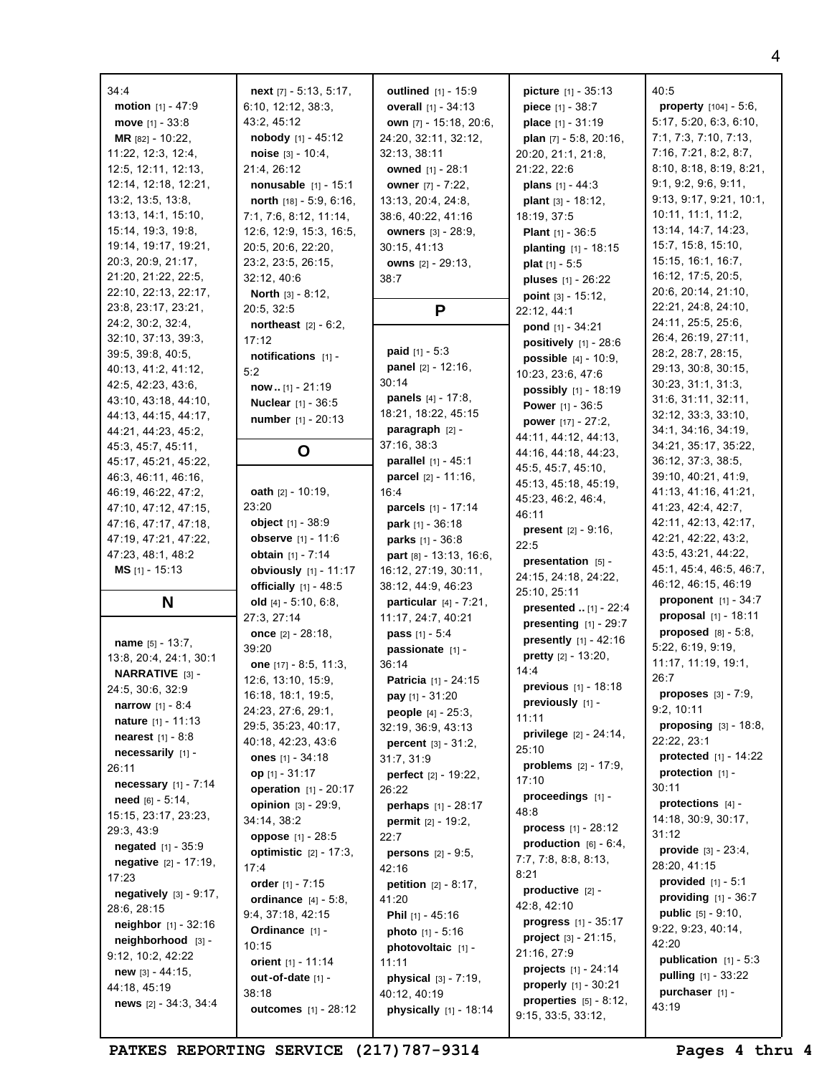| 34:4                          | next [7] - 5:13, 5:17,         | <b>outlined</b> [1] - 15:9       | <b>picture</b> $[1] - 35:13$     | 40:5                            |
|-------------------------------|--------------------------------|----------------------------------|----------------------------------|---------------------------------|
| <b>motion</b> $[1] - 47:9$    | 6:10, 12:12, 38:3,             | <b>overall</b> $[1] - 34:13$     | <b>piece</b> $[1] - 38:7$        | property $[104] - 5:6$ ,        |
| <b>move</b> $[1] - 33:8$      | 43:2, 45:12                    | own [7] - 15:18, 20:6,           | place [1] - 31:19                | 5:17, 5:20, 6:3, 6:10,          |
| MR [82] - 10:22,              | <b>nobody</b> $[1] - 45:12$    | 24:20, 32:11, 32:12,             | plan $[7] - 5:8$ , 20:16,        | 7:1, 7:3, 7:10, 7:13,           |
| 11:22, 12:3, 12:4,            | noise $[3] - 10:4$ ,           | 32:13, 38:11                     | 20:20, 21:1, 21:8,               | 7:16, 7:21, 8:2, 8:7,           |
| 12:5, 12:11, 12:13,           | 21:4, 26:12                    | owned [1] - 28:1                 | 21:22, 22:6                      | 8:10, 8:18, 8:19, 8:21,         |
| 12:14, 12:18, 12:21,          | nonusable [1] - 15:1           | owner [7] - 7:22,                | <b>plans</b> $[1] - 44:3$        | 9:1, 9:2, 9:6, 9:11,            |
| 13:2, 13:5, 13:8,             | north [18] - 5:9, 6:16,        | 13:13, 20:4, 24:8,               | plant [3] - 18:12,               | 9:13, 9:17, 9:21, 10:1,         |
| 13:13, 14:1, 15:10,           | 7:1, 7:6, 8:12, 11:14,         | 38:6, 40:22, 41:16               | 18:19, 37:5                      | 10:11, 11:1, 11:2,              |
| 15:14, 19:3, 19:8,            | 12:6, 12:9, 15:3, 16:5,        | <b>owners</b> [3] - 28:9,        | <b>Plant</b> $[1] - 36:5$        | 13:14, 14:7, 14:23,             |
| 19:14, 19:17, 19:21,          | 20:5, 20:6, 22:20,             | 30:15, 41:13                     | planting [1] - 18:15             | 15:7, 15:8, 15:10,              |
| 20:3, 20:9, 21:17,            | 23:2, 23:5, 26:15,             | owns [2] - 29:13,                | <b>plat</b> $[1] - 5:5$          | 15:15, 16:1, 16:7,              |
| 21:20, 21:22, 22:5,           | 32:12, 40:6                    | 38:7                             | pluses [1] - 26:22               | 16:12, 17:5, 20:5,              |
| 22:10, 22:13, 22:17,          | <b>North</b> $[3] - 8:12$ ,    |                                  | point $[3] - 15:12$ ,            | 20:6, 20:14, 21:10,             |
| 23:8, 23:17, 23:21,           | 20:5, 32:5                     | P                                | 22:12, 44:1                      | 22:21, 24:8, 24:10,             |
| 24:2, 30:2, 32:4,             | northeast $[2] - 6:2$ ,        |                                  | <b>pond</b> $[1] - 34:21$        | 24:11, 25:5, 25:6,              |
| 32:10, 37:13, 39:3,           | 17:12                          |                                  | positively $[1]$ - 28:6          | 26:4, 26:19, 27:11,             |
| 39:5, 39:8, 40:5,             | notifications [1] -            | <b>paid</b> $[1] - 5:3$          | <b>possible</b> $[4] - 10:9$ ,   | 28:2, 28:7, 28:15,              |
| 40:13, 41:2, 41:12,           | 5:2                            | <b>panel</b> $[2] - 12:16$ ,     | 10:23, 23:6, 47:6                | 29:13, 30:8, 30:15,             |
| 42:5, 42:23, 43:6,            | now $[1] - 21:19$              | 30:14                            |                                  | 30:23, 31:1, 31:3,              |
| 43:10, 43:18, 44:10,          | <b>Nuclear</b> [1] - 36:5      | <b>panels</b> $[4] - 17:8$ ,     | possibly [1] - 18:19             | 31:6, 31:11, 32:11,             |
| 44:13, 44:15, 44:17,          | number [1] - 20:13             | 18:21, 18:22, 45:15              | <b>Power</b> $[1] - 36:5$        | 32:12, 33:3, 33:10,             |
| 44:21, 44:23, 45:2,           |                                | paragraph [2] -                  | <b>power</b> $[17] - 27:2$ ,     | 34:1, 34:16, 34:19,             |
| 45:3, 45:7, 45:11,            |                                | 37:16, 38:3                      | 44:11, 44:12, 44:13,             | 34:21, 35:17, 35:22,            |
| 45:17, 45:21, 45:22,          | O                              | <b>parallel</b> $[1] - 45:1$     | 44:16, 44:18, 44:23,             | 36:12, 37:3, 38:5,              |
| 46:3, 46:11, 46:16,           |                                | <b>parcel</b> $[2] - 11:16$ ,    | 45:5, 45:7, 45:10,               | 39:10, 40:21, 41:9,             |
| 46:19, 46:22, 47:2,           | <b>oath</b> $[2] - 10:19$ ,    | 16:4                             | 45:13, 45:18, 45:19,             | 41:13, 41:16, 41:21,            |
| 47:10, 47:12, 47:15,          | 23:20                          | parcels [1] - 17:14              | 45:23, 46:2, 46:4,               | 41:23, 42:4, 42:7,              |
| 47:16, 47:17, 47:18,          | <b>object</b> $[1] - 38:9$     | <b>park</b> $[1] - 36:18$        | 46:11                            | 42:11, 42:13, 42:17,            |
| 47:19, 47:21, 47:22,          | <b>observe</b> $[1] - 11:6$    | parks [1] - 36:8                 | <b>present</b> $[2] - 9:16$ ,    | 42:21, 42:22, 43:2,             |
| 47:23, 48:1, 48:2             | <b>obtain</b> $[1] - 7:14$     | part [8] - 13:13, 16:6,          | 22:5                             | 43:5, 43:21, 44:22,             |
| <b>MS</b> $[1]$ - 15:13       | obviously $[1] - 11:17$        | 16:12, 27:19, 30:11,             | presentation [5] -               | 45:1, 45:4, 46:5, 46:7,         |
|                               | <b>officially</b> $[1] - 48:5$ | 38:12, 44:9, 46:23               | 24:15, 24:18, 24:22,             | 46:12, 46:15, 46:19             |
| N                             | old $[4] - 5:10, 6:8,$         | <b>particular</b> $[4] - 7:21$ , | 25:10, 25:11                     | proponent $[1] - 34:7$          |
|                               | 27:3, 27:14                    | 11:17, 24:7, 40:21               | presented  [1] - 22:4            | proposal [1] - 18:11            |
|                               | once $[2] - 28:18$ ,           | <b>pass</b> $[1] - 5:4$          | presenting $[1] - 29:7$          | proposed $[8] - 5:8$ ,          |
| name $[5] - 13:7$ ,           | 39:20                          | passionate [1] -                 | presently [1] - 42:16            | 5:22, 6:19, 9:19,               |
| 13:8, 20:4, 24:1, 30:1        | one $[17] - 8:5, 11:3,$        | 36:14                            | pretty [2] - 13:20,              | 11:17, 11:19, 19:1,             |
| NARRATIVE [3] -               | 12:6, 13:10, 15:9,             | Patricia [1] - 24:15             | 14:4                             | 26:7                            |
| 24:5, 30:6, 32:9              | 16:18, 18:1, 19:5,             |                                  | <b>previous</b> $[1] - 18:18$    | <b>proposes</b> $[3] - 7:9$ ,   |
| <b>narrow</b> $[1] - 8:4$     | 24:23, 27:6, 29:1,             | pay [1] - 31:20                  | previously [1] -                 | 9:2, 10:11                      |
| nature [1] - 11:13            |                                | <b>people</b> $[4] - 25:3$ ,     | 11:11                            | <b>proposing</b> $[3] - 18:8$ , |
| <b>nearest</b> $[1] - 8:8$    | 29:5, 35:23, 40:17,            | 32:19, 36:9, 43:13               | <b>privilege</b> $[2] - 24:14$ , | 22:22, 23:1                     |
| necessarily [1] -             | 40:18, 42:23, 43:6             | <b>percent</b> $[3] - 31:2$ ,    | 25:10                            | protected $[1] - 14:22$         |
| 26:11                         | ones $[1] - 34:18$             | 31:7, 31:9                       | <b>problems</b> $[2] - 17:9$ ,   | protection $[1]$ -              |
| <b>necessary</b> $[1] - 7:14$ | op [1] - 31:17                 | perfect [2] - 19:22,             | 17:10                            | 30:11                           |
| <b>need</b> $[6] - 5:14$ ,    | operation [1] - 20:17          | 26:22                            | proceedings [1] -                | protections $[4]$ -             |
| 15:15, 23:17, 23:23,          | opinion [3] - 29:9,            | perhaps [1] - 28:17              | 48:8                             |                                 |
| 29:3, 43:9                    | 34:14, 38:2                    | permit [2] - 19:2,               | <b>process</b> $[1] - 28:12$     | 14:18, 30:9, 30:17,<br>31:12    |
| negated [1] - 35:9            | oppose [1] - 28:5              | 22:7                             | production $[6] - 6:4$ ,         |                                 |
| negative [2] - 17:19,         | optimistic $[2] - 17:3$ ,      | <b>persons</b> $[2] - 9.5$ ,     | 7:7, 7:8, 8:8, 8:13,             | provide $[3] - 23:4$ ,          |
| 17:23                         | 17:4                           | 42:16                            | 8:21                             | 28:20, 41:15                    |
| negatively $[3] - 9:17$ ,     | order $[1] - 7:15$             | <b>petition</b> $[2] - 8:17$ ,   | productive $[2]$ -               | <b>provided</b> $[1] - 5:1$     |
| 28:6, 28:15                   | <b>ordinance</b> $[4] - 5:8$ , | 41:20                            | 42:8, 42:10                      | providing $[1]$ - 36:7          |
| <b>neighbor</b> $[1] - 32:16$ | 9:4, 37:18, 42:15              | Phil [1] - 45:16                 | <b>progress</b> $[1] - 35:17$    | public [5] - 9:10,              |
| neighborhood [3] -            | Ordinance [1] -                | <b>photo</b> $[1] - 5:16$        | <b>project</b> $[3] - 21:15$ ,   | 9:22, 9:23, 40:14,              |
| 9:12, 10:2, 42:22             | 10:15                          | photovoltaic [1] -               | 21:16, 27:9                      | 42:20                           |
|                               | orient [1] - 11:14             | 11:11                            | <b>projects</b> $[1] - 24:14$    | publication $[1] - 5:3$         |
| <b>new</b> $[3] - 44:15$ ,    | out-of-date [1] -              | physical $[3] - 7:19$ ,          | <b>properly</b> $[1] - 30:21$    | <b>pulling</b> $[1] - 33:22$    |
| 44:18, 45:19                  | 38:18                          | 40:12, 40:19                     | properties $[5] - 8:12$ ,        | purchaser [1] -                 |
| news $[2] - 34:3, 34:4$       | <b>outcomes</b> [1] - 28:12    | <b>physically</b> $[1] - 18:14$  | 9:15, 33:5, 33:12,               | 43:19                           |

**PATKES REPORTING SERVICE (217)787-9314 Pages 4 thru 4**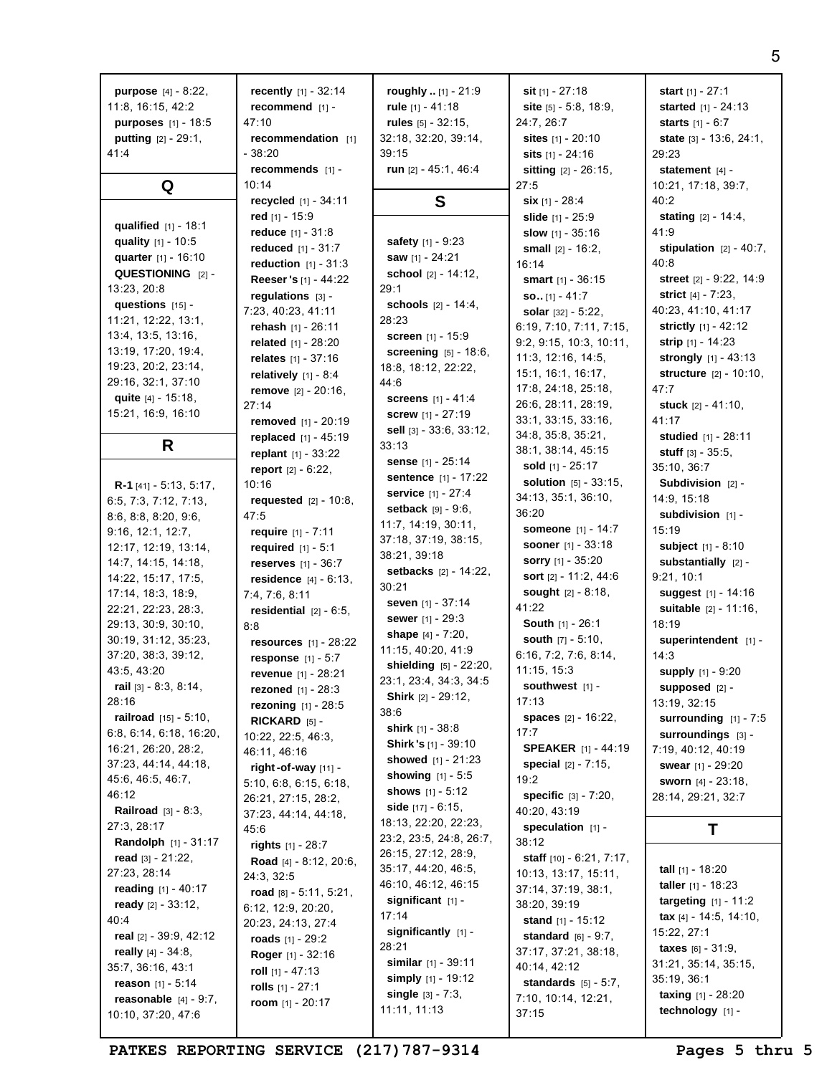| <b>purpose</b> $[4] - 8:22$ ,   | recently $[1] - 32:14$              | roughly $[1]$ - 21:9          | <b>sit</b> $[1] - 27:18$          | start $[1] - 27:1$               |
|---------------------------------|-------------------------------------|-------------------------------|-----------------------------------|----------------------------------|
| 11:8, 16:15, 42:2               | recommend [1] -                     | rule $[1] - 41:18$            | site $[5] - 5:8, 18:9,$           | <b>started</b> $[1] - 24:13$     |
| <b>purposes</b> $[1] - 18:5$    | 47:10                               | rules $[5] - 32:15$ ,         | 24:7, 26:7                        |                                  |
|                                 |                                     |                               |                                   | <b>starts</b> $[1] - 6:7$        |
| <b>putting</b> $[2] - 29:1$ ,   | recommendation [1]                  | 32:18, 32:20, 39:14,          | sites $[1] - 20:10$               | <b>state</b> $[3] - 13:6, 24:1,$ |
| 41:4                            | - 38:20                             | 39:15                         | <b>sits</b> $[1] - 24:16$         | 29:23                            |
|                                 | recommends [1] -                    | run $[2] - 45:1, 46:4$        | sitting [2] - 26:15,              | statement [4] -                  |
| Q                               | 10:14                               |                               | 27:5                              | 10:21, 17:18, 39:7,              |
|                                 | recycled [1] - 34:11                | S                             | <b>six</b> $[1] - 28:4$           | 40:2                             |
|                                 | red $[1] - 15:9$                    |                               | slide $[1] - 25:9$                | <b>stating</b> $[2] - 14:4,$     |
| qualified $[1] - 18:1$          |                                     |                               |                                   | 41:9                             |
| quality $[1] - 10:5$            | reduce $[1] - 31:8$                 | safety [1] - 9:23             | slow $[1] - 35:16$                |                                  |
| quarter [1] - 16:10             | reduced [1] - 31:7                  | saw [1] - 24:21               | small $[2] - 16:2$ .              | stipulation $[2] - 40:7$ ,       |
| QUESTIONING [2] -               | <b>reduction</b> $[1] - 31:3$       | school [2] - 14:12,           | 16:14                             | 40:8                             |
|                                 | Reeser 's [1] - 44:22               |                               | <b>smart</b> $[1] - 36:15$        | street [2] - 9:22, 14:9          |
| 13:23, 20:8                     | regulations $[3]$ -                 | 29:1                          | $SO. [1] - 41:7$                  | <b>strict</b> $[4] - 7:23$ ,     |
| questions [15] -                | 7:23, 40:23, 41:11                  | <b>schools</b> $[2] - 14:4,$  | solar $[32] - 5:22$ ,             | 40:23, 41:10, 41:17              |
| 11:21, 12:22, 13:1,             | rehash $[1] - 26:11$                | 28:23                         | 6:19, 7:10, 7:11, 7:15,           | <b>strictly</b> $[1] - 42:12$    |
| 13:4, 13:5, 13:16,              | <b>related</b> $[1] - 28:20$        | <b>screen</b> $[1] - 15:9$    | 9:2, 9:15, 10:3, 10:11,           | strip $[1] - 14:23$              |
| 13:19, 17:20, 19:4,             |                                     | screening [5] - 18:6,         | 11:3, 12:16, 14:5,                |                                  |
| 19:23, 20:2, 23:14,             | <b>relates</b> $[1] - 37:16$        | 18:8, 18:12, 22:22,           |                                   | strongly [1] - 43:13             |
| 29:16, 32:1, 37:10              | relatively $[1] - 8:4$              | 44:6                          | 15:1, 16:1, 16:17,                | structure [2] - 10:10,           |
| quite [4] - 15:18,              | <b>remove</b> $[2] - 20:16$ ,       | <b>screens</b> $[1] - 41:4$   | 17:8, 24:18, 25:18,               | 47:7                             |
| 15:21, 16:9, 16:10              | 27:14                               |                               | 26:6, 28:11, 28:19,               | stuck $[2] - 41:10$ ,            |
|                                 | removed [1] - 20:19                 | <b>screw</b> [1] - 27:19      | 33:1, 33:15, 33:16,               | 41:17                            |
|                                 | replaced $[1] - 45:19$              | sell $[3] - 33:6, 33:12,$     | 34:8, 35:8, 35:21,                | studied [1] - 28:11              |
| R                               | replant [1] - 33:22                 | 33:13                         | 38:1, 38:14, 45:15                | <b>stuff</b> $[3] - 35:5$ ,      |
|                                 | <b>report</b> $[2] - 6:22$ ,        | sense [1] - 25:14             | sold $[1] - 25:17$                | 35:10, 36:7                      |
|                                 | 10:16                               | <b>sentence</b> $[1] - 17:22$ | <b>solution</b> $[5] - 33:15$ ,   | Subdivision $[2]$ -              |
| <b>R-1</b> [41] - 5:13, 5:17,   |                                     | service [1] - 27:4            | 34:13, 35:1, 36:10,               | 14:9, 15:18                      |
| 6:5, 7:3, 7:12, 7:13,           | <b>requested</b> $[2] - 10:8$ ,     | <b>setback</b> $[9] - 9:6$    | 36:20                             |                                  |
| 8:6, 8:8, 8:20, 9:6,            | 47:5                                | 11:7, 14:19, 30:11,           |                                   | subdivision [1] -                |
| 9:16, 12:1, 12:7,               | require $[1] - 7:11$                | 37:18, 37:19, 38:15,          | <b>someone</b> [1] - 14:7         | 15:19                            |
| 12:17, 12:19, 13:14,            | <b>required</b> $[1] - 5:1$         | 38:21, 39:18                  | <b>sooner</b> $[1] - 33:18$       | <b>subject</b> $[1] - 8:10$      |
| 14:7, 14:15, 14:18,             | <b>reserves</b> $[1] - 36:7$        |                               | <b>sorry</b> $[1] - 35:20$        | substantially [2] -              |
| 14:22, 15:17, 17:5,             | <b>residence</b> $[4] - 6:13$ ,     | <b>setbacks</b> $[2] - 14:22$ | sort [2] - 11:2, 44:6             | 9:21, 10:1                       |
| 17:14, 18:3, 18:9,              | 7:4, 7:6, 8:11                      | 30:21                         | sought [2] - 8:18,                | suggest $[1] - 14:16$            |
| 22:21, 22:23, 28:3,             | residential $[2] - 6:5$ ,           | seven $[1] - 37:14$           | 41:22                             | suitable [2] - 11:16,            |
| 29:13, 30:9, 30:10,             | 8:8                                 | <b>sewer</b> $[1] - 29:3$     | <b>South</b> $[1] - 26:1$         | 18:19                            |
| 30:19, 31:12, 35:23,            | <b>resources</b> $[1] - 28:22$      | shape $[4] - 7:20$ ,          | <b>south</b> $[7] - 5:10$ ,       | superintendent [1] -             |
| 37:20, 38:3, 39:12,             |                                     | 11:15, 40:20, 41:9            | 6:16, 7:2, 7:6, 8:14,             | 14:3                             |
| 43:5, 43:20                     | <b>response</b> $[1] - 5:7$         | shielding [5] - 22:20,        | 11:15, 15:3                       | supply [1] - 9:20                |
|                                 | revenue [1] - 28:21                 | 23:1, 23:4, 34:3, 34:5        | southwest [1] -                   |                                  |
| rail $[3] - 8:3, 8:14,$         | <b>rezoned</b> $[1] - 28:3$         | Shirk [2] - 29:12,            |                                   | supposed [2] -                   |
| 28:16                           | <b>rezoning</b> $[1] - 28:5$        | 38:6                          | 17:13                             | 13:19, 32:15                     |
| <b>railroad</b> $[15] - 5:10$ , | RICKARD [5] -                       | <b>shirk</b> $[1] - 38:8$     | spaces [2] - 16:22,               | surrounding $[1]$ - 7:5          |
| 6:8, 6:14, 6:18, 16:20,         | 10:22, 22:5, 46:3,                  | <b>Shirk's</b> $[1]$ - 39:10  | 17:7                              | Surroundings [3] -               |
| 16:21, 26:20, 28:2,             | 46:11, 46:16                        |                               | <b>SPEAKER</b> [1] - 44:19        | 7:19, 40:12, 40:19               |
| 37:23, 44:14, 44:18,            | right-of-way [11] -                 | showed $[1] - 21:23$          | <b>special</b> $[2] - 7:15$ ,     | <b>swear</b> $[1] - 29:20$       |
| 45:6, 46:5, 46:7,               | 5:10, 6:8, 6:15, 6:18,              | <b>showing</b> $[1] - 5:5$    | 19:2                              | sworn [4] - 23:18,               |
| 46:12                           | 26:21, 27:15, 28:2,                 | shows $[1] - 5:12$            | specific [3] - 7:20,              | 28:14, 29:21, 32:7               |
| <b>Railroad</b> $[3] - 8:3$ ,   | 37:23, 44:14, 44:18,                | side $[17] - 6:15$ ,          | 40:20, 43:19                      |                                  |
| 27:3, 28:17                     | 45:6                                | 18:13, 22:20, 22:23,          | speculation $[1]$ -               | т                                |
| <b>Randolph</b> $[1] - 31:17$   | rights $[1] - 28:7$                 | 23:2, 23:5, 24:8, 26:7,       | 38:12                             |                                  |
| read $[3] - 21:22$ ,            |                                     | 26:15, 27:12, 28:9,           | <b>staff</b> $[10] - 6:21, 7:17,$ |                                  |
| 27:23, 28:14                    | <b>Road</b> [4] - $8:12$ , $20:6$ , | 35:17, 44:20, 46:5,           | 10:13, 13:17, 15:11,              | <b>tall</b> $[1] - 18:20$        |
|                                 | 24:3, 32:5                          | 46:10, 46:12, 46:15           | 37:14, 37:19, 38:1,               | <b>taller</b> $[1] - 18:23$      |
| reading $[1] - 40:17$           | road $[8] - 5:11, 5:21,$            | significant [1] -             |                                   | <b>targeting</b> $[1] - 11:2$    |
| ready $[2] - 33:12$ ,           | 6:12, 12:9, 20:20,                  | 17:14                         | 38:20, 39:19                      | tax [4] - 14:5, 14:10,           |
| 40:4                            | 20:23, 24:13, 27:4                  | significantly [1] -           | <b>stand</b> $[1] - 15:12$        |                                  |
| real $[2] - 39:9, 42:12$        | roads $[1] - 29:2$                  |                               | <b>standard</b> $[6] - 9:7$ ,     | 15:22, 27:1                      |
| really $[4] - 34:8$ ,           | Roger [1] - 32:16                   | 28:21                         | 37:17, 37:21, 38:18,              | <b>taxes</b> $[6] - 31:9$ ,      |
| 35:7, 36:16, 43:1               | roll $[1] - 47:13$                  | similar [1] - 39:11           | 40:14, 42:12                      | 31:21, 35:14, 35:15,             |
| reason $[1] - 5:14$             | rolls $[1] - 27:1$                  | simply $[1]$ - 19:12          | <b>standards</b> $[5] - 5:7$ ,    | 35:19, 36:1                      |
| reasonable $[4] - 9:7$ ,        | room $[1] - 20:17$                  | single $[3] - 7:3$ ,          | 7:10, 10:14, 12:21,               | <b>taxing</b> $[1] - 28:20$      |
| 10:10, 37:20, 47:6              |                                     | 11:11, 11:13                  | 37:15                             | technology [1] -                 |
|                                 |                                     |                               |                                   |                                  |

PATKES REPORTING SERVICE (217) 787-9314 Pages 5 thru 5